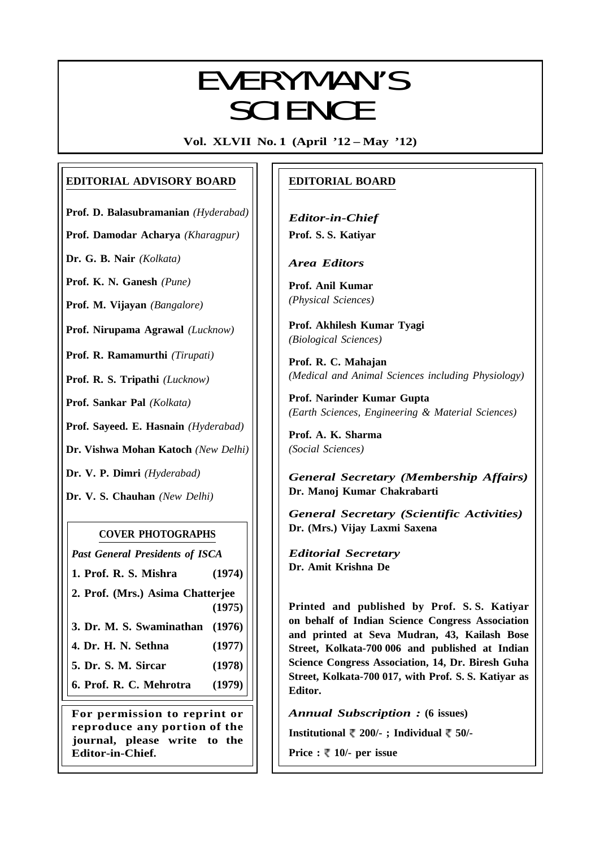# EVERYMANI/C EVERYMAN'S **SCIENCE**

**Vol. XLVII No. 1 (April '12 – May '12)**

# **EDITORIAL ADVISORY BOARD**

**Prof. D. Balasubramanian** *(Hyderabad)*

**Prof. Damodar Acharya** *(Kharagpur)*

**Dr. G. B. Nair** *(Kolkata)*

**Prof. K. N. Ganesh** *(Pune)*

**Prof. M. Vijayan** *(Bangalore)*

**Prof. Nirupama Agrawal** *(Lucknow)*

**Prof. R. Ramamurthi** *(Tirupati)*

**Prof. R. S. Tripathi** *(Lucknow)*

**Prof. Sankar Pal** *(Kolkata)*

**Prof. Sayeed. E. Hasnain** *(Hyderabad)*

**Dr. Vishwa Mohan Katoch** *(New Delhi)*

**Dr. V. P. Dimri** *(Hyderabad)*

**Dr. V. S. Chauhan** *(New Delhi)*

# **COVER PHOTOGRAPHS**

*Past General Presidents of ISCA*

**1. Prof. R. S. Mishra (1974)**

**2. Prof. (Mrs.) Asima Chatterjee (1975)**

**3. Dr. M. S. Swaminathan (1976)**

- **4. Dr. H. N. Sethna (1977)**
- **5. Dr. S. M. Sircar (1978)**

**6. Prof. R. C. Mehrotra (1979)**

**For permission to reprint or reproduce any portion of the journal, please write to the Editor-in-Chief.**

# **EDITORIAL BOARD**

*Editor-in-Chief* **Prof. S. S. Katiyar**

*Area Editors*

**Prof. Anil Kumar** *(Physical Sciences)*

**Prof. Akhilesh Kumar Tyagi** *(Biological Sciences)*

**Prof. R. C. Mahajan** *(Medical and Animal Sciences including Physiology)*

**Prof. Narinder Kumar Gupta** *(Earth Sciences, Engineering & Material Sciences)*

**Prof. A. K. Sharma** *(Social Sciences)*

*General Secretary (Membership Affairs)* **Dr. Manoj Kumar Chakrabarti**

*General Secretary (Scientific Activities)* **Dr. (Mrs.) Vijay Laxmi Saxena**

*Editorial Secretary* **Dr. Amit Krishna De**

**Printed and published by Prof. S. S. Katiyar on behalf of Indian Science Congress Association and printed at Seva Mudran, 43, Kailash Bose Street, Kolkata-700 006 and published at Indian Science Congress Association, 14, Dr. Biresh Guha Street, Kolkata-700 017, with Prof. S. S. Katiyar as Editor.**

*Annual Subscription :* **(6 issues)**

**Institutional 200/- ; Individual 50/-**

**Price :**  $\sqrt[m]{ }$  **10/- per issue** 

1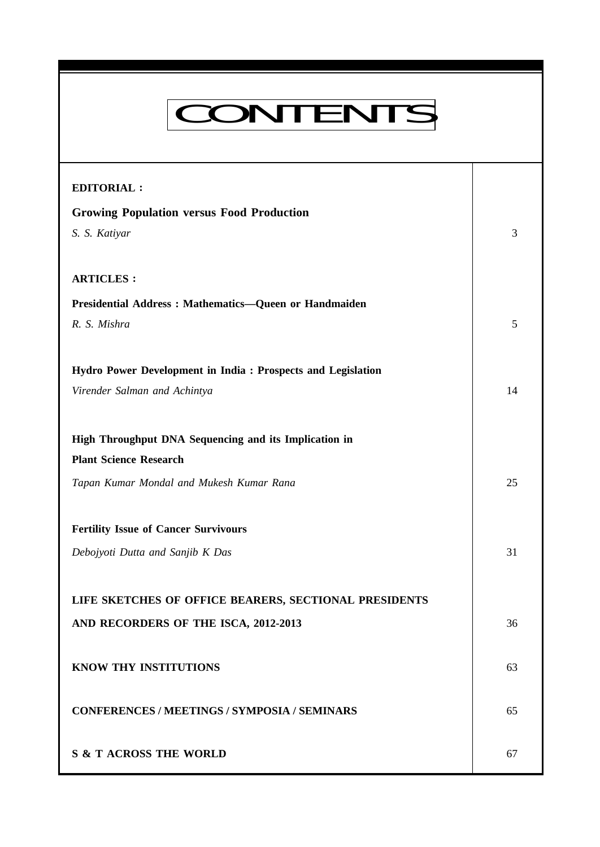# **Everyman's Science Vol. XLVII No. 1, April '12 — May '12 EDITORIAL : Growing Population versus Food Production** *S. S. Katiyar* 3 **ARTICLES : Presidential Address : Mathematics—Queen or Handmaiden** *R. S. Mishra* 5 **Hydro Power Development in India : Prospects and Legislation** *Virender Salman and Achintya* 14 **High Throughput DNA Sequencing and its Implication in Plant Science Research** *Tapan Kumar Mondal and Mukesh Kumar Rana* 25 **Fertility Issue of Cancer Survivours** *Debojyoti Dutta and Sanjib K Das* 31 **LIFE SKETCHES OF OFFICE BEARERS, SECTIONAL PRESIDENTS AND RECORDERS OF THE ISCA, 2012-2013** 36 **KNOW THY INSTITUTIONS** 63 **CONFERENCES / MEETINGS / SYMPOSIA / SEMINARS** 65 **S & T ACROSS THE WORLD** 67 CONTENTS

2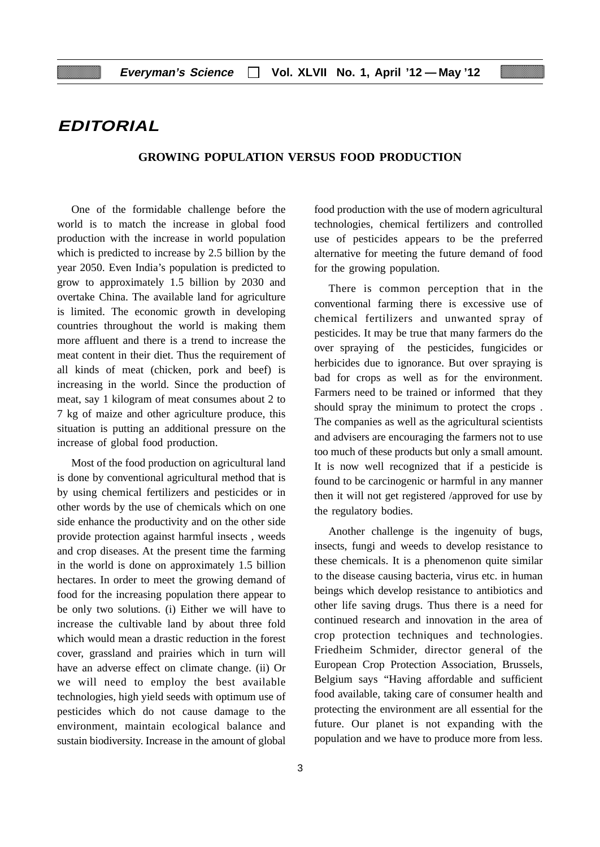# **EDITORIAL**

## **GROWING POPULATION VERSUS FOOD PRODUCTION**

One of the formidable challenge before the world is to match the increase in global food production with the increase in world population which is predicted to increase by 2.5 billion by the year 2050. Even India's population is predicted to grow to approximately 1.5 billion by 2030 and overtake China. The available land for agriculture is limited. The economic growth in developing countries throughout the world is making them more affluent and there is a trend to increase the meat content in their diet. Thus the requirement of all kinds of meat (chicken, pork and beef) is increasing in the world. Since the production of meat, say 1 kilogram of meat consumes about 2 to 7 kg of maize and other agriculture produce, this situation is putting an additional pressure on the increase of global food production.

Most of the food production on agricultural land is done by conventional agricultural method that is by using chemical fertilizers and pesticides or in other words by the use of chemicals which on one side enhance the productivity and on the other side provide protection against harmful insects , weeds and crop diseases. At the present time the farming in the world is done on approximately 1.5 billion hectares. In order to meet the growing demand of food for the increasing population there appear to be only two solutions. (i) Either we will have to increase the cultivable land by about three fold which would mean a drastic reduction in the forest cover, grassland and prairies which in turn will have an adverse effect on climate change. (ii) Or we will need to employ the best available technologies, high yield seeds with optimum use of pesticides which do not cause damage to the environment, maintain ecological balance and sustain biodiversity. Increase in the amount of global

food production with the use of modern agricultural technologies, chemical fertilizers and controlled use of pesticides appears to be the preferred alternative for meeting the future demand of food for the growing population.

There is common perception that in the conventional farming there is excessive use of chemical fertilizers and unwanted spray of pesticides. It may be true that many farmers do the over spraying of the pesticides, fungicides or herbicides due to ignorance. But over spraying is bad for crops as well as for the environment. Farmers need to be trained or informed that they should spray the minimum to protect the crops . The companies as well as the agricultural scientists and advisers are encouraging the farmers not to use too much of these products but only a small amount. It is now well recognized that if a pesticide is found to be carcinogenic or harmful in any manner then it will not get registered /approved for use by the regulatory bodies.

Another challenge is the ingenuity of bugs, insects, fungi and weeds to develop resistance to these chemicals. It is a phenomenon quite similar to the disease causing bacteria, virus etc. in human beings which develop resistance to antibiotics and other life saving drugs. Thus there is a need for continued research and innovation in the area of crop protection techniques and technologies. Friedheim Schmider, director general of the European Crop Protection Association, Brussels, Belgium says "Having affordable and sufficient food available, taking care of consumer health and protecting the environment are all essential for the future. Our planet is not expanding with the population and we have to produce more from less.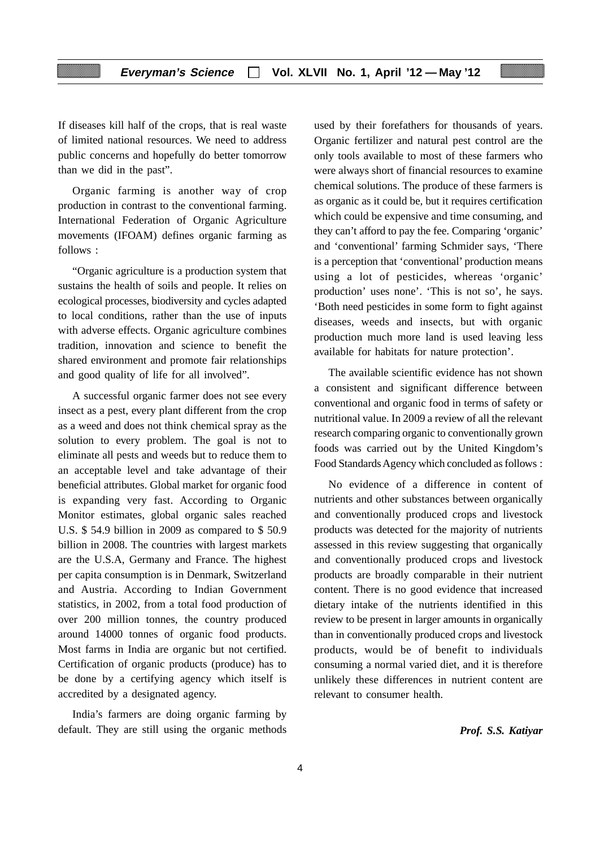If diseases kill half of the crops, that is real waste of limited national resources. We need to address public concerns and hopefully do better tomorrow than we did in the past".

Organic farming is another way of crop production in contrast to the conventional farming. International Federation of Organic Agriculture movements (IFOAM) defines organic farming as follows :

"Organic agriculture is a production system that sustains the health of soils and people. It relies on ecological processes, biodiversity and cycles adapted to local conditions, rather than the use of inputs with adverse effects. Organic agriculture combines tradition, innovation and science to benefit the shared environment and promote fair relationships and good quality of life for all involved".

A successful organic farmer does not see every insect as a pest, every plant different from the crop as a weed and does not think chemical spray as the solution to every problem. The goal is not to eliminate all pests and weeds but to reduce them to an acceptable level and take advantage of their beneficial attributes. Global market for organic food is expanding very fast. According to Organic Monitor estimates, global organic sales reached U.S. \$ 54.9 billion in 2009 as compared to \$ 50.9 billion in 2008. The countries with largest markets are the U.S.A, Germany and France. The highest per capita consumption is in Denmark, Switzerland and Austria. According to Indian Government statistics, in 2002, from a total food production of over 200 million tonnes, the country produced around 14000 tonnes of organic food products. Most farms in India are organic but not certified. Certification of organic products (produce) has to be done by a certifying agency which itself is accredited by a designated agency.

India's farmers are doing organic farming by default. They are still using the organic methods used by their forefathers for thousands of years. Organic fertilizer and natural pest control are the only tools available to most of these farmers who were always short of financial resources to examine chemical solutions. The produce of these farmers is as organic as it could be, but it requires certification which could be expensive and time consuming, and they can't afford to pay the fee. Comparing 'organic' and 'conventional' farming Schmider says, 'There is a perception that 'conventional' production means using a lot of pesticides, whereas 'organic' production' uses none'. 'This is not so', he says. 'Both need pesticides in some form to fight against diseases, weeds and insects, but with organic production much more land is used leaving less available for habitats for nature protection'.

The available scientific evidence has not shown a consistent and significant difference between conventional and organic food in terms of safety or nutritional value. In 2009 a review of all the relevant research comparing organic to conventionally grown foods was carried out by the United Kingdom's Food Standards Agency which concluded as follows :

No evidence of a difference in content of nutrients and other substances between organically and conventionally produced crops and livestock products was detected for the majority of nutrients assessed in this review suggesting that organically and conventionally produced crops and livestock products are broadly comparable in their nutrient content. There is no good evidence that increased dietary intake of the nutrients identified in this review to be present in larger amounts in organically than in conventionally produced crops and livestock products, would be of benefit to individuals consuming a normal varied diet, and it is therefore unlikely these differences in nutrient content are relevant to consumer health.

*Prof. S.S. Katiyar*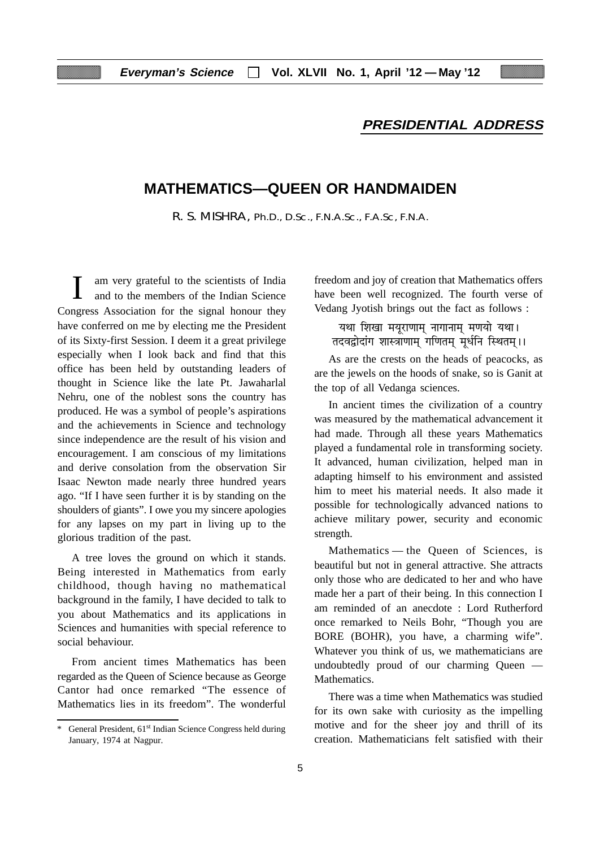# **PRESIDENTIAL ADDRESS**

# **MATHEMATICS—QUEEN OR HANDMAIDEN**

R. S. MISHRA, Ph.D., D.Sc., F.N.A.Sc., F.A.Sc, F.N.A.

am very grateful to the scientists of India and to the members of the Indian Science Congress Association for the signal honour they have conferred on me by electing me the President of its Sixty-first Session. I deem it a great privilege especially when I look back and find that this office has been held by outstanding leaders of thought in Science like the late Pt. Jawaharlal Nehru, one of the noblest sons the country has produced. He was a symbol of people's aspirations and the achievements in Science and technology since independence are the result of his vision and encouragement. I am conscious of my limitations and derive consolation from the observation Sir Isaac Newton made nearly three hundred years ago. "If I have seen further it is by standing on the shoulders of giants". I owe you my sincere apologies for any lapses on my part in living up to the glorious tradition of the past.

A tree loves the ground on which it stands. Being interested in Mathematics from early childhood, though having no mathematical background in the family, I have decided to talk to you about Mathematics and its applications in Sciences and humanities with special reference to social behaviour.

From ancient times Mathematics has been regarded as the Queen of Science because as George Cantor had once remarked "The essence of Mathematics lies in its freedom". The wonderful

freedom and joy of creation that Mathematics offers have been well recognized. The fourth verse of Vedang Jyotish brings out the fact as follows :

- यथा शिखा मयूराणाम् नागानाम् मणयो यथा।<br>तदवद्वोदांग शास्त्राणाम् गणितम् मूर्धनि स्थितम्।।

As are the crests on the heads of peacocks, as are the jewels on the hoods of snake, so is Ganit at the top of all Vedanga sciences.

In ancient times the civilization of a country was measured by the mathematical advancement it had made. Through all these years Mathematics played a fundamental role in transforming society. It advanced, human civilization, helped man in adapting himself to his environment and assisted him to meet his material needs. It also made it possible for technologically advanced nations to achieve military power, security and economic strength.

Mathematics — the Queen of Sciences, is beautiful but not in general attractive. She attracts only those who are dedicated to her and who have made her a part of their being. In this connection I am reminded of an anecdote : Lord Rutherford once remarked to Neils Bohr, "Though you are BORE (BOHR), you have, a charming wife". Whatever you think of us, we mathematicians are undoubtedly proud of our charming Queen — Mathematics.

There was a time when Mathematics was studied for its own sake with curiosity as the impelling motive and for the sheer joy and thrill of its creation. Mathematicians felt satisfied with their

<sup>\*</sup> General President, 61st Indian Science Congress held during January, 1974 at Nagpur.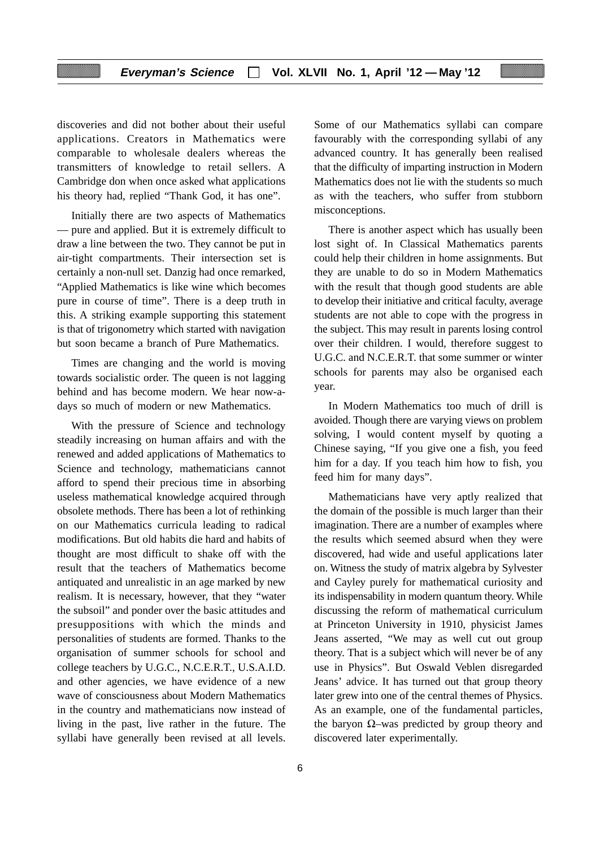discoveries and did not bother about their useful applications. Creators in Mathematics were comparable to wholesale dealers whereas the transmitters of knowledge to retail sellers. A Cambridge don when once asked what applications his theory had, replied "Thank God, it has one".

Initially there are two aspects of Mathematics — pure and applied. But it is extremely difficult to draw a line between the two. They cannot be put in air-tight compartments. Their intersection set is certainly a non-null set. Danzig had once remarked, "Applied Mathematics is like wine which becomes pure in course of time". There is a deep truth in this. A striking example supporting this statement is that of trigonometry which started with navigation but soon became a branch of Pure Mathematics.

Times are changing and the world is moving towards socialistic order. The queen is not lagging behind and has become modern. We hear now-adays so much of modern or new Mathematics.

With the pressure of Science and technology steadily increasing on human affairs and with the renewed and added applications of Mathematics to Science and technology, mathematicians cannot afford to spend their precious time in absorbing useless mathematical knowledge acquired through obsolete methods. There has been a lot of rethinking on our Mathematics curricula leading to radical modifications. But old habits die hard and habits of thought are most difficult to shake off with the result that the teachers of Mathematics become antiquated and unrealistic in an age marked by new realism. It is necessary, however, that they "water the subsoil" and ponder over the basic attitudes and presuppositions with which the minds and personalities of students are formed. Thanks to the organisation of summer schools for school and college teachers by U.G.C., N.C.E.R.T., U.S.A.I.D. and other agencies, we have evidence of a new wave of consciousness about Modern Mathematics in the country and mathematicians now instead of living in the past, live rather in the future. The syllabi have generally been revised at all levels.

Some of our Mathematics syllabi can compare favourably with the corresponding syllabi of any advanced country. It has generally been realised that the difficulty of imparting instruction in Modern Mathematics does not lie with the students so much as with the teachers, who suffer from stubborn misconceptions.

There is another aspect which has usually been lost sight of. In Classical Mathematics parents could help their children in home assignments. But they are unable to do so in Modern Mathematics with the result that though good students are able to develop their initiative and critical faculty, average students are not able to cope with the progress in the subject. This may result in parents losing control over their children. I would, therefore suggest to U.G.C. and N.C.E.R.T. that some summer or winter schools for parents may also be organised each year.

In Modern Mathematics too much of drill is avoided. Though there are varying views on problem solving, I would content myself by quoting a Chinese saying, "If you give one a fish, you feed him for a day. If you teach him how to fish, you feed him for many days".

Mathematicians have very aptly realized that the domain of the possible is much larger than their imagination. There are a number of examples where the results which seemed absurd when they were discovered, had wide and useful applications later on. Witness the study of matrix algebra by Sylvester and Cayley purely for mathematical curiosity and its indispensability in modern quantum theory. While discussing the reform of mathematical curriculum at Princeton University in 1910, physicist James Jeans asserted, "We may as well cut out group theory. That is a subject which will never be of any use in Physics". But Oswald Veblen disregarded Jeans' advice. It has turned out that group theory later grew into one of the central themes of Physics. As an example, one of the fundamental particles, the baryon  $Ω$ –was predicted by group theory and discovered later experimentally.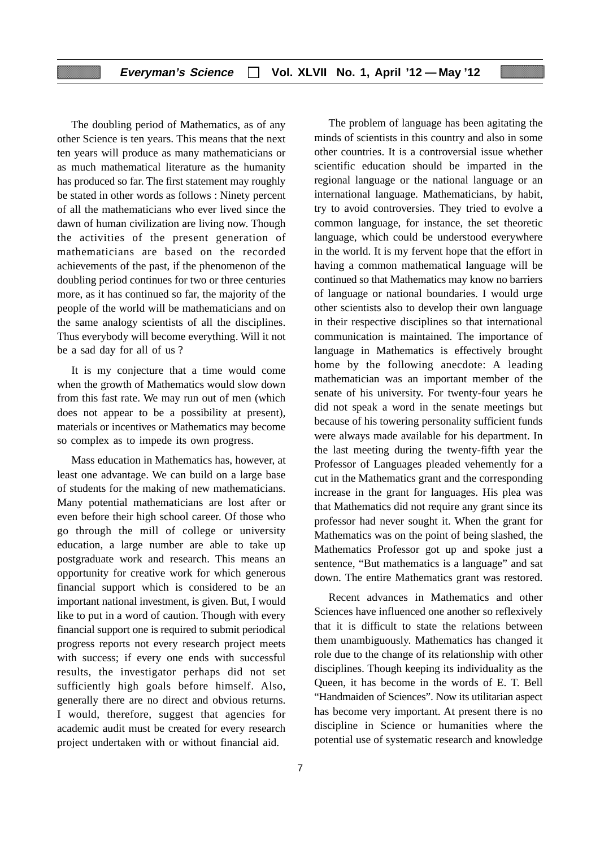The doubling period of Mathematics, as of any other Science is ten years. This means that the next ten years will produce as many mathematicians or as much mathematical literature as the humanity has produced so far. The first statement may roughly be stated in other words as follows : Ninety percent of all the mathematicians who ever lived since the dawn of human civilization are living now. Though the activities of the present generation of mathematicians are based on the recorded achievements of the past, if the phenomenon of the doubling period continues for two or three centuries more, as it has continued so far, the majority of the people of the world will be mathematicians and on the same analogy scientists of all the disciplines. Thus everybody will become everything. Will it not be a sad day for all of us ?

It is my conjecture that a time would come when the growth of Mathematics would slow down from this fast rate. We may run out of men (which does not appear to be a possibility at present), materials or incentives or Mathematics may become so complex as to impede its own progress.

Mass education in Mathematics has, however, at least one advantage. We can build on a large base of students for the making of new mathematicians. Many potential mathematicians are lost after or even before their high school career. Of those who go through the mill of college or university education, a large number are able to take up postgraduate work and research. This means an opportunity for creative work for which generous financial support which is considered to be an important national investment, is given. But, I would like to put in a word of caution. Though with every financial support one is required to submit periodical progress reports not every research project meets with success; if every one ends with successful results, the investigator perhaps did not set sufficiently high goals before himself. Also, generally there are no direct and obvious returns. I would, therefore, suggest that agencies for academic audit must be created for every research project undertaken with or without financial aid.

The problem of language has been agitating the minds of scientists in this country and also in some other countries. It is a controversial issue whether scientific education should be imparted in the regional language or the national language or an international language. Mathematicians, by habit, try to avoid controversies. They tried to evolve a common language, for instance, the set theoretic language, which could be understood everywhere in the world. It is my fervent hope that the effort in having a common mathematical language will be continued so that Mathematics may know no barriers of language or national boundaries. I would urge other scientists also to develop their own language in their respective disciplines so that international communication is maintained. The importance of language in Mathematics is effectively brought home by the following anecdote: A leading mathematician was an important member of the senate of his university. For twenty-four years he did not speak a word in the senate meetings but because of his towering personality sufficient funds were always made available for his department. In the last meeting during the twenty-fifth year the Professor of Languages pleaded vehemently for a cut in the Mathematics grant and the corresponding increase in the grant for languages. His plea was that Mathematics did not require any grant since its professor had never sought it. When the grant for Mathematics was on the point of being slashed, the Mathematics Professor got up and spoke just a sentence, "But mathematics is a language" and sat down. The entire Mathematics grant was restored.

Recent advances in Mathematics and other Sciences have influenced one another so reflexively that it is difficult to state the relations between them unambiguously. Mathematics has changed it role due to the change of its relationship with other disciplines. Though keeping its individuality as the Queen, it has become in the words of E. T. Bell "Handmaiden of Sciences". Now its utilitarian aspect has become very important. At present there is no discipline in Science or humanities where the potential use of systematic research and knowledge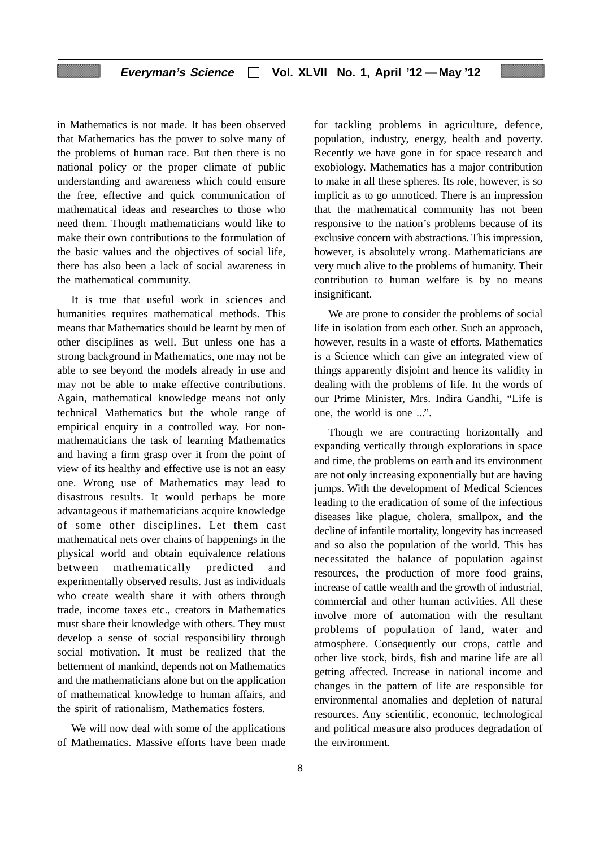in Mathematics is not made. It has been observed that Mathematics has the power to solve many of the problems of human race. But then there is no national policy or the proper climate of public understanding and awareness which could ensure the free, effective and quick communication of mathematical ideas and researches to those who need them. Though mathematicians would like to make their own contributions to the formulation of the basic values and the objectives of social life, there has also been a lack of social awareness in the mathematical community.

It is true that useful work in sciences and humanities requires mathematical methods. This means that Mathematics should be learnt by men of other disciplines as well. But unless one has a strong background in Mathematics, one may not be able to see beyond the models already in use and may not be able to make effective contributions. Again, mathematical knowledge means not only technical Mathematics but the whole range of empirical enquiry in a controlled way. For nonmathematicians the task of learning Mathematics and having a firm grasp over it from the point of view of its healthy and effective use is not an easy one. Wrong use of Mathematics may lead to disastrous results. It would perhaps be more advantageous if mathematicians acquire knowledge of some other disciplines. Let them cast mathematical nets over chains of happenings in the physical world and obtain equivalence relations between mathematically predicted and experimentally observed results. Just as individuals who create wealth share it with others through trade, income taxes etc., creators in Mathematics must share their knowledge with others. They must develop a sense of social responsibility through social motivation. It must be realized that the betterment of mankind, depends not on Mathematics and the mathematicians alone but on the application of mathematical knowledge to human affairs, and the spirit of rationalism, Mathematics fosters.

We will now deal with some of the applications of Mathematics. Massive efforts have been made for tackling problems in agriculture, defence, population, industry, energy, health and poverty. Recently we have gone in for space research and exobiology. Mathematics has a major contribution to make in all these spheres. Its role, however, is so implicit as to go unnoticed. There is an impression that the mathematical community has not been responsive to the nation's problems because of its exclusive concern with abstractions. This impression, however, is absolutely wrong. Mathematicians are very much alive to the problems of humanity. Their contribution to human welfare is by no means insignificant.

We are prone to consider the problems of social life in isolation from each other. Such an approach, however, results in a waste of efforts. Mathematics is a Science which can give an integrated view of things apparently disjoint and hence its validity in dealing with the problems of life. In the words of our Prime Minister, Mrs. Indira Gandhi, "Life is one, the world is one ...".

Though we are contracting horizontally and expanding vertically through explorations in space and time, the problems on earth and its environment are not only increasing exponentially but are having jumps. With the development of Medical Sciences leading to the eradication of some of the infectious diseases like plague, cholera, smallpox, and the decline of infantile mortality, longevity has increased and so also the population of the world. This has necessitated the balance of population against resources, the production of more food grains, increase of cattle wealth and the growth of industrial, commercial and other human activities. All these involve more of automation with the resultant problems of population of land, water and atmosphere. Consequently our crops, cattle and other live stock, birds, fish and marine life are all getting affected. Increase in national income and changes in the pattern of life are responsible for environmental anomalies and depletion of natural resources. Any scientific, economic, technological and political measure also produces degradation of the environment.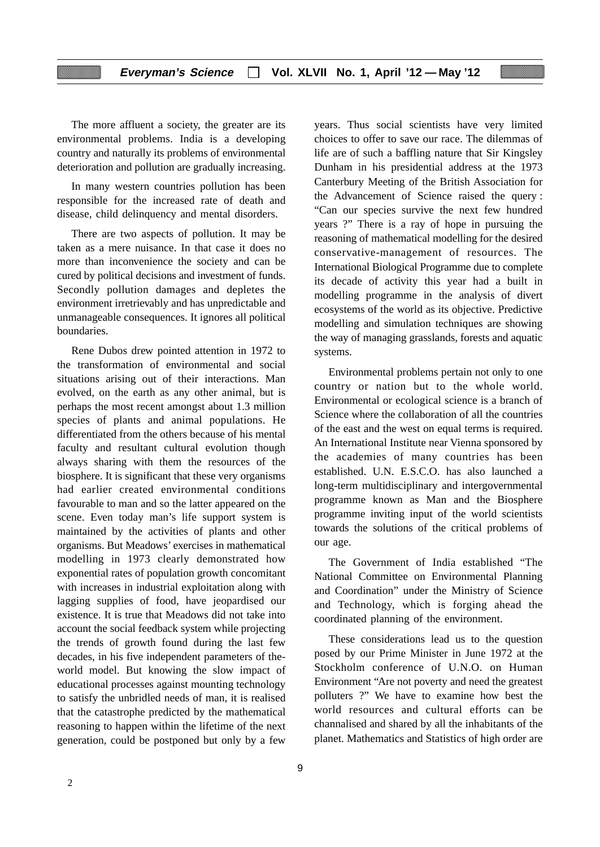The more affluent a society, the greater are its environmental problems. India is a developing country and naturally its problems of environmental deterioration and pollution are gradually increasing.

In many western countries pollution has been responsible for the increased rate of death and disease, child delinquency and mental disorders.

There are two aspects of pollution. It may be taken as a mere nuisance. In that case it does no more than inconvenience the society and can be cured by political decisions and investment of funds. Secondly pollution damages and depletes the environment irretrievably and has unpredictable and unmanageable consequences. It ignores all political boundaries.

Rene Dubos drew pointed attention in 1972 to the transformation of environmental and social situations arising out of their interactions. Man evolved, on the earth as any other animal, but is perhaps the most recent amongst about 1.3 million species of plants and animal populations. He differentiated from the others because of his mental faculty and resultant cultural evolution though always sharing with them the resources of the biosphere. It is significant that these very organisms had earlier created environmental conditions favourable to man and so the latter appeared on the scene. Even today man's life support system is maintained by the activities of plants and other organisms. But Meadows' exercises in mathematical modelling in 1973 clearly demonstrated how exponential rates of population growth concomitant with increases in industrial exploitation along with lagging supplies of food, have jeopardised our existence. It is true that Meadows did not take into account the social feedback system while projecting the trends of growth found during the last few decades, in his five independent parameters of theworld model. But knowing the slow impact of educational processes against mounting technology to satisfy the unbridled needs of man, it is realised that the catastrophe predicted by the mathematical reasoning to happen within the lifetime of the next generation, could be postponed but only by a few

years. Thus social scientists have very limited choices to offer to save our race. The dilemmas of life are of such a baffling nature that Sir Kingsley Dunham in his presidential address at the 1973 Canterbury Meeting of the British Association for the Advancement of Science raised the query : "Can our species survive the next few hundred years ?" There is a ray of hope in pursuing the reasoning of mathematical modelling for the desired conservative-management of resources. The International Biological Programme due to complete its decade of activity this year had a built in modelling programme in the analysis of divert ecosystems of the world as its objective. Predictive modelling and simulation techniques are showing the way of managing grasslands, forests and aquatic systems.

Environmental problems pertain not only to one country or nation but to the whole world. Environmental or ecological science is a branch of Science where the collaboration of all the countries of the east and the west on equal terms is required. An International Institute near Vienna sponsored by the academies of many countries has been established. U.N. E.S.C.O. has also launched a long-term multidisciplinary and intergovernmental programme known as Man and the Biosphere programme inviting input of the world scientists towards the solutions of the critical problems of our age.

The Government of India established "The National Committee on Environmental Planning and Coordination" under the Ministry of Science and Technology, which is forging ahead the coordinated planning of the environment.

These considerations lead us to the question posed by our Prime Minister in June 1972 at the Stockholm conference of U.N.O. on Human Environment "Are not poverty and need the greatest polluters ?" We have to examine how best the world resources and cultural efforts can be channalised and shared by all the inhabitants of the planet. Mathematics and Statistics of high order are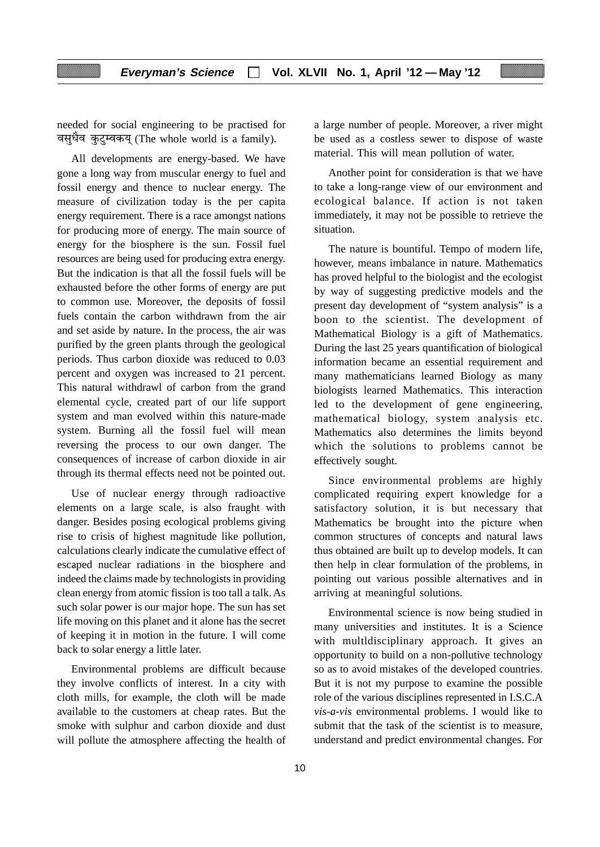needed for social engineering to be practised for वसुधैव कुटुम्वकयु (The whole world is a family).

All developments are energy-based. We have gone a long way from muscular energy to fuel and fossil energy and thence to nuclear energy. The measure of civilization today is the per capita energy requirement. There is a race amongst nations for producing more of energy. The main source of energy for the biosphere is the sun. Fossil fuel resources are being used for producing extra energy. But the indication is that all the fossil fuels will be exhausted before the other forms of energy are put to common use. Moreover, the deposits of fossil fuels contain the carbon withdrawn from the air and set aside by nature. In the process, the air was purified by the green plants through the geological periods. Thus carbon dioxide was reduced to 0.03 percent and oxygen was increased to 21 percent. This natural withdrawl of carbon from the grand elemental cycle, created part of our life support system and man evolved within this nature-made system. Burning all the fossil fuel will mean reversing the process to our own danger. The consequences of increase of carbon dioxide in air through its thermal effects need not be pointed out.

Use of nuclear energy through radioactive elements on a large scale, is also fraught with danger. Besides posing ecological problems giving rise to crisis of highest magnitude like pollution, calculations clearly indicate the cumulative effect of escaped nuclear radiations in the biosphere and indeed the claims made by technologists in providing clean energy from atomic fission is too tall a talk. As such solar power is our major hope. The sun has set life moving on this planet and it alone has the secret of keeping it in motion in the future. I will come back to solar energy a little later.

Environmental problems are difficult because they involve conflicts of interest. In a city with cloth mills, for example, the cloth will be made available to the customers at cheap rates. But the smoke with sulphur and carbon dioxide and dust will pollute the atmosphere affecting the health of a large number of people. Moreover, a river might be used as a costless sewer to dispose of waste material. This will mean pollution of water.

Another point for consideration is that we have to take a long-range view of our environment and ecological balance. If action is not taken immediately, it may not be possible to retrieve the situation.

The nature is bountiful. Tempo of modern life, however, means imbalance in nature. Mathematics has proved helpful to the biologist and the ecologist by way of suggesting predictive models and the present day development of "system analysis" is a boon to the scientist. The development of Mathematical Biology is a gift of Mathematics. During the last 25 years quantification of biological information became an essential requirement and many mathematicians learned Biology as many biologists learned Mathematics. This interaction led to the development of gene engineering, mathematical biology, system analysis etc. Mathematics also determines the limits beyond which the solutions to problems cannot be effectively sought.

Since environmental problems are highly complicated requiring expert knowledge for a satisfactory solution, it is but necessary that Mathematics be brought into the picture when common structures of concepts and natural laws thus obtained are built up to develop models. It can then help in clear formulation of the problems, in pointing out various possible alternatives and in arriving at meaningful solutions.

Environmental science is now being studied in many universities and institutes. It is a Science with multldisciplinary approach. It gives an opportunity to build on a non-pollutive technology so as to avoid mistakes of the developed countries. But it is not my purpose to examine the possible role of the various disciplines represented in I.S.C.A *vis-a-vis* environmental problems. I would like to submit that the task of the scientist is to measure, understand and predict environmental changes. For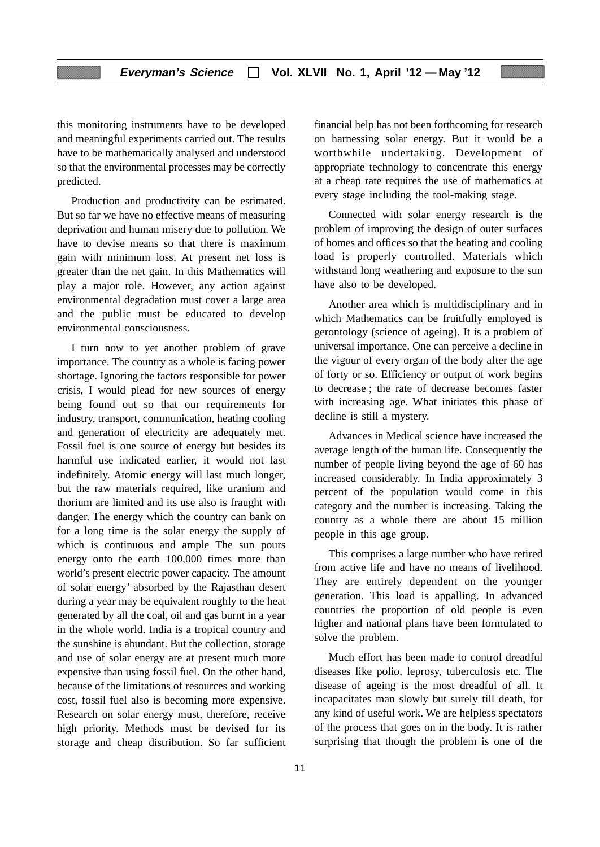this monitoring instruments have to be developed and meaningful experiments carried out. The results have to be mathematically analysed and understood so that the environmental processes may be correctly predicted.

Production and productivity can be estimated. But so far we have no effective means of measuring deprivation and human misery due to pollution. We have to devise means so that there is maximum gain with minimum loss. At present net loss is greater than the net gain. In this Mathematics will play a major role. However, any action against environmental degradation must cover a large area and the public must be educated to develop environmental consciousness.

I turn now to yet another problem of grave importance. The country as a whole is facing power shortage. Ignoring the factors responsible for power crisis, I would plead for new sources of energy being found out so that our requirements for industry, transport, communication, heating cooling and generation of electricity are adequately met. Fossil fuel is one source of energy but besides its harmful use indicated earlier, it would not last indefinitely. Atomic energy will last much longer, but the raw materials required, like uranium and thorium are limited and its use also is fraught with danger. The energy which the country can bank on for a long time is the solar energy the supply of which is continuous and ample The sun pours energy onto the earth 100,000 times more than world's present electric power capacity. The amount of solar energy' absorbed by the Rajasthan desert during a year may be equivalent roughly to the heat generated by all the coal, oil and gas burnt in a year in the whole world. India is a tropical country and the sunshine is abundant. But the collection, storage and use of solar energy are at present much more expensive than using fossil fuel. On the other hand, because of the limitations of resources and working cost, fossil fuel also is becoming more expensive. Research on solar energy must, therefore, receive high priority. Methods must be devised for its storage and cheap distribution. So far sufficient financial help has not been forthcoming for research on harnessing solar energy. But it would be a worthwhile undertaking. Development of appropriate technology to concentrate this energy at a cheap rate requires the use of mathematics at every stage including the tool-making stage.

Connected with solar energy research is the problem of improving the design of outer surfaces of homes and offices so that the heating and cooling load is properly controlled. Materials which withstand long weathering and exposure to the sun have also to be developed.

Another area which is multidisciplinary and in which Mathematics can be fruitfully employed is gerontology (science of ageing). It is a problem of universal importance. One can perceive a decline in the vigour of every organ of the body after the age of forty or so. Efficiency or output of work begins to decrease ; the rate of decrease becomes faster with increasing age. What initiates this phase of decline is still a mystery.

Advances in Medical science have increased the average length of the human life. Consequently the number of people living beyond the age of 60 has increased considerably. In India approximately 3 percent of the population would come in this category and the number is increasing. Taking the country as a whole there are about 15 million people in this age group.

This comprises a large number who have retired from active life and have no means of livelihood. They are entirely dependent on the younger generation. This load is appalling. In advanced countries the proportion of old people is even higher and national plans have been formulated to solve the problem.

Much effort has been made to control dreadful diseases like polio, leprosy, tuberculosis etc. The disease of ageing is the most dreadful of all. It incapacitates man slowly but surely till death, for any kind of useful work. We are helpless spectators of the process that goes on in the body. It is rather surprising that though the problem is one of the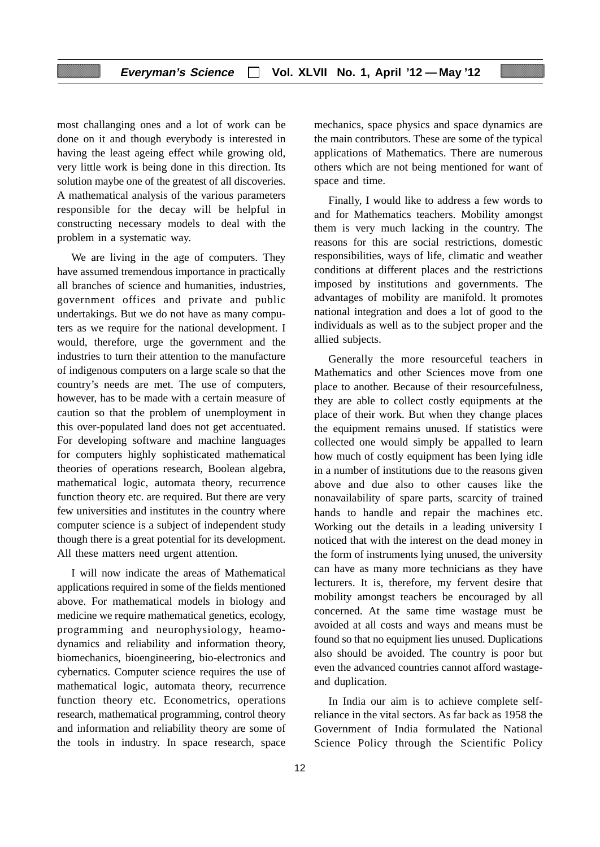most challanging ones and a lot of work can be done on it and though everybody is interested in having the least ageing effect while growing old, very little work is being done in this direction. Its solution maybe one of the greatest of all discoveries. A mathematical analysis of the various parameters responsible for the decay will be helpful in constructing necessary models to deal with the problem in a systematic way.

We are living in the age of computers. They have assumed tremendous importance in practically all branches of science and humanities, industries, government offices and private and public undertakings. But we do not have as many computers as we require for the national development. I would, therefore, urge the government and the industries to turn their attention to the manufacture of indigenous computers on a large scale so that the country's needs are met. The use of computers, however, has to be made with a certain measure of caution so that the problem of unemployment in this over-populated land does not get accentuated. For developing software and machine languages for computers highly sophisticated mathematical theories of operations research, Boolean algebra, mathematical logic, automata theory, recurrence function theory etc. are required. But there are very few universities and institutes in the country where computer science is a subject of independent study though there is a great potential for its development. All these matters need urgent attention.

I will now indicate the areas of Mathematical applications required in some of the fields mentioned above. For mathematical models in biology and medicine we require mathematical genetics, ecology, programming and neurophysiology, heamodynamics and reliability and information theory, biomechanics, bioengineering, bio-electronics and cybernatics. Computer science requires the use of mathematical logic, automata theory, recurrence function theory etc. Econometrics, operations research, mathematical programming, control theory and information and reliability theory are some of the tools in industry. In space research, space

mechanics, space physics and space dynamics are the main contributors. These are some of the typical applications of Mathematics. There are numerous others which are not being mentioned for want of space and time.

Finally, I would like to address a few words to and for Mathematics teachers. Mobility amongst them is very much lacking in the country. The reasons for this are social restrictions, domestic responsibilities, ways of life, climatic and weather conditions at different places and the restrictions imposed by institutions and governments. The advantages of mobility are manifold. lt promotes national integration and does a lot of good to the individuals as well as to the subject proper and the allied subjects.

Generally the more resourceful teachers in Mathematics and other Sciences move from one place to another. Because of their resourcefulness, they are able to collect costly equipments at the place of their work. But when they change places the equipment remains unused. If statistics were collected one would simply be appalled to learn how much of costly equipment has been lying idle in a number of institutions due to the reasons given above and due also to other causes like the nonavailability of spare parts, scarcity of trained hands to handle and repair the machines etc. Working out the details in a leading university I noticed that with the interest on the dead money in the form of instruments lying unused, the university can have as many more technicians as they have lecturers. It is, therefore, my fervent desire that mobility amongst teachers be encouraged by all concerned. At the same time wastage must be avoided at all costs and ways and means must be found so that no equipment lies unused. Duplications also should be avoided. The country is poor but even the advanced countries cannot afford wastageand duplication.

In India our aim is to achieve complete selfreliance in the vital sectors. As far back as 1958 the Government of India formulated the National Science Policy through the Scientific Policy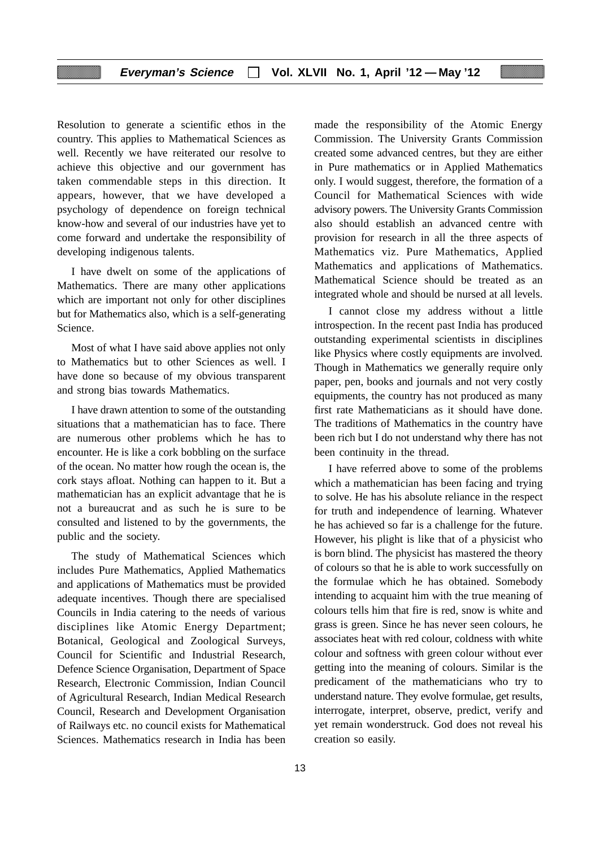Resolution to generate a scientific ethos in the country. This applies to Mathematical Sciences as well. Recently we have reiterated our resolve to achieve this objective and our government has taken commendable steps in this direction. It appears, however, that we have developed a psychology of dependence on foreign technical know-how and several of our industries have yet to come forward and undertake the responsibility of developing indigenous talents.

I have dwelt on some of the applications of Mathematics. There are many other applications which are important not only for other disciplines but for Mathematics also, which is a self-generating Science.

Most of what I have said above applies not only to Mathematics but to other Sciences as well. I have done so because of my obvious transparent and strong bias towards Mathematics.

I have drawn attention to some of the outstanding situations that a mathematician has to face. There are numerous other problems which he has to encounter. He is like a cork bobbling on the surface of the ocean. No matter how rough the ocean is, the cork stays afloat. Nothing can happen to it. But a mathematician has an explicit advantage that he is not a bureaucrat and as such he is sure to be consulted and listened to by the governments, the public and the society.

The study of Mathematical Sciences which includes Pure Mathematics, Applied Mathematics and applications of Mathematics must be provided adequate incentives. Though there are specialised Councils in India catering to the needs of various disciplines like Atomic Energy Department; Botanical, Geological and Zoological Surveys, Council for Scientific and Industrial Research, Defence Science Organisation, Department of Space Research, Electronic Commission, Indian Council of Agricultural Research, Indian Medical Research Council, Research and Development Organisation of Railways etc. no council exists for Mathematical Sciences. Mathematics research in India has been

made the responsibility of the Atomic Energy Commission. The University Grants Commission created some advanced centres, but they are either in Pure mathematics or in Applied Mathematics only. I would suggest, therefore, the formation of a Council for Mathematical Sciences with wide advisory powers. The University Grants Commission also should establish an advanced centre with provision for research in all the three aspects of Mathematics viz. Pure Mathematics, Applied Mathematics and applications of Mathematics. Mathematical Science should be treated as an integrated whole and should be nursed at all levels.

I cannot close my address without a little introspection. In the recent past India has produced outstanding experimental scientists in disciplines like Physics where costly equipments are involved. Though in Mathematics we generally require only paper, pen, books and journals and not very costly equipments, the country has not produced as many first rate Mathematicians as it should have done. The traditions of Mathematics in the country have been rich but I do not understand why there has not been continuity in the thread.

I have referred above to some of the problems which a mathematician has been facing and trying to solve. He has his absolute reliance in the respect for truth and independence of learning. Whatever he has achieved so far is a challenge for the future. However, his plight is like that of a physicist who is born blind. The physicist has mastered the theory of colours so that he is able to work successfully on the formulae which he has obtained. Somebody intending to acquaint him with the true meaning of colours tells him that fire is red, snow is white and grass is green. Since he has never seen colours, he associates heat with red colour, coldness with white colour and softness with green colour without ever getting into the meaning of colours. Similar is the predicament of the mathematicians who try to understand nature. They evolve formulae, get results, interrogate, interpret, observe, predict, verify and yet remain wonderstruck. God does not reveal his creation so easily.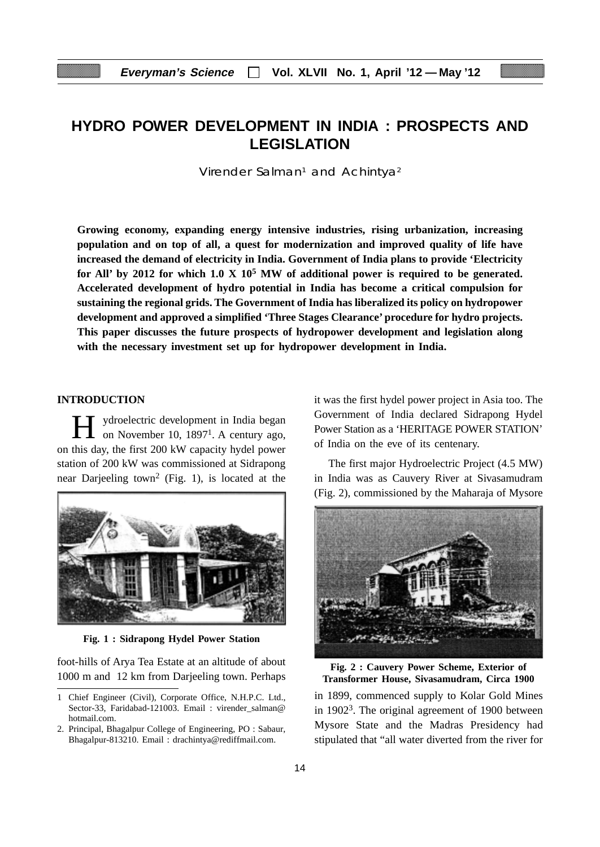# **HYDRO POWER DEVELOPMENT IN INDIA : PROSPECTS AND LEGISLATION**

Virender Salman<sup>1</sup> and Achintya<sup>2</sup>

**Growing economy, expanding energy intensive industries, rising urbanization, increasing population and on top of all, a quest for modernization and improved quality of life have increased the demand of electricity in India. Government of India plans to provide 'Electricity for All' by 2012 for which 1.0 X 105 MW of additional power is required to be generated. Accelerated development of hydro potential in India has become a critical compulsion for sustaining the regional grids. The Government of India has liberalized its policy on hydropower development and approved a simplified 'Three Stages Clearance' procedure for hydro projects. This paper discusses the future prospects of hydropower development and legislation along with the necessary investment set up for hydropower development in India.**

#### **INTRODUCTION**

H ydroelectric development in India began<br>on November 10, 1897<sup>1</sup>. A century ago, on this day, the first 200 kW capacity hydel power station of 200 kW was commissioned at Sidrapong near Darjeeling town2 (Fig. 1), is located at the



**Fig. 1 : Sidrapong Hydel Power Station**

foot-hills of Arya Tea Estate at an altitude of about 1000 m and 12 km from Darjeeling town. Perhaps it was the first hydel power project in Asia too. The Government of India declared Sidrapong Hydel Power Station as a 'HERITAGE POWER STATION' of India on the eve of its centenary.

The first major Hydroelectric Project (4.5 MW) in India was as Cauvery River at Sivasamudram (Fig. 2), commissioned by the Maharaja of Mysore



**Fig. 2 : Cauvery Power Scheme, Exterior of Transformer House, Sivasamudram, Circa 1900**

in 1899, commenced supply to Kolar Gold Mines in 19023. The original agreement of 1900 between Mysore State and the Madras Presidency had stipulated that "all water diverted from the river for

<sup>1</sup> Chief Engineer (Civil), Corporate Office, N.H.P.C. Ltd., Sector-33, Faridabad-121003. Email : virender\_salman@ hotmail.com.

<sup>2.</sup> Principal, Bhagalpur College of Engineering, PO : Sabaur, Bhagalpur-813210. Email : drachintya@rediffmail.com.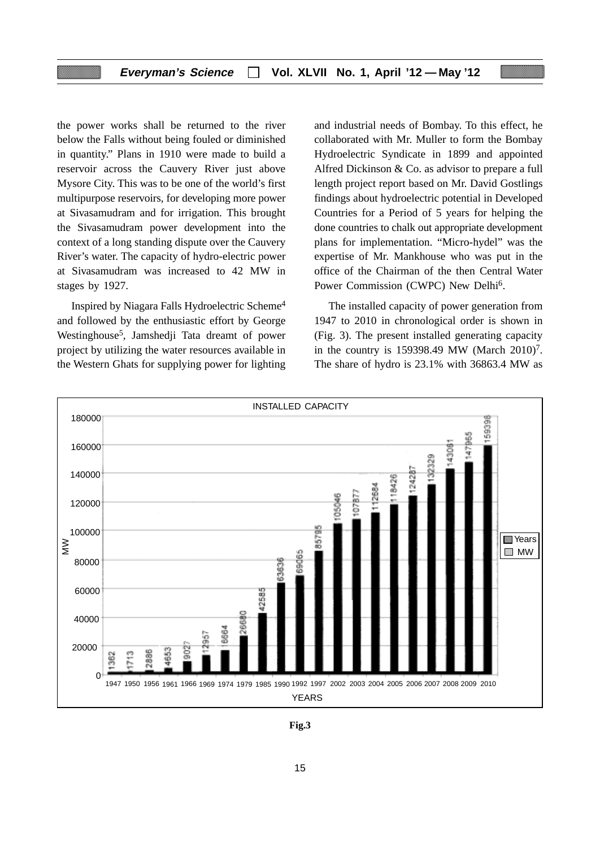the power works shall be returned to the river below the Falls without being fouled or diminished in quantity." Plans in 1910 were made to build a reservoir across the Cauvery River just above Mysore City. This was to be one of the world's first multipurpose reservoirs, for developing more power at Sivasamudram and for irrigation. This brought the Sivasamudram power development into the context of a long standing dispute over the Cauvery River's water. The capacity of hydro-electric power at Sivasamudram was increased to 42 MW in stages by 1927.

Inspired by Niagara Falls Hydroelectric Scheme4 and followed by the enthusiastic effort by George Westinghouse5, Jamshedji Tata dreamt of power project by utilizing the water resources available in the Western Ghats for supplying power for lighting and industrial needs of Bombay. To this effect, he collaborated with Mr. Muller to form the Bombay Hydroelectric Syndicate in 1899 and appointed Alfred Dickinson & Co. as advisor to prepare a full length project report based on Mr. David Gostlings findings about hydroelectric potential in Developed Countries for a Period of 5 years for helping the done countries to chalk out appropriate development plans for implementation. "Micro-hydel" was the expertise of Mr. Mankhouse who was put in the office of the Chairman of the then Central Water Power Commission (CWPC) New Delhi6.

The installed capacity of power generation from 1947 to 2010 in chronological order is shown in (Fig. 3). The present installed generating capacity in the country is  $159398.49$  MW (March 2010)<sup>7</sup>. The share of hydro is 23.1% with 36863.4 MW as



**Fig.3**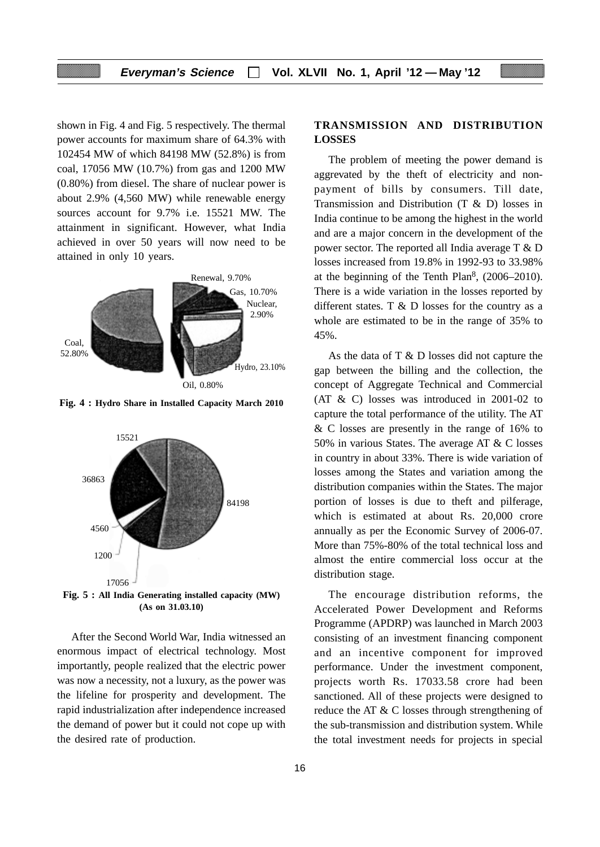shown in Fig. 4 and Fig. 5 respectively. The thermal power accounts for maximum share of 64.3% with 102454 MW of which 84198 MW (52.8%) is from coal, 17056 MW (10.7%) from gas and 1200 MW (0.80%) from diesel. The share of nuclear power is about 2.9% (4,560 MW) while renewable energy sources account for 9.7% i.e. 15521 MW. The attainment in significant. However, what India achieved in over 50 years will now need to be attained in only 10 years.



**Fig. 4 : Hydro Share in Installed Capacity March 2010**



**Fig. 5 : All India Generating installed capacity (MW) (As on 31.03.10)**

After the Second World War, India witnessed an enormous impact of electrical technology. Most importantly, people realized that the electric power was now a necessity, not a luxury, as the power was the lifeline for prosperity and development. The rapid industrialization after independence increased the demand of power but it could not cope up with the desired rate of production.

## **TRANSMISSION AND DISTRIBUTION LOSSES**

The problem of meeting the power demand is aggrevated by the theft of electricity and nonpayment of bills by consumers. Till date, Transmission and Distribution (T & D) losses in India continue to be among the highest in the world and are a major concern in the development of the power sector. The reported all India average T & D losses increased from 19.8% in 1992-93 to 33.98% at the beginning of the Tenth Plan<sup>8</sup>,  $(2006-2010)$ . There is a wide variation in the losses reported by different states. T  $\&$  D losses for the country as a whole are estimated to be in the range of 35% to 45%.

As the data of T & D losses did not capture the gap between the billing and the collection, the concept of Aggregate Technical and Commercial (AT & C) losses was introduced in 2001-02 to capture the total performance of the utility. The AT & C losses are presently in the range of 16% to 50% in various States. The average AT & C losses in country in about 33%. There is wide variation of losses among the States and variation among the distribution companies within the States. The major portion of losses is due to theft and pilferage, which is estimated at about Rs. 20,000 crore annually as per the Economic Survey of 2006-07. More than 75%-80% of the total technical loss and almost the entire commercial loss occur at the distribution stage.

The encourage distribution reforms, the Accelerated Power Development and Reforms Programme (APDRP) was launched in March 2003 consisting of an investment financing component and an incentive component for improved performance. Under the investment component, projects worth Rs. 17033.58 crore had been sanctioned. All of these projects were designed to reduce the AT & C losses through strengthening of the sub-transmission and distribution system. While the total investment needs for projects in special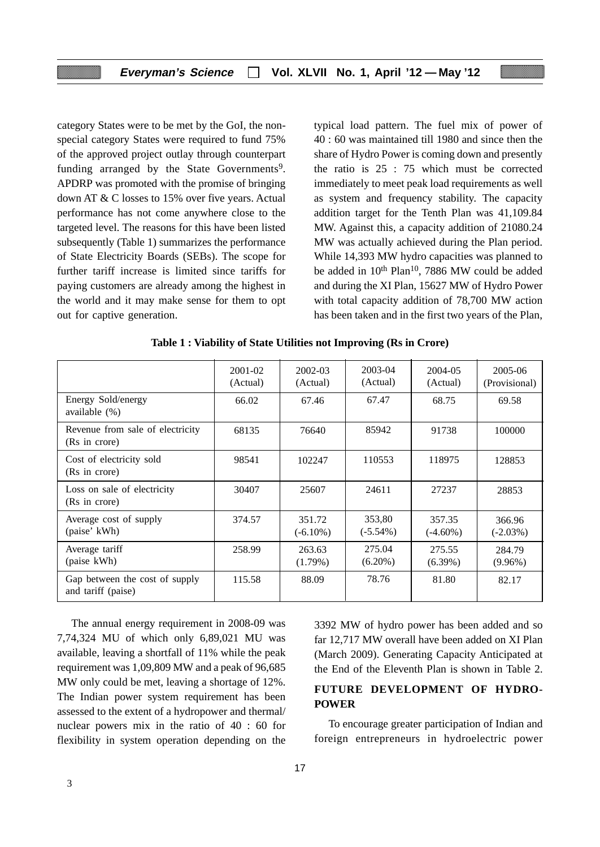category States were to be met by the GoI, the nonspecial category States were required to fund 75% of the approved project outlay through counterpart funding arranged by the State Governments<sup>9</sup>. APDRP was promoted with the promise of bringing down AT & C losses to 15% over five years. Actual performance has not come anywhere close to the targeted level. The reasons for this have been listed subsequently (Table 1) summarizes the performance of State Electricity Boards (SEBs). The scope for further tariff increase is limited since tariffs for paying customers are already among the highest in the world and it may make sense for them to opt out for captive generation.

typical load pattern. The fuel mix of power of 40 : 60 was maintained till 1980 and since then the share of Hydro Power is coming down and presently the ratio is 25 : 75 which must be corrected immediately to meet peak load requirements as well as system and frequency stability. The capacity addition target for the Tenth Plan was 41,109.84 MW. Against this, a capacity addition of 21080.24 MW was actually achieved during the Plan period. While 14,393 MW hydro capacities was planned to be added in 10<sup>th</sup> Plan<sup>10</sup>, 7886 MW could be added and during the XI Plan, 15627 MW of Hydro Power with total capacity addition of 78,700 MW action has been taken and in the first two years of the Plan,

|                                                      | 2001-02<br>(Actual) | 2002-03<br>(Actual)   | 2003-04<br>(Actual)   | 2004-05<br>(Actual)   | 2005-06<br>(Provisional) |
|------------------------------------------------------|---------------------|-----------------------|-----------------------|-----------------------|--------------------------|
| Energy Sold/energy<br>available $(\%)$               | 66.02               | 67.46                 | 67.47                 | 68.75                 | 69.58                    |
| Revenue from sale of electricity<br>(Rs in crore)    | 68135               | 76640                 | 85942                 | 91738                 | 100000                   |
| Cost of electricity sold<br>(Rs in crore)            | 98541               | 102247                | 110553                | 118975                | 128853                   |
| Loss on sale of electricity<br>(Rs in crore)         | 30407               | 25607                 | 24611                 | 27237                 | 28853                    |
| Average cost of supply<br>(paise' kWh)               | 374.57              | 351.72<br>$(-6.10\%)$ | 353,80<br>$(-5.54\%)$ | 357.35<br>$(-4.60\%)$ | 366.96<br>$(-2.03\%)$    |
| Average tariff<br>(paise kWh)                        | 258.99              | 263.63<br>$(1.79\%)$  | 275.04<br>$(6.20\%)$  | 275.55<br>$(6.39\%)$  | 284.79<br>$(9.96\%)$     |
| Gap between the cost of supply<br>and tariff (paise) | 115.58              | 88.09                 | 78.76                 | 81.80                 | 82.17                    |

**Table 1 : Viability of State Utilities not Improving (Rs in Crore)**

The annual energy requirement in 2008-09 was 7,74,324 MU of which only 6,89,021 MU was available, leaving a shortfall of 11% while the peak requirement was 1,09,809 MW and a peak of 96,685 MW only could be met, leaving a shortage of 12%. The Indian power system requirement has been assessed to the extent of a hydropower and thermal/ nuclear powers mix in the ratio of 40 : 60 for flexibility in system operation depending on the 3392 MW of hydro power has been added and so far 12,717 MW overall have been added on XI Plan (March 2009). Generating Capacity Anticipated at the End of the Eleventh Plan is shown in Table 2.

## **FUTURE DEVELOPMENT OF HYDRO-POWER**

To encourage greater participation of Indian and foreign entrepreneurs in hydroelectric power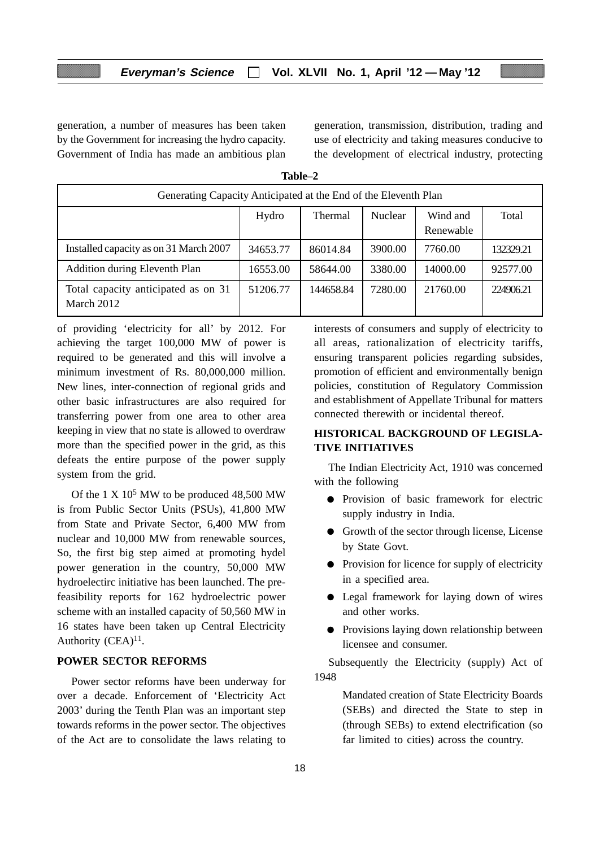generation, a number of measures has been taken by the Government for increasing the hydro capacity. Government of India has made an ambitious plan generation, transmission, distribution, trading and use of electricity and taking measures conducive to the development of electrical industry, protecting

| Generating Capacity Anticipated at the End of the Eleventh Plan |          |                |         |                       |           |
|-----------------------------------------------------------------|----------|----------------|---------|-----------------------|-----------|
|                                                                 | Hydro    | <b>Thermal</b> | Nuclear | Wind and<br>Renewable | Total     |
| Installed capacity as on 31 March 2007                          | 34653.77 | 86014.84       | 3900.00 | 7760.00               | 132329.21 |
| <b>Addition during Eleventh Plan</b>                            | 16553.00 | 58644.00       | 3380.00 | 14000.00              | 92577.00  |
| Total capacity anticipated as on 31<br>March 2012               | 51206.77 | 144658.84      | 7280.00 | 21760.00              | 224906.21 |

**Table–2**

of providing 'electricity for all' by 2012. For achieving the target 100,000 MW of power is required to be generated and this will involve a minimum investment of Rs. 80,000,000 million. New lines, inter-connection of regional grids and other basic infrastructures are also required for transferring power from one area to other area keeping in view that no state is allowed to overdraw more than the specified power in the grid, as this defeats the entire purpose of the power supply system from the grid.

Of the  $1 \times 10^5$  MW to be produced 48,500 MW is from Public Sector Units (PSUs), 41,800 MW from State and Private Sector, 6,400 MW from nuclear and 10,000 MW from renewable sources, So, the first big step aimed at promoting hydel power generation in the country, 50,000 MW hydroelectirc initiative has been launched. The prefeasibility reports for 162 hydroelectric power scheme with an installed capacity of 50,560 MW in 16 states have been taken up Central Electricity Authority (CEA)<sup>11</sup>.

#### **POWER SECTOR REFORMS**

Power sector reforms have been underway for over a decade. Enforcement of 'Electricity Act 2003' during the Tenth Plan was an important step towards reforms in the power sector. The objectives of the Act are to consolidate the laws relating to

interests of consumers and supply of electricity to all areas, rationalization of electricity tariffs, ensuring transparent policies regarding subsides, promotion of efficient and environmentally benign policies, constitution of Regulatory Commission and establishment of Appellate Tribunal for matters connected therewith or incidental thereof.

## **HISTORICAL BACKGROUND OF LEGISLA-TIVE INITIATIVES**

The Indian Electricity Act, 1910 was concerned with the following

- Provision of basic framework for electric supply industry in India.
- Growth of the sector through license, License by State Govt.
- Provision for licence for supply of electricity in a specified area.
- Legal framework for laying down of wires and other works.
- Provisions laying down relationship between licensee and consumer.

Subsequently the Electricity (supply) Act of 1948

> Mandated creation of State Electricity Boards (SEBs) and directed the State to step in (through SEBs) to extend electrification (so far limited to cities) across the country.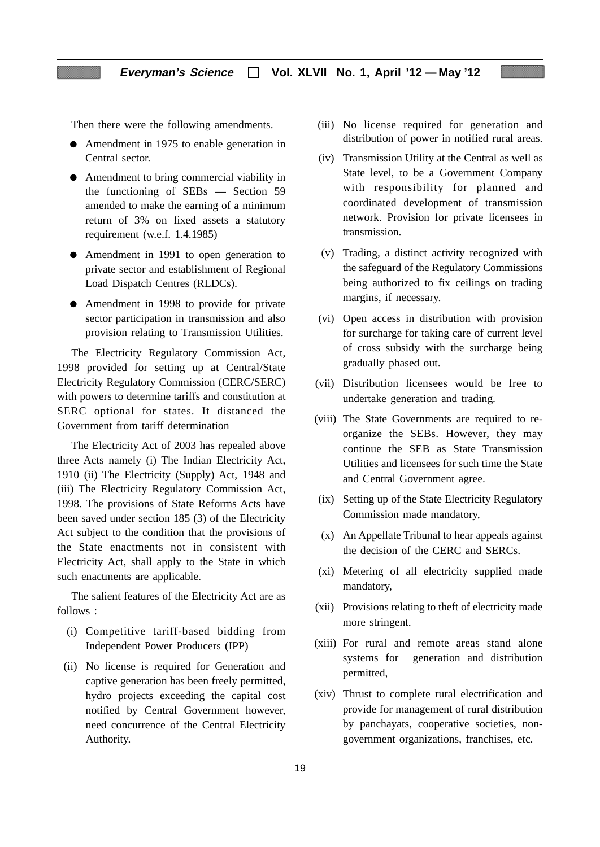Then there were the following amendments.

- Amendment in 1975 to enable generation in Central sector.
- Amendment to bring commercial viability in the functioning of SEBs — Section 59 amended to make the earning of a minimum return of 3% on fixed assets a statutory requirement (w.e.f. 1.4.1985)
- Amendment in 1991 to open generation to private sector and establishment of Regional Load Dispatch Centres (RLDCs).
- Amendment in 1998 to provide for private sector participation in transmission and also provision relating to Transmission Utilities.

The Electricity Regulatory Commission Act, 1998 provided for setting up at Central/State Electricity Regulatory Commission (CERC/SERC) with powers to determine tariffs and constitution at SERC optional for states. It distanced the Government from tariff determination

The Electricity Act of 2003 has repealed above three Acts namely (i) The Indian Electricity Act, 1910 (ii) The Electricity (Supply) Act, 1948 and (iii) The Electricity Regulatory Commission Act, 1998. The provisions of State Reforms Acts have been saved under section 185 (3) of the Electricity Act subject to the condition that the provisions of the State enactments not in consistent with Electricity Act, shall apply to the State in which such enactments are applicable.

The salient features of the Electricity Act are as follows :

- (i) Competitive tariff-based bidding from Independent Power Producers (IPP)
- (ii) No license is required for Generation and captive generation has been freely permitted, hydro projects exceeding the capital cost notified by Central Government however, need concurrence of the Central Electricity Authority.
- (iii) No license required for generation and distribution of power in notified rural areas.
- (iv) Transmission Utility at the Central as well as State level, to be a Government Company with responsibility for planned and coordinated development of transmission network. Provision for private licensees in transmission.
- (v) Trading, a distinct activity recognized with the safeguard of the Regulatory Commissions being authorized to fix ceilings on trading margins, if necessary.
- (vi) Open access in distribution with provision for surcharge for taking care of current level of cross subsidy with the surcharge being gradually phased out.
- (vii) Distribution licensees would be free to undertake generation and trading.
- (viii) The State Governments are required to reorganize the SEBs. However, they may continue the SEB as State Transmission Utilities and licensees for such time the State and Central Government agree.
- (ix) Setting up of the State Electricity Regulatory Commission made mandatory,
- (x) An Appellate Tribunal to hear appeals against the decision of the CERC and SERCs.
- (xi) Metering of all electricity supplied made mandatory,
- (xii) Provisions relating to theft of electricity made more stringent.
- (xiii) For rural and remote areas stand alone systems for generation and distribution permitted,
- (xiv) Thrust to complete rural electrification and provide for management of rural distribution by panchayats, cooperative societies, nongovernment organizations, franchises, etc.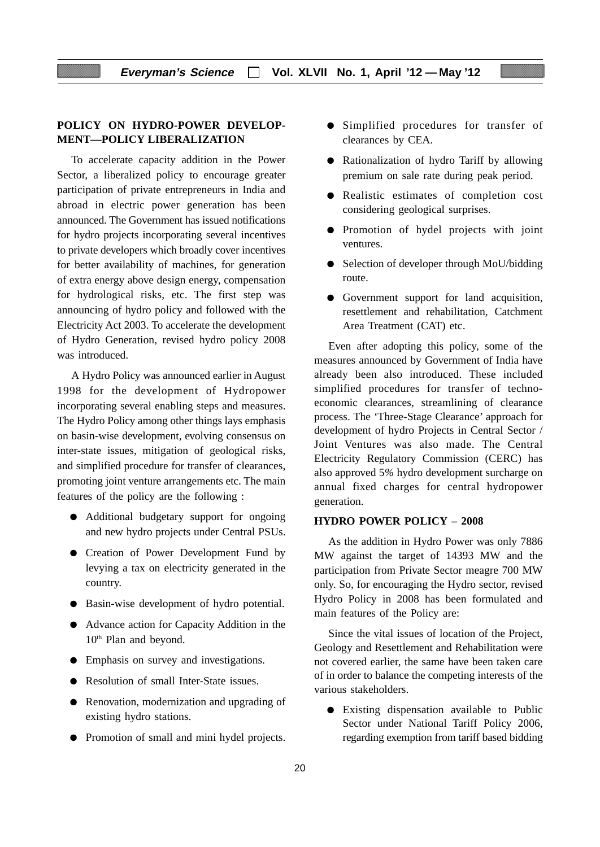#### **POLICY ON HYDRO-POWER DEVELOP-MENT—POLICY LIBERALIZATION**

To accelerate capacity addition in the Power Sector, a liberalized policy to encourage greater participation of private entrepreneurs in India and abroad in electric power generation has been announced. The Government has issued notifications for hydro projects incorporating several incentives to private developers which broadly cover incentives for better availability of machines, for generation of extra energy above design energy, compensation for hydrological risks, etc. The first step was announcing of hydro policy and followed with the Electricity Act 2003. To accelerate the development of Hydro Generation, revised hydro policy 2008 was introduced.

A Hydro Policy was announced earlier in August 1998 for the development of Hydropower incorporating several enabling steps and measures. The Hydro Policy among other things lays emphasis on basin-wise development, evolving consensus on inter-state issues, mitigation of geological risks, and simplified procedure for transfer of clearances, promoting joint venture arrangements etc. The main features of the policy are the following :

- Additional budgetary support for ongoing and new hydro projects under Central PSUs.
- Creation of Power Development Fund by levying a tax on electricity generated in the country.
- Basin-wise development of hydro potential.
- Advance action for Capacity Addition in the 10<sup>th</sup> Plan and beyond.
- Emphasis on survey and investigations.
- Resolution of small Inter-State issues.
- Renovation, modernization and upgrading of existing hydro stations.
- Promotion of small and mini hydel projects.
- Simplified procedures for transfer of clearances by CEA.
- Rationalization of hydro Tariff by allowing premium on sale rate during peak period.
- Realistic estimates of completion cost considering geological surprises.
- Promotion of hydel projects with joint ventures.
- Selection of developer through MoU/bidding route.
- Government support for land acquisition, resettlement and rehabilitation, Catchment Area Treatment (CAT) etc.

Even after adopting this policy, some of the measures announced by Government of India have already been also introduced. These included simplified procedures for transfer of technoeconomic clearances, streamlining of clearance process. The 'Three-Stage Clearance' approach for development of hydro Projects in Central Sector / Joint Ventures was also made. The Central Electricity Regulatory Commission (CERC) has also approved 5*%* hydro development surcharge on annual fixed charges for central hydropower generation.

#### **HYDRO POWER POLICY – 2008**

As the addition in Hydro Power was only 7886 MW against the target of 14393 MW and the participation from Private Sector meagre 700 MW only. So, for encouraging the Hydro sector, revised Hydro Policy in 2008 has been formulated and main features of the Policy are:

Since the vital issues of location of the Project, Geology and Resettlement and Rehabilitation were not covered earlier, the same have been taken care of in order to balance the competing interests of the various stakeholders.

● Existing dispensation available to Public Sector under National Tariff Policy 2006, regarding exemption from tariff based bidding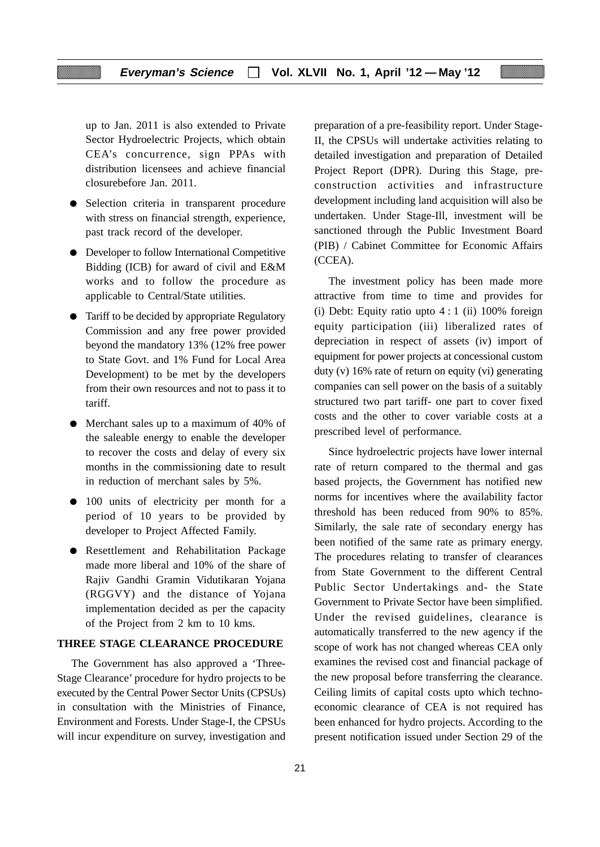up to Jan. 2011 is also extended to Private Sector Hydroelectric Projects, which obtain CEA's concurrence, sign PPAs with distribution licensees and achieve financial closurebefore Jan. 2011.

- Selection criteria in transparent procedure with stress on financial strength, experience, past track record of the developer.
- Developer to follow International Competitive Bidding (ICB) for award of civil and E&M works and to follow the procedure as applicable to Central/State utilities.
- Tariff to be decided by appropriate Regulatory Commission and any free power provided beyond the mandatory 13% (12% free power to State Govt. and 1% Fund for Local Area Development) to be met by the developers from their own resources and not to pass it to tariff.
- Merchant sales up to a maximum of 40% of the saleable energy to enable the developer to recover the costs and delay of every six months in the commissioning date to result in reduction of merchant sales by 5%.
- 100 units of electricity per month for a period of 10 years to be provided by developer to Project Affected Family.
- Resettlement and Rehabilitation Package made more liberal and 10% of the share of Rajiv Gandhi Gramin Vidutikaran Yojana (RGGVY) and the distance of Yojana implementation decided as per the capacity of the Project from 2 km to 10 kms.

#### **THREE STAGE CLEARANCE PROCEDURE**

The Government has also approved a 'Three-Stage Clearance' procedure for hydro projects to be executed by the Central Power Sector Units (CPSUs) in consultation with the Ministries of Finance, Environment and Forests. Under Stage-I, the CPSUs will incur expenditure on survey, investigation and preparation of a pre-feasibility report. Under Stage-II, the CPSUs will undertake activities relating to detailed investigation and preparation of Detailed Project Report (DPR). During this Stage, preconstruction activities and infrastructure development including land acquisition will also be undertaken. Under Stage-Ill, investment will be sanctioned through the Public Investment Board (PIB) / Cabinet Committee for Economic Affairs (CCEA).

The investment policy has been made more attractive from time to time and provides for (i) Debt: Equity ratio upto  $4:1$  (ii) 100% foreign equity participation (iii) liberalized rates of depreciation in respect of assets (iv) import of equipment for power projects at concessional custom duty (v) 16% rate of return on equity (vi) generating companies can sell power on the basis of a suitably structured two part tariff- one part to cover fixed costs and the other to cover variable costs at a prescribed level of performance.

Since hydroelectric projects have lower internal rate of return compared to the thermal and gas based projects, the Government has notified new norms for incentives where the availability factor threshold has been reduced from 90% to 85%. Similarly, the sale rate of secondary energy has been notified of the same rate as primary energy. The procedures relating to transfer of clearances from State Government to the different Central Public Sector Undertakings and- the State Government to Private Sector have been simplified. Under the revised guidelines, clearance is automatically transferred to the new agency if the scope of work has not changed whereas CEA only examines the revised cost and financial package of the new proposal before transferring the clearance. Ceiling limits of capital costs upto which technoeconomic clearance of CEA is not required has been enhanced for hydro projects. According to the present notification issued under Section 29 of the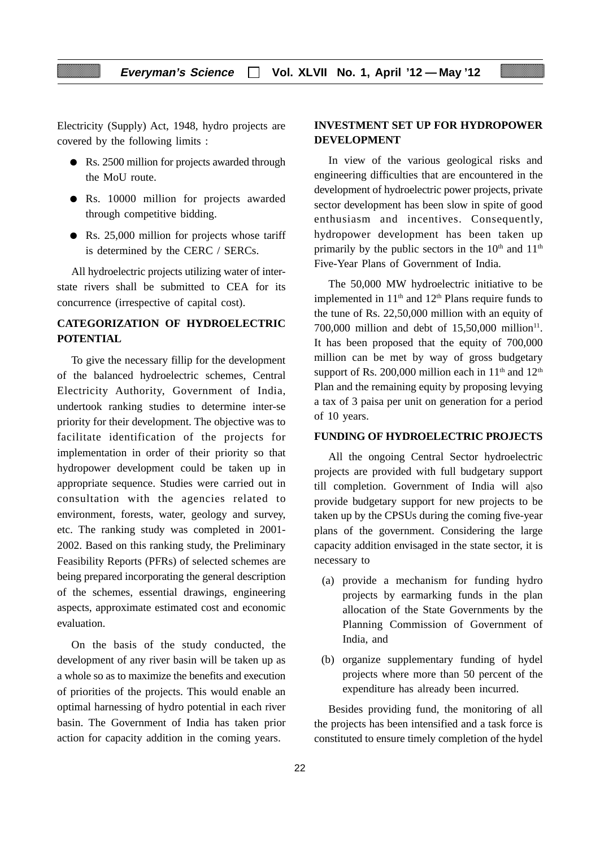Electricity (Supply) Act, 1948, hydro projects are covered by the following limits :

- Rs. 2500 million for projects awarded through the MoU route.
- Rs. 10000 million for projects awarded through competitive bidding.
- Rs. 25,000 million for projects whose tariff is determined by the CERC / SERCs.

All hydroelectric projects utilizing water of interstate rivers shall be submitted to CEA for its concurrence (irrespective of capital cost).

# **CATEGORIZATION OF HYDROELECTRIC POTENTIAL**

To give the necessary fillip for the development of the balanced hydroelectric schemes, Central Electricity Authority, Government of India, undertook ranking studies to determine inter-se priority for their development. The objective was to facilitate identification of the projects for implementation in order of their priority so that hydropower development could be taken up in appropriate sequence. Studies were carried out in consultation with the agencies related to environment, forests, water, geology and survey, etc. The ranking study was completed in 2001- 2002. Based on this ranking study, the Preliminary Feasibility Reports (PFRs) of selected schemes are being prepared incorporating the general description of the schemes, essential drawings, engineering aspects, approximate estimated cost and economic evaluation.

On the basis of the study conducted, the development of any river basin will be taken up as a whole so as to maximize the benefits and execution of priorities of the projects. This would enable an optimal harnessing of hydro potential in each river basin. The Government of India has taken prior action for capacity addition in the coming years.

## **INVESTMENT SET UP FOR HYDROPOWER DEVELOPMENT**

In view of the various geological risks and engineering difficulties that are encountered in the development of hydroelectric power projects, private sector development has been slow in spite of good enthusiasm and incentives. Consequently, hydropower development has been taken up primarily by the public sectors in the  $10<sup>th</sup>$  and  $11<sup>th</sup>$ Five-Year Plans of Government of India.

The 50,000 MW hydroelectric initiative to be implemented in  $11<sup>th</sup>$  and  $12<sup>th</sup>$  Plans require funds to the tune of Rs. 22,50,000 million with an equity of 700,000 million and debt of  $15,50,000$  million<sup>11</sup>. It has been proposed that the equity of 700,000 million can be met by way of gross budgetary support of Rs. 200,000 million each in  $11<sup>th</sup>$  and  $12<sup>th</sup>$ Plan and the remaining equity by proposing levying a tax of 3 paisa per unit on generation for a period of 10 years.

#### **FUNDING OF HYDROELECTRIC PROJECTS**

All the ongoing Central Sector hydroelectric projects are provided with full budgetary support till completion. Government of India will a|so provide budgetary support for new projects to be taken up by the CPSUs during the coming five-year plans of the government. Considering the large capacity addition envisaged in the state sector, it is necessary to

- (a) provide a mechanism for funding hydro projects by earmarking funds in the plan allocation of the State Governments by the Planning Commission of Government of India, and
- (b) organize supplementary funding of hydel projects where more than 50 percent of the expenditure has already been incurred.

Besides providing fund, the monitoring of all the projects has been intensified and a task force is constituted to ensure timely completion of the hydel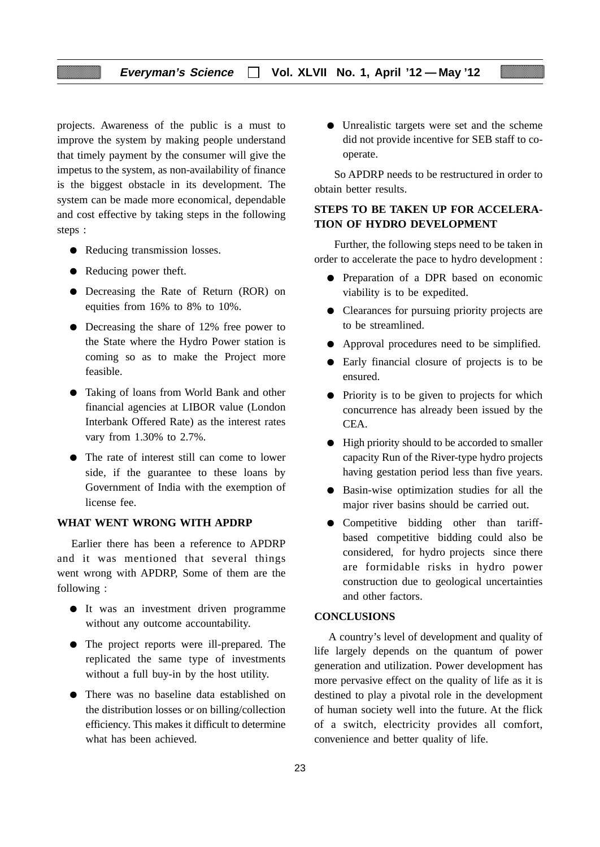projects. Awareness of the public is a must to improve the system by making people understand that timely payment by the consumer will give the impetus to the system, as non-availability of finance is the biggest obstacle in its development. The system can be made more economical, dependable and cost effective by taking steps in the following steps :

- Reducing transmission losses.
- Reducing power theft.
- Decreasing the Rate of Return (ROR) on equities from 16% to 8% to 10%.
- Decreasing the share of 12% free power to the State where the Hydro Power station is coming so as to make the Project more feasible.
- Taking of loans from World Bank and other financial agencies at LIBOR value (London Interbank Offered Rate) as the interest rates vary from 1.30% to 2.7%.
- The rate of interest still can come to lower side, if the guarantee to these loans by Government of India with the exemption of license fee.

#### **WHAT WENT WRONG WITH APDRP**

Earlier there has been a reference to APDRP and it was mentioned that several things went wrong with APDRP, Some of them are the following :

- It was an investment driven programme without any outcome accountability.
- The project reports were ill-prepared. The replicated the same type of investments without a full buy-in by the host utility.
- There was no baseline data established on the distribution losses or on billing/collection efficiency. This makes it difficult to determine what has been achieved.

● Unrealistic targets were set and the scheme did not provide incentive for SEB staff to cooperate.

So APDRP needs to be restructured in order to obtain better results.

# **STEPS TO BE TAKEN UP FOR ACCELERA-TION OF HYDRO DEVELOPMENT**

Further, the following steps need to be taken in order to accelerate the pace to hydro development :

- Preparation of a DPR based on economic viability is to be expedited.
- Clearances for pursuing priority projects are to be streamlined.
- Approval procedures need to be simplified.
- Early financial closure of projects is to be ensured.
- Priority is to be given to projects for which concurrence has already been issued by the CEA.
- High priority should to be accorded to smaller capacity Run of the River-type hydro projects having gestation period less than five years.
- Basin-wise optimization studies for all the major river basins should be carried out.
- Competitive bidding other than tariffbased competitive bidding could also be considered, for hydro projects since there are formidable risks in hydro power construction due to geological uncertainties and other factors.

#### **CONCLUSIONS**

A country's level of development and quality of life largely depends on the quantum of power generation and utilization. Power development has more pervasive effect on the quality of life as it is destined to play a pivotal role in the development of human society well into the future. At the flick of a switch, electricity provides all comfort, convenience and better quality of life.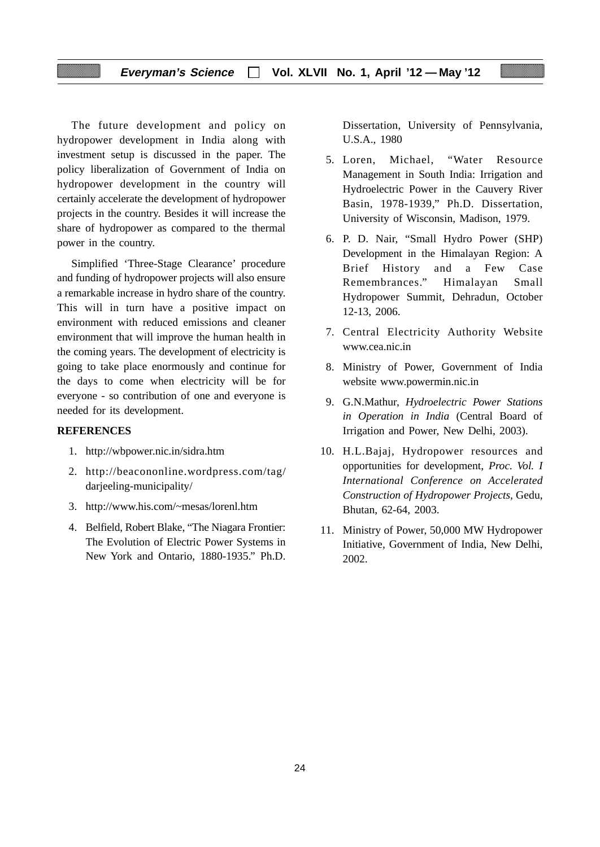The future development and policy on hydropower development in India along with investment setup is discussed in the paper. The policy liberalization of Government of India on hydropower development in the country will certainly accelerate the development of hydropower projects in the country. Besides it will increase the share of hydropower as compared to the thermal power in the country.

Simplified 'Three-Stage Clearance' procedure and funding of hydropower projects will also ensure a remarkable increase in hydro share of the country. This will in turn have a positive impact on environment with reduced emissions and cleaner environment that will improve the human health in the coming years. The development of electricity is going to take place enormously and continue for the days to come when electricity will be for everyone - so contribution of one and everyone is needed for its development.

#### **REFERENCES**

- 1. http://wbpower.nic.in/sidra.htm
- 2. http://beacononline.wordpress.com/tag/ darjeeling-municipality/
- 3. http://www.his.com/~mesas/lorenl.htm
- 4. Belfield, Robert Blake, "The Niagara Frontier: The Evolution of Electric Power Systems in New York and Ontario, 1880-1935." Ph.D.

Dissertation, University of Pennsylvania, U.S.A., 1980

- 5. Loren, Michael, "Water Resource Management in South India: Irrigation and Hydroelectric Power in the Cauvery River Basin, 1978-1939," Ph.D. Dissertation, University of Wisconsin, Madison, 1979.
- 6. P. D. Nair, "Small Hydro Power (SHP) Development in the Himalayan Region: A Brief History and a Few Case Remembrances." Himalayan Small Hydropower Summit, Dehradun, October 12-13, 2006.
- 7. Central Electricity Authority Website www.cea.nic.in
- 8. Ministry of Power, Government of India website www.powermin.nic.in
- 9. G.N.Mathur, *Hydroelectric Power Stations in Operation in India* (Central Board of Irrigation and Power, New Delhi, 2003).
- 10. H.L.Bajaj, Hydropower resources and opportunities for development, *Proc. Vol. I International Conference on Accelerated Construction of Hydropower Projects,* Gedu, Bhutan, 62-64, 2003.
- 11. Ministry of Power, 50,000 MW Hydropower Initiative, Government of India, New Delhi, 2002.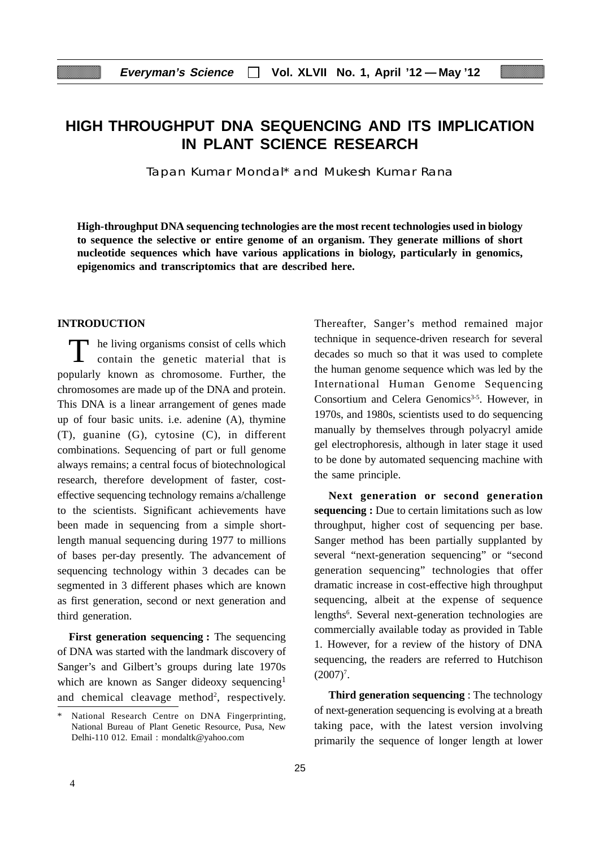# **HIGH THROUGHPUT DNA SEQUENCING AND ITS IMPLICATION IN PLANT SCIENCE RESEARCH**

Tapan Kumar Mondal\* and Mukesh Kumar Rana

**High-throughput DNA sequencing technologies are the most recent technologies used in biology to sequence the selective or entire genome of an organism. They generate millions of short nucleotide sequences which have various applications in biology, particularly in genomics, epigenomics and transcriptomics that are described here.**

#### **INTRODUCTION**

T he living organisms consist of cells which contain the genetic material that is popularly known as chromosome. Further, the chromosomes are made up of the DNA and protein. This DNA is a linear arrangement of genes made up of four basic units. i.e. adenine (A), thymine (T), guanine (G), cytosine (C), in different combinations. Sequencing of part or full genome always remains; a central focus of biotechnological research, therefore development of faster, costeffective sequencing technology remains a/challenge to the scientists. Significant achievements have been made in sequencing from a simple shortlength manual sequencing during 1977 to millions of bases per-day presently. The advancement of sequencing technology within 3 decades can be segmented in 3 different phases which are known as first generation, second or next generation and third generation.

**First generation sequencing :** The sequencing of DNA was started with the landmark discovery of Sanger's and Gilbert's groups during late 1970s which are known as Sanger dideoxy sequencing<sup>1</sup> and chemical cleavage method<sup>2</sup>, respectively.

Thereafter, Sanger's method remained major technique in sequence-driven research for several decades so much so that it was used to complete the human genome sequence which was led by the International Human Genome Sequencing Consortium and Celera Genomics<sup>3-5</sup>. However, in 1970s, and 1980s, scientists used to do sequencing manually by themselves through polyacryl amide gel electrophoresis, although in later stage it used to be done by automated sequencing machine with the same principle.

**Next generation or second generation sequencing :** Due to certain limitations such as low throughput, higher cost of sequencing per base. Sanger method has been partially supplanted by several "next-generation sequencing" or "second generation sequencing" technologies that offer dramatic increase in cost-effective high throughput sequencing, albeit at the expense of sequence lengths<sup>6</sup>. Several next-generation technologies are commercially available today as provided in Table 1. However, for a review of the history of DNA sequencing, the readers are referred to Hutchison  $(2007)^7$ .

**Third generation sequencing** : The technology of next-generation sequencing is evolving at a breath taking pace, with the latest version involving primarily the sequence of longer length at lower

<sup>\*</sup> National Research Centre on DNA Fingerprinting, National Bureau of Plant Genetic Resource, Pusa, New Delhi-110 012. Email : mondaltk@yahoo.com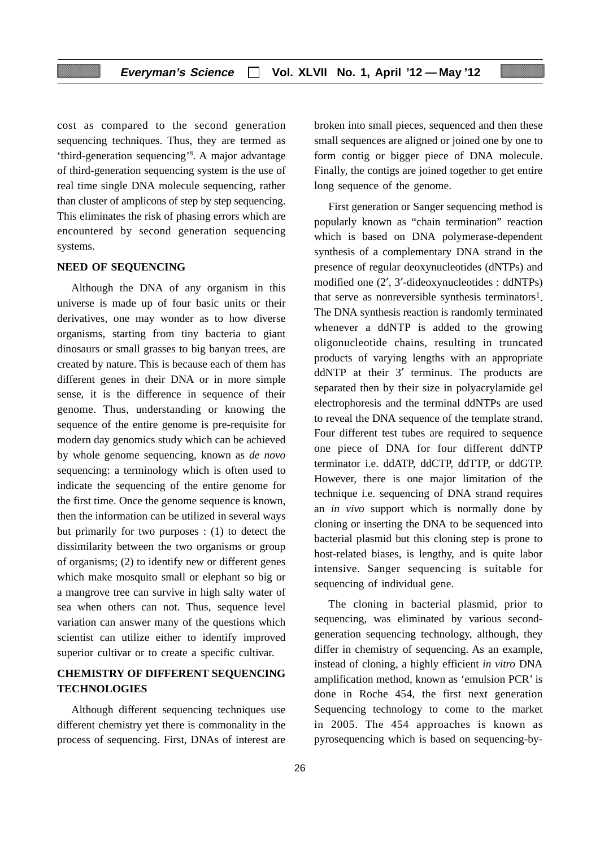cost as compared to the second generation sequencing techniques. Thus, they are termed as 'third-generation sequencing'8 . A major advantage of third-generation sequencing system is the use of real time single DNA molecule sequencing, rather than cluster of amplicons of step by step sequencing. This eliminates the risk of phasing errors which are encountered by second generation sequencing systems.

#### **NEED OF SEQUENCING**

Although the DNA of any organism in this universe is made up of four basic units or their derivatives, one may wonder as to how diverse organisms, starting from tiny bacteria to giant dinosaurs or small grasses to big banyan trees, are created by nature. This is because each of them has different genes in their DNA or in more simple sense, it is the difference in sequence of their genome. Thus, understanding or knowing the sequence of the entire genome is pre-requisite for modern day genomics study which can be achieved by whole genome sequencing, known as *de novo* sequencing: a terminology which is often used to indicate the sequencing of the entire genome for the first time. Once the genome sequence is known, then the information can be utilized in several ways but primarily for two purposes : (1) to detect the dissimilarity between the two organisms or group of organisms; (2) to identify new or different genes which make mosquito small or elephant so big or a mangrove tree can survive in high salty water of sea when others can not. Thus, sequence level variation can answer many of the questions which scientist can utilize either to identify improved superior cultivar or to create a specific cultivar.

# **CHEMISTRY OF DIFFERENT SEQUENCING TECHNOLOGIES**

Although different sequencing techniques use different chemistry yet there is commonality in the process of sequencing. First, DNAs of interest are

broken into small pieces, sequenced and then these small sequences are aligned or joined one by one to form contig or bigger piece of DNA molecule. Finally, the contigs are joined together to get entire long sequence of the genome.

First generation or Sanger sequencing method is popularly known as "chain termination" reaction which is based on DNA polymerase-dependent synthesis of a complementary DNA strand in the presence of regular deoxynucleotides (dNTPs) and modified one (2′, 3′-dideoxynucleotides : ddNTPs) that serve as nonreversible synthesis terminators<sup>1</sup>. The DNA synthesis reaction is randomly terminated whenever a ddNTP is added to the growing oligonucleotide chains, resulting in truncated products of varying lengths with an appropriate ddNTP at their 3' terminus. The products are separated then by their size in polyacrylamide gel electrophoresis and the terminal ddNTPs are used to reveal the DNA sequence of the template strand. Four different test tubes are required to sequence one piece of DNA for four different ddNTP terminator i.e. ddATP, ddCTP, ddTTP, or ddGTP. However, there is one major limitation of the technique i.e. sequencing of DNA strand requires an *in vivo* support which is normally done by cloning or inserting the DNA to be sequenced into bacterial plasmid but this cloning step is prone to host-related biases, is lengthy, and is quite labor intensive. Sanger sequencing is suitable for sequencing of individual gene.

The cloning in bacterial plasmid, prior to sequencing, was eliminated by various secondgeneration sequencing technology, although, they differ in chemistry of sequencing. As an example, instead of cloning, a highly efficient *in vitro* DNA amplification method, known as 'emulsion PCR' is done in Roche 454, the first next generation Sequencing technology to come to the market in 2005. The 454 approaches is known as pyrosequencing which is based on sequencing-by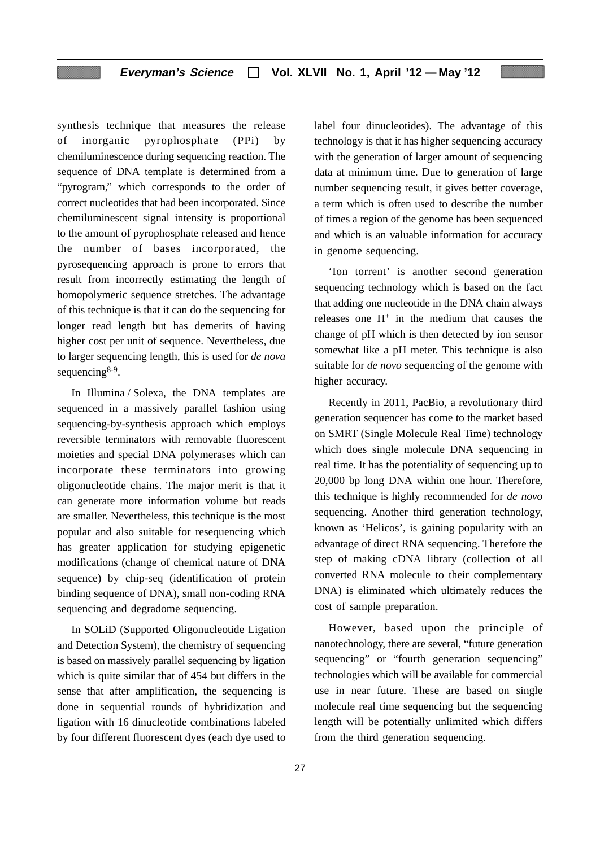synthesis technique that measures the release of inorganic pyrophosphate (PPi) by chemiluminescence during sequencing reaction. The sequence of DNA template is determined from a "pyrogram," which corresponds to the order of correct nucleotides that had been incorporated. Since chemiluminescent signal intensity is proportional to the amount of pyrophosphate released and hence the number of bases incorporated, the pyrosequencing approach is prone to errors that result from incorrectly estimating the length of homopolymeric sequence stretches. The advantage of this technique is that it can do the sequencing for longer read length but has demerits of having higher cost per unit of sequence. Nevertheless, due to larger sequencing length, this is used for *de nova* sequencing<sup>8-9</sup>.

In Illumina / Solexa, the DNA templates are sequenced in a massively parallel fashion using sequencing-by-synthesis approach which employs reversible terminators with removable fluorescent moieties and special DNA polymerases which can incorporate these terminators into growing oligonucleotide chains. The major merit is that it can generate more information volume but reads are smaller. Nevertheless, this technique is the most popular and also suitable for resequencing which has greater application for studying epigenetic modifications (change of chemical nature of DNA sequence) by chip-seq (identification of protein binding sequence of DNA), small non-coding RNA sequencing and degradome sequencing.

In SOLiD (Supported Oligonucleotide Ligation and Detection System), the chemistry of sequencing is based on massively parallel sequencing by ligation which is quite similar that of 454 but differs in the sense that after amplification, the sequencing is done in sequential rounds of hybridization and ligation with 16 dinucleotide combinations labeled by four different fluorescent dyes (each dye used to

label four dinucleotides). The advantage of this technology is that it has higher sequencing accuracy with the generation of larger amount of sequencing data at minimum time. Due to generation of large number sequencing result, it gives better coverage, a term which is often used to describe the number of times a region of the genome has been sequenced and which is an valuable information for accuracy in genome sequencing.

'Ion torrent' is another second generation sequencing technology which is based on the fact that adding one nucleotide in the DNA chain always releases one  $H^+$  in the medium that causes the change of pH which is then detected by ion sensor somewhat like a pH meter. This technique is also suitable for *de novo* sequencing of the genome with higher accuracy.

Recently in 2011, PacBio, a revolutionary third generation sequencer has come to the market based on SMRT (Single Molecule Real Time) technology which does single molecule DNA sequencing in real time. It has the potentiality of sequencing up to 20,000 bp long DNA within one hour. Therefore, this technique is highly recommended for *de novo* sequencing. Another third generation technology, known as 'Helicos', is gaining popularity with an advantage of direct RNA sequencing. Therefore the step of making cDNA library (collection of all converted RNA molecule to their complementary DNA) is eliminated which ultimately reduces the cost of sample preparation.

However, based upon the principle of nanotechnology, there are several, "future generation sequencing" or "fourth generation sequencing" technologies which will be available for commercial use in near future. These are based on single molecule real time sequencing but the sequencing length will be potentially unlimited which differs from the third generation sequencing.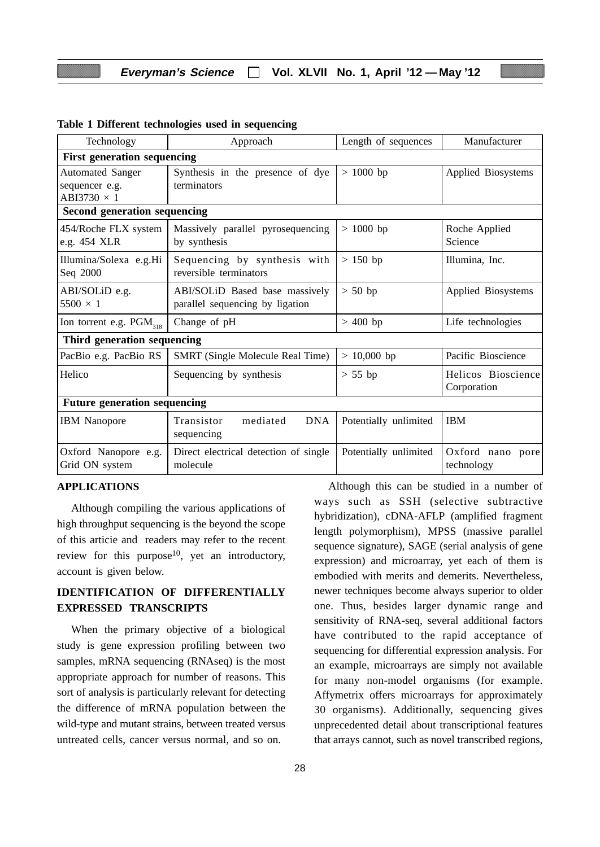| Technology                             | Approach                                                          | Length of sequences   | Manufacturer                      |  |  |
|----------------------------------------|-------------------------------------------------------------------|-----------------------|-----------------------------------|--|--|
| <b>First generation sequencing</b>     |                                                                   |                       |                                   |  |  |
| <b>Automated Sanger</b>                | Synthesis in the presence of dye                                  | $>1000$ bp            | Applied Biosystems                |  |  |
| sequencer e.g.<br>ABI3730 $\times$ 1   | terminators                                                       |                       |                                   |  |  |
| Second generation sequencing           |                                                                   |                       |                                   |  |  |
| 454/Roche FLX system<br>e.g. 454 XLR   | Massively parallel pyrosequencing<br>by synthesis                 | $> 1000$ bp           | Roche Applied<br>Science          |  |  |
| Illumina/Solexa e.g.Hi<br>Seq 2000     | Sequencing by synthesis with<br>reversible terminators            | $> 150$ bp            | Illumina, Inc.                    |  |  |
| ABI/SOLiD e.g.<br>$5500 \times 1$      | ABI/SOLID Based base massively<br>parallel sequencing by ligation | $> 50$ bp             | Applied Biosystems                |  |  |
| Ion torrent e.g. $PGM_{318}$           | Change of pH                                                      | $> 400$ bp            | Life technologies                 |  |  |
| Third generation sequencing            |                                                                   |                       |                                   |  |  |
| PacBio e.g. PacBio RS                  | SMRT (Single Molecule Real Time)                                  | $> 10,000$ bp         | Pacific Bioscience                |  |  |
| Helico                                 | Sequencing by synthesis                                           | $> 55$ bp             | Helicos Bioscience<br>Corporation |  |  |
| <b>Future generation sequencing</b>    |                                                                   |                       |                                   |  |  |
| <b>IBM</b> Nanopore                    | <b>DNA</b><br>Transistor<br>mediated<br>sequencing                | Potentially unlimited | <b>IBM</b>                        |  |  |
| Oxford Nanopore e.g.<br>Grid ON system | Direct electrical detection of single<br>molecule                 | Potentially unlimited | Oxford nano pore<br>technology    |  |  |

#### **Table 1 Different technologies used in sequencing**

#### **APPLICATIONS**

Although compiling the various applications of high throughput sequencing is the beyond the scope of this articie and readers may refer to the recent review for this purpose<sup>10</sup>, yet an introductory, account is given below.

# **IDENTIFICATION OF DIFFERENTIALLY EXPRESSED TRANSCRIPTS**

When the primary objective of a biological study is gene expression profiling between two samples, mRNA sequencing (RNAseq) is the most appropriate approach for number of reasons. This sort of analysis is particularly relevant for detecting the difference of mRNA population between the wild-type and mutant strains, between treated versus untreated cells, cancer versus normal, and so on.

28

Although this can be studied in a number of ways such as SSH (selective subtractive hybridization), cDNA-AFLP (amplified fragment length polymorphism), MPSS (massive parallel sequence signature), SAGE (serial analysis of gene expression) and microarray, yet each of them is embodied with merits and demerits. Nevertheless, newer techniques become always superior to older one. Thus, besides larger dynamic range and sensitivity of RNA-seq, several additional factors have contributed to the rapid acceptance of sequencing for differential expression analysis. For an example, microarrays are simply not available for many non-model organisms (for example. Affymetrix offers microarrays for approximately 30 organisms). Additionally, sequencing gives unprecedented detail about transcriptional features that arrays cannot, such as novel transcribed regions,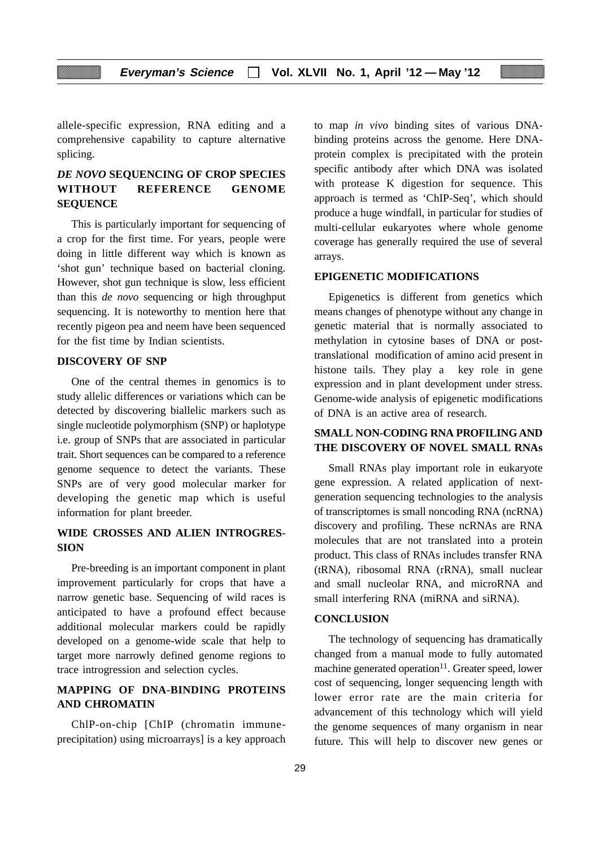allele-specific expression, RNA editing and a comprehensive capability to capture alternative splicing.

# *DE NOVO* **SEQUENCING OF CROP SPECIES WITHOUT REFERENCE GENOME SEQUENCE**

This is particularly important for sequencing of a crop for the first time. For years, people were doing in little different way which is known as 'shot gun' technique based on bacterial cloning. However, shot gun technique is slow, less efficient than this *de novo* sequencing or high throughput sequencing. It is noteworthy to mention here that recently pigeon pea and neem have been sequenced for the fist time by Indian scientists.

#### **DISCOVERY OF SNP**

One of the central themes in genomics is to study allelic differences or variations which can be detected by discovering biallelic markers such as single nucleotide polymorphism (SNP) or haplotype i.e. group of SNPs that are associated in particular trait. Short sequences can be compared to a reference genome sequence to detect the variants. These SNPs are of very good molecular marker for developing the genetic map which is useful information for plant breeder.

## **WIDE CROSSES AND ALIEN INTROGRES-SION**

Pre-breeding is an important component in plant improvement particularly for crops that have a narrow genetic base. Sequencing of wild races is anticipated to have a profound effect because additional molecular markers could be rapidly developed on a genome-wide scale that help to target more narrowly defined genome regions to trace introgression and selection cycles.

# **MAPPING OF DNA-BINDING PROTEINS AND CHROMATIN**

ChlP-on-chip [ChIP (chromatin immuneprecipitation) using microarrays] is a key approach to map *in vivo* binding sites of various DNAbinding proteins across the genome. Here DNAprotein complex is precipitated with the protein specific antibody after which DNA was isolated with protease K digestion for sequence. This approach is termed as 'ChIP-Seq', which should produce a huge windfall, in particular for studies of multi-cellular eukaryotes where whole genome coverage has generally required the use of several arrays.

#### **EPIGENETIC MODIFICATIONS**

Epigenetics is different from genetics which means changes of phenotype without any change in genetic material that is normally associated to methylation in cytosine bases of DNA or posttranslational modification of amino acid present in histone tails. They play a key role in gene expression and in plant development under stress. Genome-wide analysis of epigenetic modifications of DNA is an active area of research.

#### **SMALL NON-CODING RNA PROFILING AND THE DISCOVERY OF NOVEL SMALL RNAs**

Small RNAs play important role in eukaryote gene expression. A related application of nextgeneration sequencing technologies to the analysis of transcriptomes is small noncoding RNA (ncRNA) discovery and profiling. These ncRNAs are RNA molecules that are not translated into a protein product. This class of RNAs includes transfer RNA (tRNA), ribosomal RNA (rRNA), small nuclear and small nucleolar RNA, and microRNA and small interfering RNA (miRNA and siRNA).

#### **CONCLUSION**

The technology of sequencing has dramatically changed from a manual mode to fully automated machine generated operation $11$ . Greater speed, lower cost of sequencing, longer sequencing length with lower error rate are the main criteria for advancement of this technology which will yield the genome sequences of many organism in near future. This will help to discover new genes or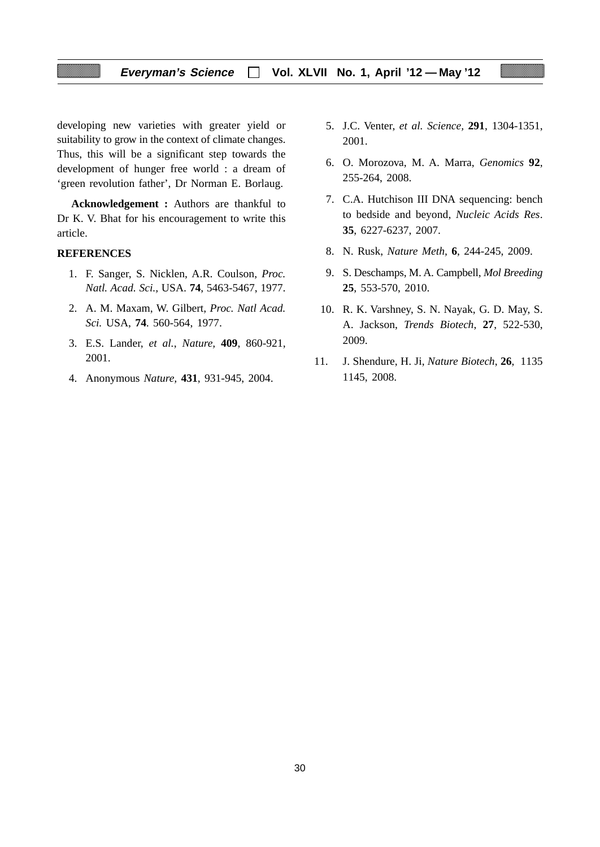developing new varieties with greater yield or suitability to grow in the context of climate changes. Thus, this will be a significant step towards the development of hunger free world : a dream of 'green revolution father', Dr Norman E. Borlaug.

**Acknowledgement :** Authors are thankful to Dr K. V. Bhat for his encouragement to write this article.

#### **REFERENCES**

- 1. F. Sanger, S. Nicklen, A.R. Coulson, *Proc. Natl. Acad. Sci.,* USA. **74**, 5463-5467, 1977.
- 2. A. M. Maxam, W. Gilbert, *Proc. Natl Acad. Sci.* USA, **74**. 560-564, 1977.
- 3. E.S. Lander, *et al.*, *Nature,* **409**, 860-921, 2001.
- 4. Anonymous *Nature,* **431**, 931-945, 2004.
- 5. J.C. Venter, *et al. Science,* **291**, 1304-1351, 2001.
- 6. O. Morozova, M. A. Marra, *Genomics* **92**, 255-264, 2008.
- 7. C.A. Hutchison III DNA sequencing: bench to bedside and beyond, *Nucleic Acids Res*. **35**, 6227-6237, 2007.
- 8. N. Rusk, *Nature Meth,* **6**, 244-245, 2009.
- 9. S. Deschamps, M. A. Campbell, *Mol Breeding* **25**, 553-570, 2010.
- 10. R. K. Varshney, S. N. Nayak, G. D. May, S. A. Jackson, *Trends Biotech*, **27**, 522-530, 2009.
- 11. J. Shendure, H. Ji, *Nature Biotech*, **26**, 1135 1145, 2008.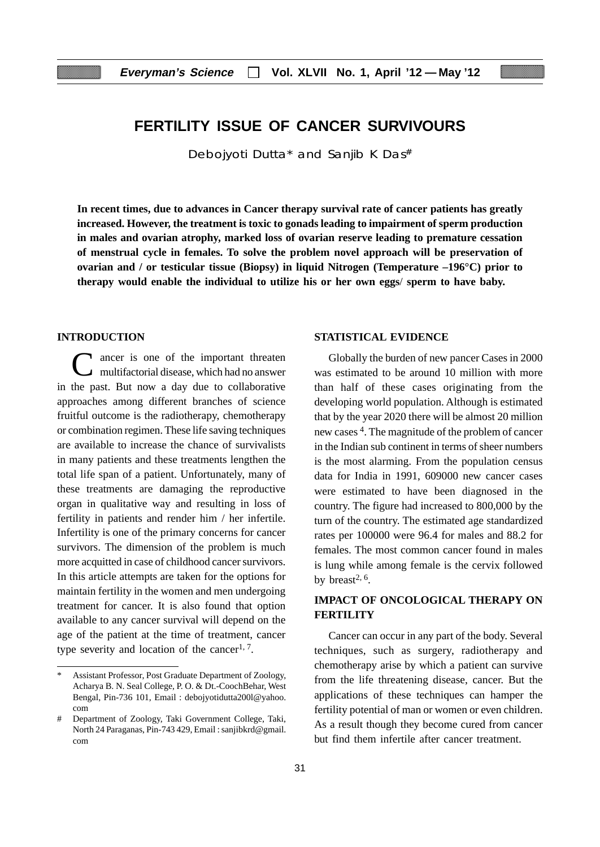# **FERTILITY ISSUE OF CANCER SURVIVOURS**

Debojyoti Dutta\* and Sanjib K Das#

**In recent times, due to advances in Cancer therapy survival rate of cancer patients has greatly increased. However, the treatment is toxic to gonads leading to impairment of sperm production in males and ovarian atrophy, marked loss of ovarian reserve leading to premature cessation of menstrual cycle in females. To solve the problem novel approach will be preservation of ovarian and / or testicular tissue (Biopsy) in liquid Nitrogen (Temperature –196°C) prior to therapy would enable the individual to utilize his or her own eggs**/ **sperm to have baby.**

#### **INTRODUCTION**

C ancer is one of the important threaten multifactorial disease, which had no answer in the past. But now a day due to collaborative approaches among different branches of science fruitful outcome is the radiotherapy, chemotherapy or combination regimen. These life saving techniques are available to increase the chance of survivalists in many patients and these treatments lengthen the total life span of a patient. Unfortunately, many of these treatments are damaging the reproductive organ in qualitative way and resulting in loss of fertility in patients and render him / her infertile. Infertility is one of the primary concerns for cancer survivors. The dimension of the problem is much more acquitted in case of childhood cancer survivors. In this article attempts are taken for the options for maintain fertility in the women and men undergoing treatment for cancer. It is also found that option available to any cancer survival will depend on the age of the patient at the time of treatment, cancer type severity and location of the cancer<sup>1, 7</sup>.

#### **STATISTICAL EVIDENCE**

Globally the burden of new pancer Cases in 2000 was estimated to be around 10 million with more than half of these cases originating from the developing world population. Although is estimated that by the year 2020 there will be almost 20 million new cases 4. The magnitude of the problem of cancer in the Indian sub continent in terms of sheer numbers is the most alarming. From the population census data for India in 1991, 609000 new cancer cases were estimated to have been diagnosed in the country. The figure had increased to 800,000 by the turn of the country. The estimated age standardized rates per 100000 were 96.4 for males and 88.2 for females. The most common cancer found in males is lung while among female is the cervix followed by breast<sup>2, 6</sup>.

### **IMPACT OF ONCOLOGICAL THERAPY ON FERTILITY**

Cancer can occur in any part of the body. Several techniques, such as surgery, radiotherapy and chemotherapy arise by which a patient can survive from the life threatening disease, cancer. But the applications of these techniques can hamper the fertility potential of man or women or even children. As a result though they become cured from cancer but find them infertile after cancer treatment.

Assistant Professor, Post Graduate Department of Zoology, Acharya B. N. Seal College, P. O. & Dt.-CoochBehar, West Bengal, Pin-736 101, Email : debojyotidutta200l@yahoo. com

Department of Zoology, Taki Government College, Taki, North 24 Paraganas, Pin-743 429, Email : sanjibkrd@gmail. com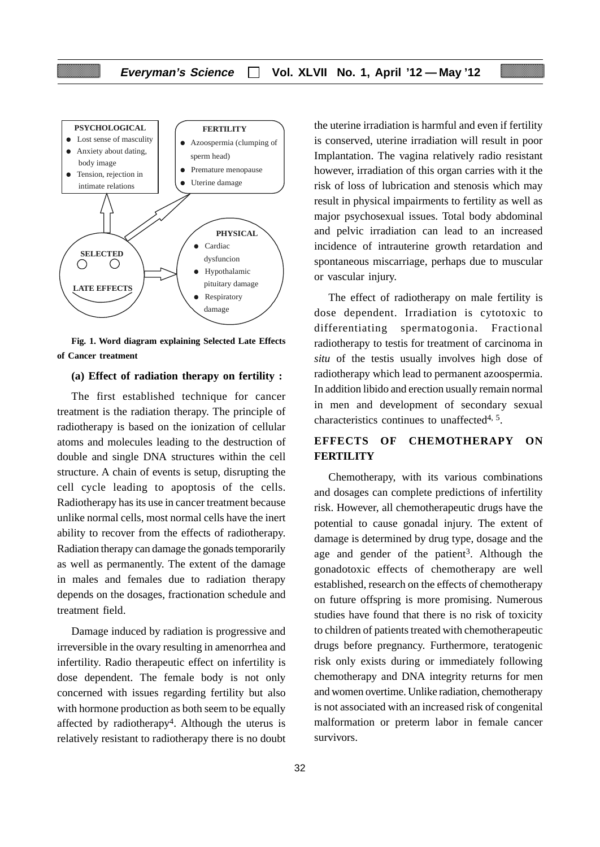

**Fig. 1. Word diagram explaining Selected Late Effects of Cancer treatment**

#### **(a) Effect of radiation therapy on fertility :**

The first established technique for cancer treatment is the radiation therapy. The principle of radiotherapy is based on the ionization of cellular atoms and molecules leading to the destruction of double and single DNA structures within the cell structure. A chain of events is setup, disrupting the cell cycle leading to apoptosis of the cells. Radiotherapy has its use in cancer treatment because unlike normal cells, most normal cells have the inert ability to recover from the effects of radiotherapy. Radiation therapy can damage the gonads temporarily as well as permanently. The extent of the damage in males and females due to radiation therapy depends on the dosages, fractionation schedule and treatment field.

Damage induced by radiation is progressive and irreversible in the ovary resulting in amenorrhea and infertility. Radio therapeutic effect on infertility is dose dependent. The female body is not only concerned with issues regarding fertility but also with hormone production as both seem to be equally affected by radiotherapy<sup>4</sup>. Although the uterus is relatively resistant to radiotherapy there is no doubt the uterine irradiation is harmful and even if fertility is conserved, uterine irradiation will result in poor Implantation. The vagina relatively radio resistant however, irradiation of this organ carries with it the risk of loss of lubrication and stenosis which may result in physical impairments to fertility as well as major psychosexual issues. Total body abdominal and pelvic irradiation can lead to an increased incidence of intrauterine growth retardation and spontaneous miscarriage, perhaps due to muscular or vascular injury.

The effect of radiotherapy on male fertility is dose dependent. Irradiation is cytotoxic to differentiating spermatogonia. Fractional radiotherapy to testis for treatment of carcinoma in *situ* of the testis usually involves high dose of radiotherapy which lead to permanent azoospermia. In addition libido and erection usually remain normal in men and development of secondary sexual characteristics continues to unaffected<sup>4, 5</sup>.

# **EFFECTS OF CHEMOTHERAPY ON FERTILITY**

Chemotherapy, with its various combinations and dosages can complete predictions of infertility risk. However, all chemotherapeutic drugs have the potential to cause gonadal injury. The extent of damage is determined by drug type, dosage and the age and gender of the patient<sup>3</sup>. Although the gonadotoxic effects of chemotherapy are well established, research on the effects of chemotherapy on future offspring is more promising. Numerous studies have found that there is no risk of toxicity to children of patients treated with chemotherapeutic drugs before pregnancy. Furthermore, teratogenic risk only exists during or immediately following chemotherapy and DNA integrity returns for men and women overtime. Unlike radiation, chemotherapy is not associated with an increased risk of congenital malformation or preterm labor in female cancer survivors.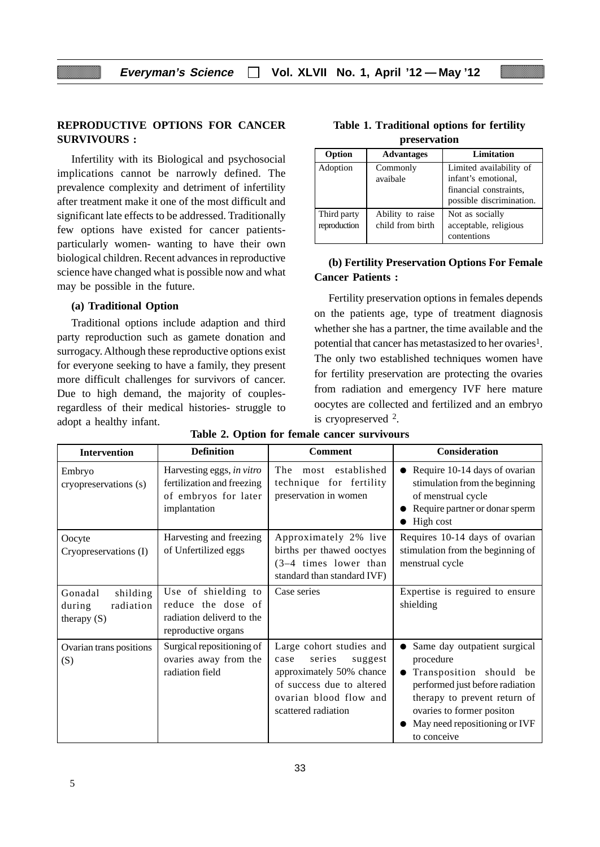#### **REPRODUCTIVE OPTIONS FOR CANCER SURVIVOURS :**

Infertility with its Biological and psychosocial implications cannot be narrowly defined. The prevalence complexity and detriment of infertility after treatment make it one of the most difficult and significant late effects to be addressed. Traditionally few options have existed for cancer patientsparticularly women- wanting to have their own biological children. Recent advances in reproductive science have changed what is possible now and what may be possible in the future.

#### **(a) Traditional Option**

Traditional options include adaption and third party reproduction such as gamete donation and surrogacy. Although these reproductive options exist for everyone seeking to have a family, they present more difficult challenges for survivors of cancer. Due to high demand, the majority of couplesregardless of their medical histories- struggle to adopt a healthy infant.

| Option                      | <b>Advantages</b>                    | Limitation                                                                                           |
|-----------------------------|--------------------------------------|------------------------------------------------------------------------------------------------------|
| Adoption                    | Commonly<br>avaibale                 | Limited availability of<br>infant's emotional,<br>financial constraints,<br>possible discrimination. |
| Third party<br>reproduction | Ability to raise<br>child from birth | Not as socially<br>acceptable, religious<br>contentions                                              |

#### **Table 1. Traditional options for fertility preservation**

## **(b) Fertility Preservation Options For Female Cancer Patients :**

Fertility preservation options in females depends on the patients age, type of treatment diagnosis whether she has a partner, the time available and the potential that cancer has metastasized to her ovaries<sup>1</sup>. The only two established techniques women have for fertility preservation are protecting the ovaries from radiation and emergency IVF here mature oocytes are collected and fertilized and an embryo is cryopreserved 2.

| <b>Intervention</b>                                         | <b>Definition</b>                                                                               | <b>Comment</b>                                                                                                                                                  | <b>Consideration</b>                                                                                                                                                                                                 |
|-------------------------------------------------------------|-------------------------------------------------------------------------------------------------|-----------------------------------------------------------------------------------------------------------------------------------------------------------------|----------------------------------------------------------------------------------------------------------------------------------------------------------------------------------------------------------------------|
| Embryo<br>cryopreservations (s)                             | Harvesting eggs, in vitro<br>fertilization and freezing<br>of embryos for later<br>implantation | most established<br>The<br>technique for fertility<br>preservation in women                                                                                     | Require 10-14 days of ovarian<br>stimulation from the beginning<br>of menstrual cycle<br>Require partner or donar sperm<br>High cost                                                                                 |
| Oocyte<br>Cryopreservations (I)                             | Harvesting and freezing<br>of Unfertilized eggs                                                 | Approximately 2% live<br>births per thawed ooctyes<br>$(3-4$ times lower than<br>standard than standard IVF)                                                    | Requires 10-14 days of ovarian<br>stimulation from the beginning of<br>menstrual cycle                                                                                                                               |
| Gonadal<br>shilding<br>radiation<br>during<br>therapy $(S)$ | Use of shielding to<br>reduce the dose of<br>radiation deliverd to the<br>reproductive organs   | Case series                                                                                                                                                     | Expertise is reguired to ensure<br>shielding                                                                                                                                                                         |
| Ovarian trans positions<br>(S)                              | Surgical repositioning of<br>ovaries away from the<br>radiation field                           | Large cohort studies and<br>series<br>suggest<br>case<br>approximately 50% chance<br>of success due to altered<br>ovarian blood flow and<br>scattered radiation | Same day outpatient surgical<br>procedure<br>Transposition should be<br>performed just before radiation<br>therapy to prevent return of<br>ovaries to former positon<br>May need repositioning or IVF<br>to conceive |

**Table 2. Option for female cancer survivours**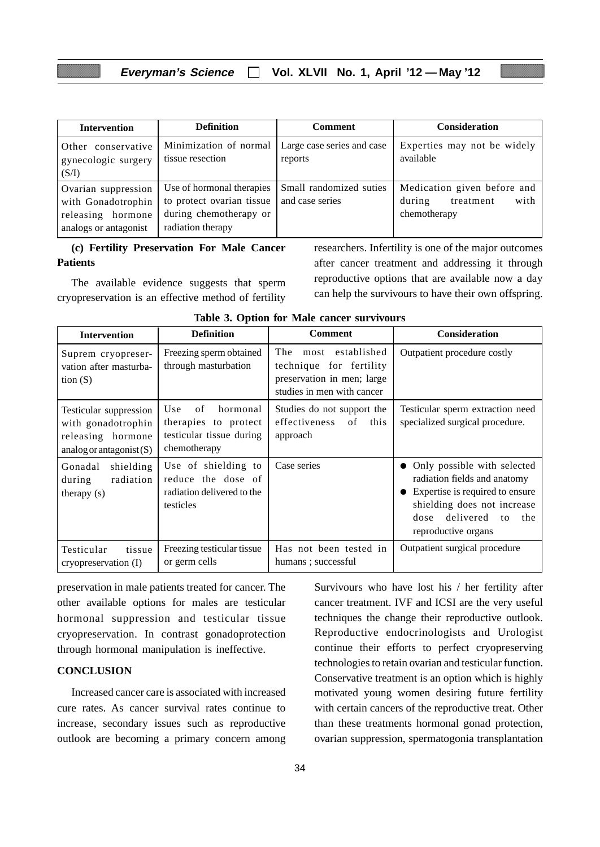| <b>Intervention</b>                                | <b>Definition</b>                                      | Comment                                    | <b>Consideration</b>                                       |
|----------------------------------------------------|--------------------------------------------------------|--------------------------------------------|------------------------------------------------------------|
| Other conservative<br>gynecologic surgery<br>(S/I) | Minimization of normal<br>tissue resection             | Large case series and case<br>reports      | Experties may not be widely<br>available                   |
| Ovarian suppression<br>with Gonadotrophin          | Use of hormonal therapies<br>to protect ovarian tissue | Small randomized suties<br>and case series | Medication given before and<br>with<br>during<br>treatment |
| releasing hormone<br>analogs or antagonist         | during chemotherapy or<br>radiation therapy            |                                            | chemotherapy                                               |

#### **(c) Fertility Preservation For Male Cancer Patients**

The available evidence suggests that sperm cryopreservation is an effective method of fertility

researchers. Infertility is one of the major outcomes after cancer treatment and addressing it through reproductive options that are available now a day can help the survivours to have their own offspring.

| <b>Intervention</b>                                                                             | <b>Definition</b>                                                                         | <b>Comment</b>                                                                                              | <b>Consideration</b>                                                                                                                                                                   |
|-------------------------------------------------------------------------------------------------|-------------------------------------------------------------------------------------------|-------------------------------------------------------------------------------------------------------------|----------------------------------------------------------------------------------------------------------------------------------------------------------------------------------------|
| Suprem cryopreser-<br>vation after masturba-<br>tion $(S)$                                      | Freezing sperm obtained<br>through masturbation                                           | The most established<br>technique for fertility<br>preservation in men; large<br>studies in men with cancer | Outpatient procedure costly                                                                                                                                                            |
| Testicular suppression<br>with gonadotrophin<br>releasing hormone<br>analog or antagonist $(S)$ | hormonal<br>Use<br>of<br>therapies to protect<br>testicular tissue during<br>chemotherapy | Studies do not support the<br>effectiveness<br>of<br>this<br>approach                                       | Testicular sperm extraction need<br>specialized surgical procedure.                                                                                                                    |
| shielding<br>Gonadal<br>radiation<br>during<br>therapy (s)                                      | Use of shielding to<br>reduce the dose of<br>radiation delivered to the<br>testicles      | Case series                                                                                                 | Only possible with selected<br>radiation fields and anatomy<br>Expertise is required to ensure<br>shielding does not increase<br>delivered<br>dose<br>the<br>to<br>reproductive organs |
| Testicular<br>tissue<br>cryopreservation (I)                                                    | Freezing testicular tissue<br>or germ cells                                               | Has not been tested in<br>humans; successful                                                                | Outpatient surgical procedure                                                                                                                                                          |

|  |  |  |  |  | Table 3. Option for Male cancer survivours |
|--|--|--|--|--|--------------------------------------------|
|--|--|--|--|--|--------------------------------------------|

preservation in male patients treated for cancer. The other available options for males are testicular hormonal suppression and testicular tissue cryopreservation. In contrast gonadoprotection through hormonal manipulation is ineffective.

#### **CONCLUSION**

Increased cancer care is associated with increased cure rates. As cancer survival rates continue to increase, secondary issues such as reproductive outlook are becoming a primary concern among Survivours who have lost his / her fertility after cancer treatment. IVF and ICSI are the very useful techniques the change their reproductive outlook. Reproductive endocrinologists and Urologist continue their efforts to perfect cryopreserving technologies to retain ovarian and testicular function. Conservative treatment is an option which is highly motivated young women desiring future fertility with certain cancers of the reproductive treat. Other than these treatments hormonal gonad protection, ovarian suppression, spermatogonia transplantation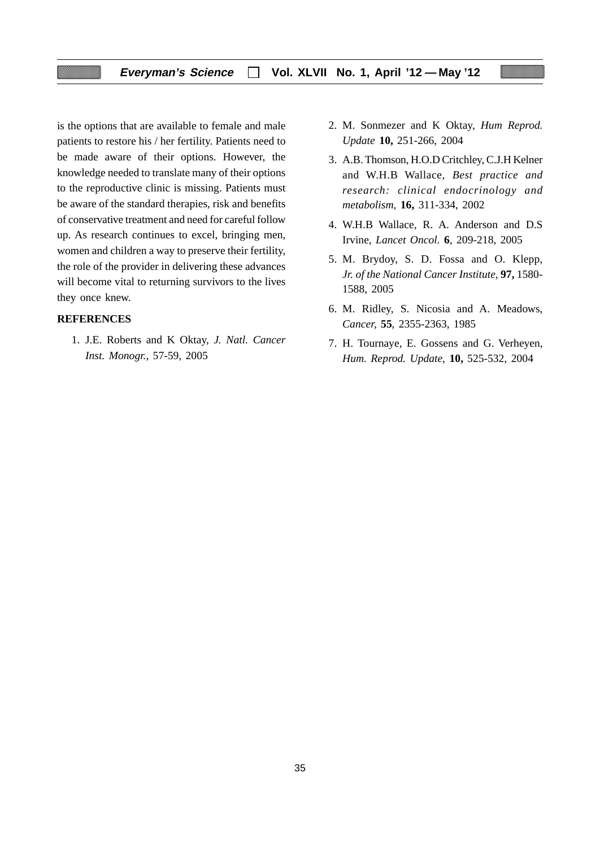is the options that are available to female and male patients to restore his / her fertility. Patients need to be made aware of their options. However, the knowledge needed to translate many of their options to the reproductive clinic is missing. Patients must be aware of the standard therapies, risk and benefits of conservative treatment and need for careful follow up. As research continues to excel, bringing men, women and children a way to preserve their fertility, the role of the provider in delivering these advances will become vital to returning survivors to the lives they once knew.

#### **REFERENCES**

1. J.E. Roberts and K Oktay, *J. Natl. Cancer Inst. Monogr.,* 57-59, 2005

- 2. M. Sonmezer and K Oktay, *Hum Reprod. Update* **10,** 251-266, 2004
- 3. A.B. Thomson, H.O.D Critchley, C.J.H Kelner and W.H.B Wallace, *Best practice and research: clinical endocrinology and metabolism,* **16,** 311-334, 2002
- 4. W.H.B Wallace, R. A. Anderson and D.S Irvine, *Lancet Oncol.* **6***,* 209-218, 2005
- 5. M. Brydoy, S. D. Fossa and O. Klepp, *Jr. of the National Cancer Institute,* **97,** 1580- 1588, 2005
- 6. M. Ridley, S. Nicosia and A. Meadows, *Cancer,* **55**, 2355-2363, 1985
- 7. H. Tournaye, E. Gossens and G. Verheyen, *Hum. Reprod. Update,* **10,** 525-532, 2004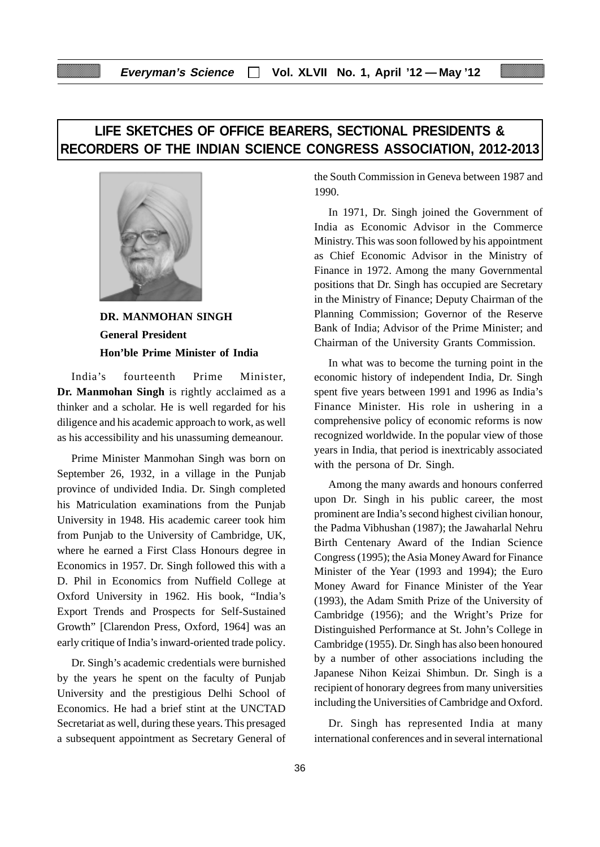# **LIFE SKETCHES OF OFFICE BEARERS, SECTIONAL PRESIDENTS & RECORDERS OF THE INDIAN SCIENCE CONGRESS ASSOCIATION, 2012-2013**



**DR. MANMOHAN SINGH General President Hon'ble Prime Minister of India**

India's fourteenth Prime Minister, **Dr. Manmohan Singh** is rightly acclaimed as a thinker and a scholar. He is well regarded for his diligence and his academic approach to work, as well as his accessibility and his unassuming demeanour.

Prime Minister Manmohan Singh was born on September 26, 1932, in a village in the Punjab province of undivided India. Dr. Singh completed his Matriculation examinations from the Punjab University in 1948. His academic career took him from Punjab to the University of Cambridge, UK, where he earned a First Class Honours degree in Economics in 1957. Dr. Singh followed this with a D. Phil in Economics from Nuffield College at Oxford University in 1962. His book, "India's Export Trends and Prospects for Self-Sustained Growth" [Clarendon Press, Oxford, 1964] was an early critique of India's inward-oriented trade policy.

Dr. Singh's academic credentials were burnished by the years he spent on the faculty of Punjab University and the prestigious Delhi School of Economics. He had a brief stint at the UNCTAD Secretariat as well, during these years. This presaged a subsequent appointment as Secretary General of the South Commission in Geneva between 1987 and 1990.

In 1971, Dr. Singh joined the Government of India as Economic Advisor in the Commerce Ministry. This was soon followed by his appointment as Chief Economic Advisor in the Ministry of Finance in 1972. Among the many Governmental positions that Dr. Singh has occupied are Secretary in the Ministry of Finance; Deputy Chairman of the Planning Commission; Governor of the Reserve Bank of India; Advisor of the Prime Minister; and Chairman of the University Grants Commission.

In what was to become the turning point in the economic history of independent India, Dr. Singh spent five years between 1991 and 1996 as India's Finance Minister. His role in ushering in a comprehensive policy of economic reforms is now recognized worldwide. In the popular view of those years in India, that period is inextricably associated with the persona of Dr. Singh.

Among the many awards and honours conferred upon Dr. Singh in his public career, the most prominent are India's second highest civilian honour, the Padma Vibhushan (1987); the Jawaharlal Nehru Birth Centenary Award of the Indian Science Congress (1995); the Asia Money Award for Finance Minister of the Year (1993 and 1994); the Euro Money Award for Finance Minister of the Year (1993), the Adam Smith Prize of the University of Cambridge (1956); and the Wright's Prize for Distinguished Performance at St. John's College in Cambridge (1955). Dr. Singh has also been honoured by a number of other associations including the Japanese Nihon Keizai Shimbun. Dr. Singh is a recipient of honorary degrees from many universities including the Universities of Cambridge and Oxford.

Dr. Singh has represented India at many international conferences and in several international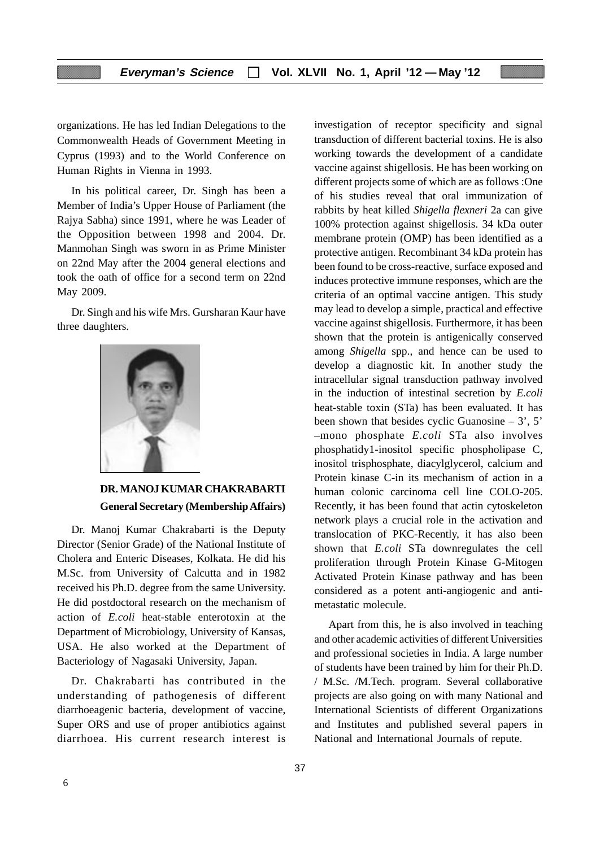organizations. He has led Indian Delegations to the Commonwealth Heads of Government Meeting in Cyprus (1993) and to the World Conference on Human Rights in Vienna in 1993.

In his political career, Dr. Singh has been a Member of India's Upper House of Parliament (the Rajya Sabha) since 1991, where he was Leader of the Opposition between 1998 and 2004. Dr. Manmohan Singh was sworn in as Prime Minister on 22nd May after the 2004 general elections and took the oath of office for a second term on 22nd May 2009.

Dr. Singh and his wife Mrs. Gursharan Kaur have three daughters.



# **DR. MANOJ KUMAR CHAKRABARTI General Secretary (Membership Affairs)**

Dr. Manoj Kumar Chakrabarti is the Deputy Director (Senior Grade) of the National Institute of Cholera and Enteric Diseases, Kolkata. He did his M.Sc. from University of Calcutta and in 1982 received his Ph.D. degree from the same University. He did postdoctoral research on the mechanism of action of *E.coli* heat-stable enterotoxin at the Department of Microbiology, University of Kansas, USA. He also worked at the Department of Bacteriology of Nagasaki University, Japan.

Dr. Chakrabarti has contributed in the understanding of pathogenesis of different diarrhoeagenic bacteria, development of vaccine, Super ORS and use of proper antibiotics against diarrhoea. His current research interest is

37

investigation of receptor specificity and signal transduction of different bacterial toxins. He is also working towards the development of a candidate vaccine against shigellosis. He has been working on different projects some of which are as follows :One of his studies reveal that oral immunization of rabbits by heat killed *Shigella flexneri* 2a can give 100% protection against shigellosis. 34 kDa outer membrane protein (OMP) has been identified as a protective antigen. Recombinant 34 kDa protein has been found to be cross-reactive, surface exposed and induces protective immune responses, which are the criteria of an optimal vaccine antigen. This study may lead to develop a simple, practical and effective vaccine against shigellosis. Furthermore, it has been shown that the protein is antigenically conserved among *Shigella* spp., and hence can be used to develop a diagnostic kit. In another study the intracellular signal transduction pathway involved in the induction of intestinal secretion by *E.coli* heat-stable toxin (STa) has been evaluated. It has been shown that besides cyclic Guanosine  $-3$ ', 5' –mono phosphate *E.coli* STa also involves phosphatidy1-inositol specific phospholipase C, inositol trisphosphate, diacylglycerol, calcium and Protein kinase C-in its mechanism of action in a human colonic carcinoma cell line COLO-205. Recently, it has been found that actin cytoskeleton network plays a crucial role in the activation and translocation of PKC-Recently, it has also been shown that *E.coli* STa downregulates the cell proliferation through Protein Kinase G-Mitogen Activated Protein Kinase pathway and has been considered as a potent anti-angiogenic and antimetastatic molecule.

Apart from this, he is also involved in teaching and other academic activities of different Universities and professional societies in India. A large number of students have been trained by him for their Ph.D. / M.Sc. /M.Tech. program. Several collaborative projects are also going on with many National and International Scientists of different Organizations and Institutes and published several papers in National and International Journals of repute.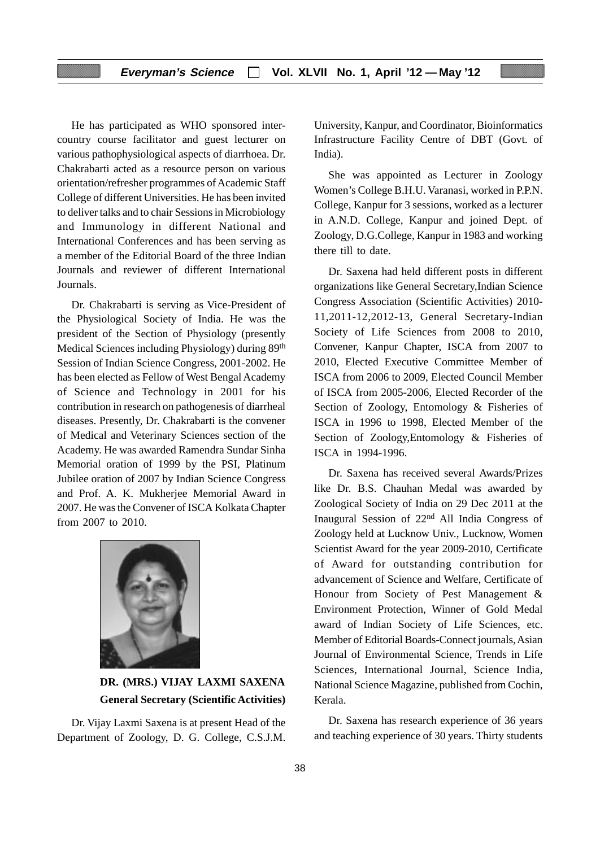He has participated as WHO sponsored intercountry course facilitator and guest lecturer on various pathophysiological aspects of diarrhoea. Dr. Chakrabarti acted as a resource person on various orientation/refresher programmes of Academic Staff College of different Universities. He has been invited to deliver talks and to chair Sessions in Microbiology and Immunology in different National and International Conferences and has been serving as a member of the Editorial Board of the three Indian Journals and reviewer of different International Journals.

Dr. Chakrabarti is serving as Vice-President of the Physiological Society of India. He was the president of the Section of Physiology (presently Medical Sciences including Physiology) during 89th Session of Indian Science Congress, 2001-2002. He has been elected as Fellow of West Bengal Academy of Science and Technology in 2001 for his contribution in research on pathogenesis of diarrheal diseases. Presently, Dr. Chakrabarti is the convener of Medical and Veterinary Sciences section of the Academy. He was awarded Ramendra Sundar Sinha Memorial oration of 1999 by the PSI, Platinum Jubilee oration of 2007 by Indian Science Congress and Prof. A. K. Mukherjee Memorial Award in 2007. He was the Convener of ISCA Kolkata Chapter from 2007 to 2010.



# **DR. (MRS.) VIJAY LAXMI SAXENA General Secretary (Scientific Activities)**

Dr. Vijay Laxmi Saxena is at present Head of the Department of Zoology, D. G. College, C.S.J.M. University, Kanpur, and Coordinator, Bioinformatics Infrastructure Facility Centre of DBT (Govt. of India).

She was appointed as Lecturer in Zoology Women's College B.H.U. Varanasi, worked in P.P.N. College, Kanpur for 3 sessions, worked as a lecturer in A.N.D. College, Kanpur and joined Dept. of Zoology, D.G.College, Kanpur in 1983 and working there till to date.

Dr. Saxena had held different posts in different organizations like General Secretary,Indian Science Congress Association (Scientific Activities) 2010- 11,2011-12,2012-13, General Secretary-Indian Society of Life Sciences from 2008 to 2010, Convener, Kanpur Chapter, ISCA from 2007 to 2010, Elected Executive Committee Member of ISCA from 2006 to 2009, Elected Council Member of ISCA from 2005-2006, Elected Recorder of the Section of Zoology, Entomology & Fisheries of ISCA in 1996 to 1998, Elected Member of the Section of Zoology,Entomology & Fisheries of ISCA in 1994-1996.

Dr. Saxena has received several Awards/Prizes like Dr. B.S. Chauhan Medal was awarded by Zoological Society of India on 29 Dec 2011 at the Inaugural Session of 22nd All India Congress of Zoology held at Lucknow Univ., Lucknow, Women Scientist Award for the year 2009-2010, Certificate of Award for outstanding contribution for advancement of Science and Welfare, Certificate of Honour from Society of Pest Management & Environment Protection, Winner of Gold Medal award of Indian Society of Life Sciences, etc. Member of Editorial Boards-Connect journals, Asian Journal of Environmental Science, Trends in Life Sciences, International Journal, Science India, National Science Magazine, published from Cochin, Kerala.

Dr. Saxena has research experience of 36 years and teaching experience of 30 years. Thirty students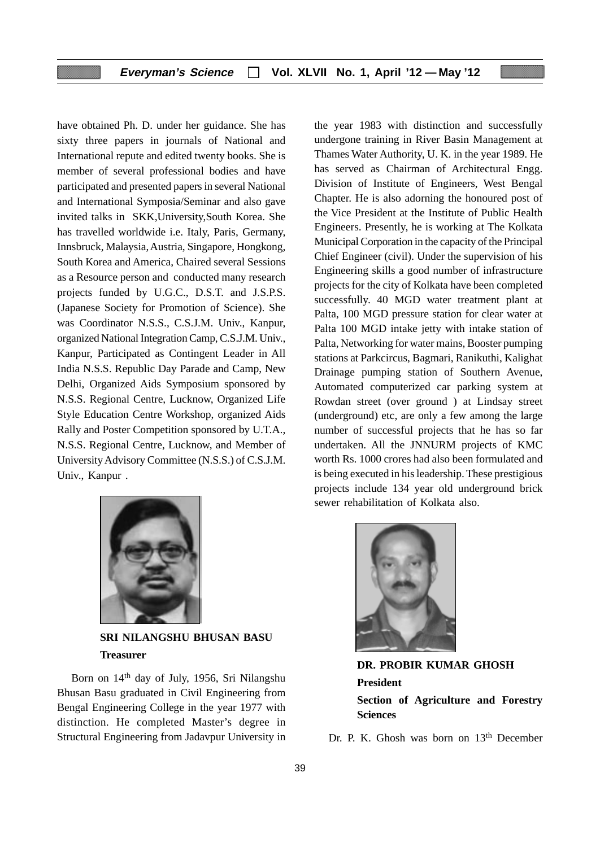have obtained Ph. D. under her guidance. She has sixty three papers in journals of National and International repute and edited twenty books. She is member of several professional bodies and have participated and presented papers in several National and International Symposia/Seminar and also gave invited talks in SKK,University,South Korea. She has travelled worldwide i.e. Italy, Paris, Germany, Innsbruck, Malaysia, Austria, Singapore, Hongkong, South Korea and America, Chaired several Sessions as a Resource person and conducted many research projects funded by U.G.C., D.S.T. and J.S.P.S. (Japanese Society for Promotion of Science). She was Coordinator N.S.S., C.S.J.M. Univ., Kanpur, organized National Integration Camp, C.S.J.M. Univ., Kanpur, Participated as Contingent Leader in All India N.S.S. Republic Day Parade and Camp, New Delhi, Organized Aids Symposium sponsored by N.S.S. Regional Centre, Lucknow, Organized Life Style Education Centre Workshop, organized Aids Rally and Poster Competition sponsored by U.T.A., N.S.S. Regional Centre, Lucknow, and Member of University Advisory Committee (N.S.S.) of C.S.J.M. Univ., Kanpur .



**SRI NILANGSHU BHUSAN BASU Treasurer**

Born on 14th day of July, 1956, Sri Nilangshu Bhusan Basu graduated in Civil Engineering from Bengal Engineering College in the year 1977 with distinction. He completed Master's degree in Structural Engineering from Jadavpur University in the year 1983 with distinction and successfully undergone training in River Basin Management at Thames Water Authority, U. K. in the year 1989. He has served as Chairman of Architectural Engg. Division of Institute of Engineers, West Bengal Chapter. He is also adorning the honoured post of the Vice President at the Institute of Public Health Engineers. Presently, he is working at The Kolkata Municipal Corporation in the capacity of the Principal Chief Engineer (civil). Under the supervision of his Engineering skills a good number of infrastructure projects for the city of Kolkata have been completed successfully. 40 MGD water treatment plant at Palta, 100 MGD pressure station for clear water at Palta 100 MGD intake jetty with intake station of Palta, Networking for water mains, Booster pumping stations at Parkcircus, Bagmari, Ranikuthi, Kalighat Drainage pumping station of Southern Avenue, Automated computerized car parking system at Rowdan street (over ground ) at Lindsay street (underground) etc, are only a few among the large number of successful projects that he has so far undertaken. All the JNNURM projects of KMC worth Rs. 1000 crores had also been formulated and is being executed in his leadership. These prestigious projects include 134 year old underground brick sewer rehabilitation of Kolkata also.



**DR. PROBIR KUMAR GHOSH President Section of Agriculture and Forestry Sciences**

Dr. P. K. Ghosh was born on 13<sup>th</sup> December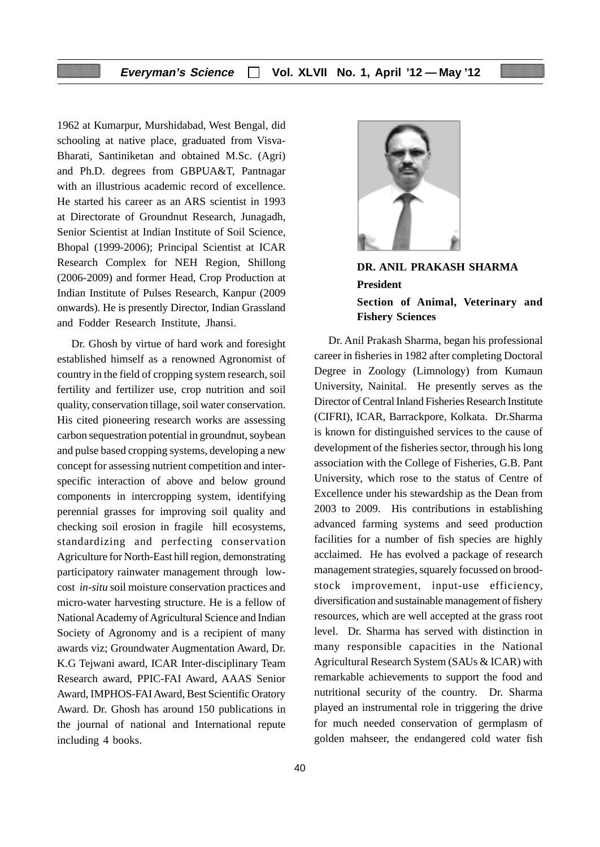1962 at Kumarpur, Murshidabad, West Bengal, did schooling at native place, graduated from Visva-Bharati, Santiniketan and obtained M.Sc. (Agri) and Ph.D. degrees from GBPUA&T, Pantnagar with an illustrious academic record of excellence. He started his career as an ARS scientist in 1993 at Directorate of Groundnut Research, Junagadh, Senior Scientist at Indian Institute of Soil Science, Bhopal (1999-2006); Principal Scientist at ICAR Research Complex for NEH Region, Shillong (2006-2009) and former Head, Crop Production at Indian Institute of Pulses Research, Kanpur (2009 onwards). He is presently Director, Indian Grassland and Fodder Research Institute, Jhansi.

Dr. Ghosh by virtue of hard work and foresight established himself as a renowned Agronomist of country in the field of cropping system research, soil fertility and fertilizer use, crop nutrition and soil quality, conservation tillage, soil water conservation. His cited pioneering research works are assessing carbon sequestration potential in groundnut, soybean and pulse based cropping systems, developing a new concept for assessing nutrient competition and interspecific interaction of above and below ground components in intercropping system, identifying perennial grasses for improving soil quality and checking soil erosion in fragile hill ecosystems, standardizing and perfecting conservation Agriculture for North-East hill region, demonstrating participatory rainwater management through lowcost *in-situ* soil moisture conservation practices and micro-water harvesting structure. He is a fellow of National Academy of Agricultural Science and Indian Society of Agronomy and is a recipient of many awards viz; Groundwater Augmentation Award, Dr. K.G Tejwani award, ICAR Inter-disciplinary Team Research award, PPIC-FAI Award, AAAS Senior Award, IMPHOS-FAI Award, Best Scientific Oratory Award. Dr. Ghosh has around 150 publications in the journal of national and International repute including 4 books.



# **DR. ANIL PRAKASH SHARMA President Section of Animal, Veterinary and Fishery Sciences**

Dr. Anil Prakash Sharma, began his professional career in fisheries in 1982 after completing Doctoral Degree in Zoology (Limnology) from Kumaun University, Nainital. He presently serves as the Director of Central Inland Fisheries Research Institute (CIFRI), ICAR, Barrackpore, Kolkata. Dr.Sharma is known for distinguished services to the cause of development of the fisheries sector, through his long association with the College of Fisheries, G.B. Pant University, which rose to the status of Centre of Excellence under his stewardship as the Dean from 2003 to 2009. His contributions in establishing advanced farming systems and seed production facilities for a number of fish species are highly acclaimed. He has evolved a package of research management strategies, squarely focussed on broodstock improvement, input-use efficiency, diversification and sustainable management of fishery resources, which are well accepted at the grass root level. Dr. Sharma has served with distinction in many responsible capacities in the National Agricultural Research System (SAUs & ICAR) with remarkable achievements to support the food and nutritional security of the country. Dr. Sharma played an instrumental role in triggering the drive for much needed conservation of germplasm of golden mahseer, the endangered cold water fish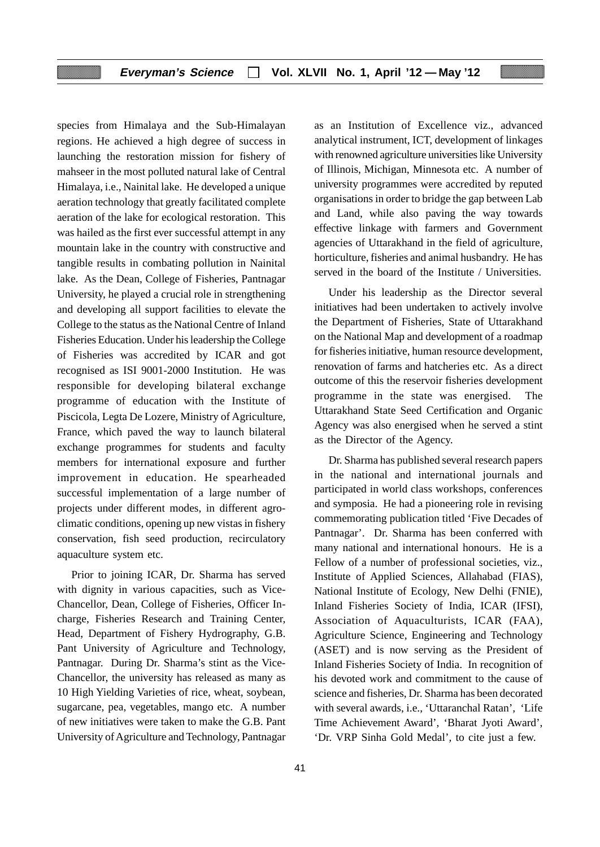species from Himalaya and the Sub-Himalayan regions. He achieved a high degree of success in launching the restoration mission for fishery of mahseer in the most polluted natural lake of Central Himalaya, i.e.*,* Nainital lake. He developed a unique aeration technology that greatly facilitated complete aeration of the lake for ecological restoration. This was hailed as the first ever successful attempt in any mountain lake in the country with constructive and tangible results in combating pollution in Nainital lake. As the Dean, College of Fisheries, Pantnagar University, he played a crucial role in strengthening and developing all support facilities to elevate the College to the status as the National Centre of Inland Fisheries Education. Under his leadership the College of Fisheries was accredited by ICAR and got recognised as ISI 9001-2000 Institution. He was responsible for developing bilateral exchange programme of education with the Institute of Piscicola, Legta De Lozere, Ministry of Agriculture, France, which paved the way to launch bilateral exchange programmes for students and faculty members for international exposure and further improvement in education. He spearheaded successful implementation of a large number of projects under different modes, in different agroclimatic conditions, opening up new vistas in fishery conservation, fish seed production, recirculatory aquaculture system etc.

Prior to joining ICAR, Dr. Sharma has served with dignity in various capacities, such as Vice-Chancellor, Dean, College of Fisheries, Officer Incharge, Fisheries Research and Training Center, Head, Department of Fishery Hydrography, G.B. Pant University of Agriculture and Technology, Pantnagar. During Dr. Sharma's stint as the Vice-Chancellor, the university has released as many as 10 High Yielding Varieties of rice, wheat, soybean, sugarcane, pea, vegetables, mango etc. A number of new initiatives were taken to make the G.B. Pant University of Agriculture and Technology, Pantnagar as an Institution of Excellence viz., advanced analytical instrument, ICT, development of linkages with renowned agriculture universities like University of Illinois, Michigan, Minnesota etc. A number of university programmes were accredited by reputed organisations in order to bridge the gap between Lab and Land, while also paving the way towards effective linkage with farmers and Government agencies of Uttarakhand in the field of agriculture, horticulture, fisheries and animal husbandry. He has served in the board of the Institute / Universities.

Under his leadership as the Director several initiatives had been undertaken to actively involve the Department of Fisheries, State of Uttarakhand on the National Map and development of a roadmap for fisheries initiative, human resource development, renovation of farms and hatcheries etc. As a direct outcome of this the reservoir fisheries development programme in the state was energised. The Uttarakhand State Seed Certification and Organic Agency was also energised when he served a stint as the Director of the Agency.

Dr. Sharma has published several research papers in the national and international journals and participated in world class workshops, conferences and symposia. He had a pioneering role in revising commemorating publication titled 'Five Decades of Pantnagar'.Dr. Sharma has been conferred with many national and international honours. He is a Fellow of a number of professional societies, viz., Institute of Applied Sciences, Allahabad (FIAS), National Institute of Ecology, New Delhi (FNIE), Inland Fisheries Society of India, ICAR (IFSI), Association of Aquaculturists, ICAR (FAA), Agriculture Science, Engineering and Technology (ASET) and is now serving as the President of Inland Fisheries Society of India. In recognition of his devoted work and commitment to the cause of science and fisheries, Dr. Sharma has been decorated with several awards, i.e., 'Uttaranchal Ratan', 'Life Time Achievement Award', 'Bharat Jyoti Award', 'Dr. VRP Sinha Gold Medal'*,* to cite just a few.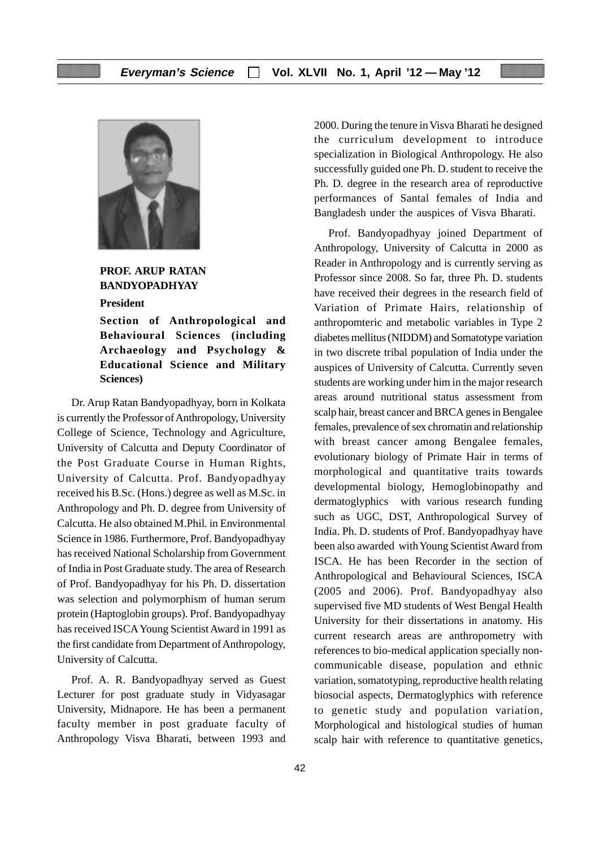

**PROF. ARUP RATAN BANDYOPADHYAY**

**President**

**Section of Anthropological and Behavioural Sciences (including Archaeology and Psychology & Educational Science and Military Sciences)**

Dr. Arup Ratan Bandyopadhyay, born in Kolkata is currently the Professor of Anthropology, University College of Science, Technology and Agriculture, University of Calcutta and Deputy Coordinator of the Post Graduate Course in Human Rights, University of Calcutta. Prof. Bandyopadhyay received his B.Sc. (Hons.) degree as well as M.Sc. in Anthropology and Ph. D. degree from University of Calcutta. He also obtained M.Phil. in Environmental Science in 1986. Furthermore, Prof. Bandyopadhyay has received National Scholarship from Government of India in Post Graduate study. The area of Research of Prof. Bandyopadhyay for his Ph. D. dissertation was selection and polymorphism of human serum protein (Haptoglobin groups). Prof. Bandyopadhyay has received ISCA Young Scientist Award in 1991 as the first candidate from Department of Anthropology, University of Calcutta.

Prof. A. R. Bandyopadhyay served as Guest Lecturer for post graduate study in Vidyasagar University, Midnapore. He has been a permanent faculty member in post graduate faculty of Anthropology Visva Bharati, between 1993 and 2000. During the tenure in Visva Bharati he designed the curriculum development to introduce specialization in Biological Anthropology. He also successfully guided one Ph. D. student to receive the Ph. D. degree in the research area of reproductive performances of Santal females of India and Bangladesh under the auspices of Visva Bharati.

Prof. Bandyopadhyay joined Department of Anthropology, University of Calcutta in 2000 as Reader in Anthropology and is currently serving as Professor since 2008. So far, three Ph. D. students have received their degrees in the research field of Variation of Primate Hairs, relationship of anthropomteric and metabolic variables in Type 2 diabetes mellitus (NIDDM) and Somatotype variation in two discrete tribal population of India under the auspices of University of Calcutta. Currently seven students are working under him in the major research areas around nutritional status assessment from scalp hair, breast cancer and BRCA genes in Bengalee females, prevalence of sex chromatin and relationship with breast cancer among Bengalee females, evolutionary biology of Primate Hair in terms of morphological and quantitative traits towards developmental biology, Hemoglobinopathy and dermatoglyphics with various research funding such as UGC, DST, Anthropological Survey of India. Ph. D. students of Prof. Bandyopadhyay have been also awarded with Young Scientist Award from ISCA. He has been Recorder in the section of Anthropological and Behavioural Sciences, ISCA (2005 and 2006). Prof. Bandyopadhyay also supervised five MD students of West Bengal Health University for their dissertations in anatomy. His current research areas are anthropometry with references to bio-medical application specially noncommunicable disease, population and ethnic variation, somatotyping, reproductive health relating biosocial aspects, Dermatoglyphics with reference to genetic study and population variation, Morphological and histological studies of human scalp hair with reference to quantitative genetics,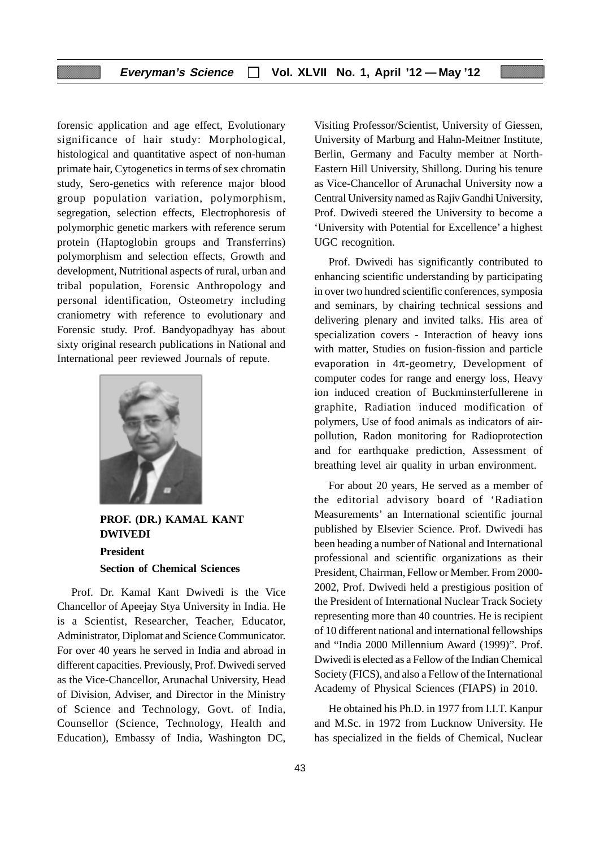forensic application and age effect, Evolutionary significance of hair study: Morphological, histological and quantitative aspect of non-human primate hair, Cytogenetics in terms of sex chromatin study, Sero-genetics with reference major blood group population variation, polymorphism, segregation, selection effects, Electrophoresis of polymorphic genetic markers with reference serum protein (Haptoglobin groups and Transferrins) polymorphism and selection effects, Growth and development, Nutritional aspects of rural, urban and tribal population, Forensic Anthropology and personal identification, Osteometry including craniometry with reference to evolutionary and Forensic study. Prof. Bandyopadhyay has about sixty original research publications in National and International peer reviewed Journals of repute.



**PROF. (DR.) KAMAL KANT DWIVEDI President Section of Chemical Sciences**

Prof. Dr. Kamal Kant Dwivedi is the Vice Chancellor of Apeejay Stya University in India. He is a Scientist, Researcher, Teacher, Educator, Administrator, Diplomat and Science Communicator. For over 40 years he served in India and abroad in different capacities. Previously, Prof. Dwivedi served as the Vice-Chancellor, Arunachal University, Head of Division, Adviser, and Director in the Ministry of Science and Technology, Govt. of India, Counsellor (Science, Technology, Health and Education), Embassy of India, Washington DC, Visiting Professor/Scientist, University of Giessen, University of Marburg and Hahn-Meitner Institute, Berlin, Germany and Faculty member at North-Eastern Hill University, Shillong. During his tenure as Vice-Chancellor of Arunachal University now a Central University named as Rajiv Gandhi University, Prof. Dwivedi steered the University to become a 'University with Potential for Excellence' a highest UGC recognition.

Prof. Dwivedi has significantly contributed to enhancing scientific understanding by participating in over two hundred scientific conferences, symposia and seminars, by chairing technical sessions and delivering plenary and invited talks. His area of specialization covers - Interaction of heavy ions with matter, Studies on fusion-fission and particle evaporation in 4π-geometry, Development of computer codes for range and energy loss, Heavy ion induced creation of Buckminsterfullerene in graphite, Radiation induced modification of polymers, Use of food animals as indicators of airpollution, Radon monitoring for Radioprotection and for earthquake prediction, Assessment of breathing level air quality in urban environment.

For about 20 years, He served as a member of the editorial advisory board of 'Radiation Measurements' an International scientific journal published by Elsevier Science. Prof. Dwivedi has been heading a number of National and International professional and scientific organizations as their President, Chairman, Fellow or Member. From 2000- 2002, Prof. Dwivedi held a prestigious position of the President of International Nuclear Track Society representing more than 40 countries. He is recipient of 10 different national and international fellowships and "India 2000 Millennium Award (1999)". Prof. Dwivedi is elected as a Fellow of the Indian Chemical Society (FICS), and also a Fellow of the International Academy of Physical Sciences (FIAPS) in 2010.

He obtained his Ph.D. in 1977 from I.I.T. Kanpur and M.Sc. in 1972 from Lucknow University. He has specialized in the fields of Chemical, Nuclear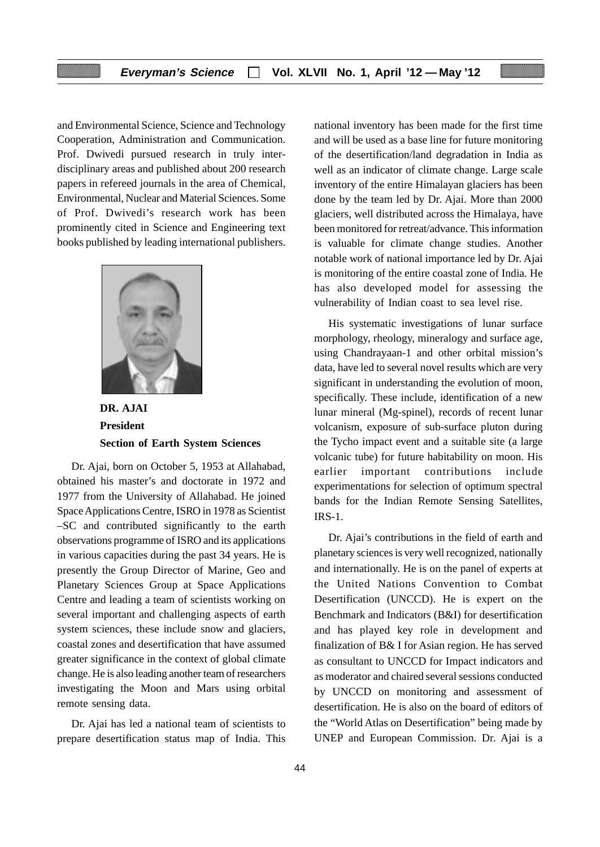and Environmental Science, Science and Technology Cooperation, Administration and Communication. Prof. Dwivedi pursued research in truly interdisciplinary areas and published about 200 research papers in refereed journals in the area of Chemical, Environmental, Nuclear and Material Sciences. Some of Prof. Dwivedi's research work has been prominently cited in Science and Engineering text books published by leading international publishers.



**DR. AJAI President Section of Earth System Sciences**

Dr. Ajai, born on October 5, 1953 at Allahabad, obtained his master's and doctorate in 1972 and 1977 from the University of Allahabad. He joined Space Applications Centre, ISRO in 1978 as Scientist –SC and contributed significantly to the earth observations programme of ISRO and its applications in various capacities during the past 34 years. He is presently the Group Director of Marine, Geo and Planetary Sciences Group at Space Applications Centre and leading a team of scientists working on several important and challenging aspects of earth system sciences, these include snow and glaciers, coastal zones and desertification that have assumed greater significance in the context of global climate change. He is also leading another team of researchers investigating the Moon and Mars using orbital remote sensing data.

Dr. Ajai has led a national team of scientists to prepare desertification status map of India. This national inventory has been made for the first time and will be used as a base line for future monitoring of the desertification/land degradation in India as well as an indicator of climate change. Large scale inventory of the entire Himalayan glaciers has been done by the team led by Dr. Ajai. More than 2000 glaciers, well distributed across the Himalaya, have been monitored for retreat/advance. This information is valuable for climate change studies. Another notable work of national importance led by Dr. Ajai is monitoring of the entire coastal zone of India. He has also developed model for assessing the vulnerability of Indian coast to sea level rise.

His systematic investigations of lunar surface morphology, rheology, mineralogy and surface age, using Chandrayaan-1 and other orbital mission's data, have led to several novel results which are very significant in understanding the evolution of moon, specifically. These include, identification of a new lunar mineral (Mg-spinel), records of recent lunar volcanism, exposure of sub-surface pluton during the Tycho impact event and a suitable site (a large volcanic tube) for future habitability on moon. His earlier important contributions include experimentations for selection of optimum spectral bands for the Indian Remote Sensing Satellites, IRS-1.

Dr. Ajai's contributions in the field of earth and planetary sciences is very well recognized, nationally and internationally. He is on the panel of experts at the United Nations Convention to Combat Desertification (UNCCD). He is expert on the Benchmark and Indicators (B&I) for desertification and has played key role in development and finalization of B& I for Asian region. He has served as consultant to UNCCD for Impact indicators and as moderator and chaired several sessions conducted by UNCCD on monitoring and assessment of desertification. He is also on the board of editors of the "World Atlas on Desertification" being made by UNEP and European Commission. Dr. Ajai is a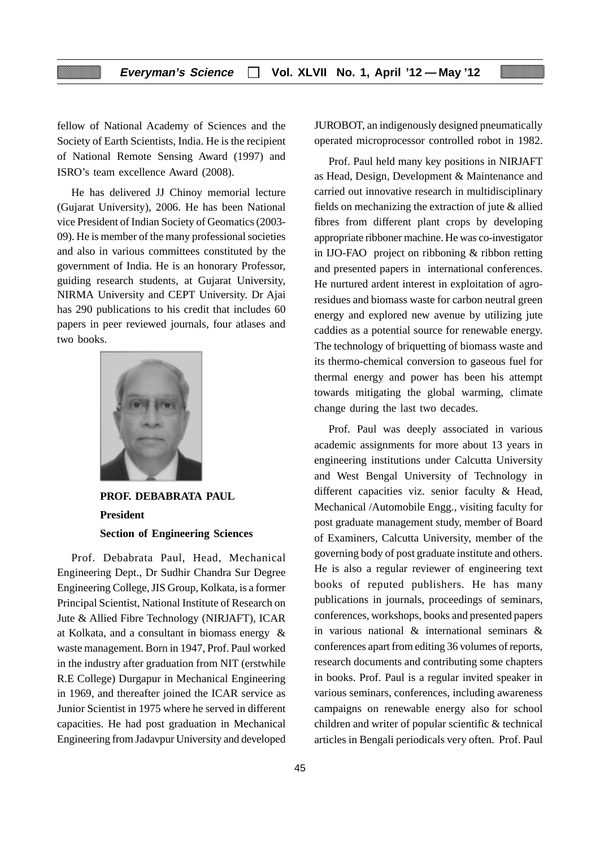fellow of National Academy of Sciences and the Society of Earth Scientists, India. He is the recipient of National Remote Sensing Award (1997) and ISRO's team excellence Award (2008).

He has delivered JJ Chinoy memorial lecture (Gujarat University), 2006. He has been National vice President of Indian Society of Geomatics (2003- 09). He is member of the many professional societies and also in various committees constituted by the government of India. He is an honorary Professor, guiding research students, at Gujarat University, NIRMA University and CEPT University. Dr Ajai has 290 publications to his credit that includes 60 papers in peer reviewed journals, four atlases and two books.



**PROF. DEBABRATA PAUL President Section of Engineering Sciences**

Prof. Debabrata Paul, Head, Mechanical Engineering Dept., Dr Sudhir Chandra Sur Degree Engineering College, JIS Group, Kolkata, is a former Principal Scientist, National Institute of Research on Jute & Allied Fibre Technology (NIRJAFT), ICAR at Kolkata, and a consultant in biomass energy & waste management. Born in 1947, Prof. Paul worked in the industry after graduation from NIT (erstwhile R.E College) Durgapur in Mechanical Engineering in 1969, and thereafter joined the ICAR service as Junior Scientist in 1975 where he served in different capacities. He had post graduation in Mechanical Engineering from Jadavpur University and developed

JUROBOT, an indigenously designed pneumatically operated microprocessor controlled robot in 1982.

Prof. Paul held many key positions in NIRJAFT as Head, Design, Development & Maintenance and carried out innovative research in multidisciplinary fields on mechanizing the extraction of jute & allied fibres from different plant crops by developing appropriate ribboner machine. He was co-investigator in IJO-FAO project on ribboning & ribbon retting and presented papers in international conferences. He nurtured ardent interest in exploitation of agroresidues and biomass waste for carbon neutral green energy and explored new avenue by utilizing jute caddies as a potential source for renewable energy. The technology of briquetting of biomass waste and its thermo-chemical conversion to gaseous fuel for thermal energy and power has been his attempt towards mitigating the global warming, climate change during the last two decades.

Prof. Paul was deeply associated in various academic assignments for more about 13 years in engineering institutions under Calcutta University and West Bengal University of Technology in different capacities viz. senior faculty & Head, Mechanical /Automobile Engg., visiting faculty for post graduate management study, member of Board of Examiners, Calcutta University, member of the governing body of post graduate institute and others. He is also a regular reviewer of engineering text books of reputed publishers. He has many publications in journals, proceedings of seminars, conferences, workshops, books and presented papers in various national & international seminars & conferences apart from editing 36 volumes of reports, research documents and contributing some chapters in books. Prof. Paul is a regular invited speaker in various seminars, conferences, including awareness campaigns on renewable energy also for school children and writer of popular scientific & technical articles in Bengali periodicals very often. Prof. Paul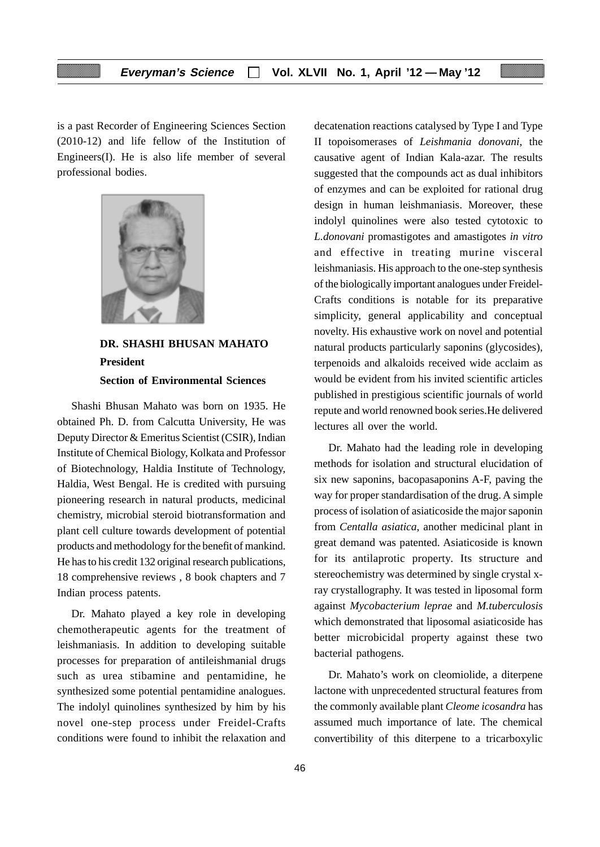is a past Recorder of Engineering Sciences Section (2010-12) and life fellow of the Institution of Engineers(I). He is also life member of several professional bodies.



# **DR. SHASHI BHUSAN MAHATO President Section of Environmental Sciences**

Shashi Bhusan Mahato was born on 1935. He obtained Ph. D. from Calcutta University, He was Deputy Director & Emeritus Scientist (CSIR), Indian Institute of Chemical Biology, Kolkata and Professor of Biotechnology, Haldia Institute of Technology, Haldia, West Bengal. He is credited with pursuing pioneering research in natural products, medicinal chemistry, microbial steroid biotransformation and plant cell culture towards development of potential products and methodology for the benefit of mankind. He has to his credit 132 original research publications, 18 comprehensive reviews , 8 book chapters and 7 Indian process patents.

Dr. Mahato played a key role in developing chemotherapeutic agents for the treatment of leishmaniasis. In addition to developing suitable processes for preparation of antileishmanial drugs such as urea stibamine and pentamidine, he synthesized some potential pentamidine analogues. The indolyl quinolines synthesized by him by his novel one-step process under Freidel-Crafts conditions were found to inhibit the relaxation and decatenation reactions catalysed by Type I and Type II topoisomerases of *Leishmania donovani*, the causative agent of Indian Kala-azar. The results suggested that the compounds act as dual inhibitors of enzymes and can be exploited for rational drug design in human leishmaniasis. Moreover, these indolyl quinolines were also tested cytotoxic to *L.donovani* promastigotes and amastigotes *in vitro* and effective in treating murine visceral leishmaniasis. His approach to the one-step synthesis of the biologically important analogues under Freidel-Crafts conditions is notable for its preparative simplicity, general applicability and conceptual novelty. His exhaustive work on novel and potential natural products particularly saponins (glycosides), terpenoids and alkaloids received wide acclaim as would be evident from his invited scientific articles published in prestigious scientific journals of world repute and world renowned book series.He delivered lectures all over the world.

Dr. Mahato had the leading role in developing methods for isolation and structural elucidation of six new saponins, bacopasaponins A-F, paving the way for proper standardisation of the drug. A simple process of isolation of asiaticoside the major saponin from *Centalla asiatica*, another medicinal plant in great demand was patented. Asiaticoside is known for its antilaprotic property. Its structure and stereochemistry was determined by single crystal xray crystallography. It was tested in liposomal form against *Mycobacterium leprae* and *M.tuberculosis* which demonstrated that liposomal asiaticoside has better microbicidal property against these two bacterial pathogens.

Dr. Mahato's work on cleomiolide, a diterpene lactone with unprecedented structural features from the commonly available plant *Cleome icosandra* has assumed much importance of late. The chemical convertibility of this diterpene to a tricarboxylic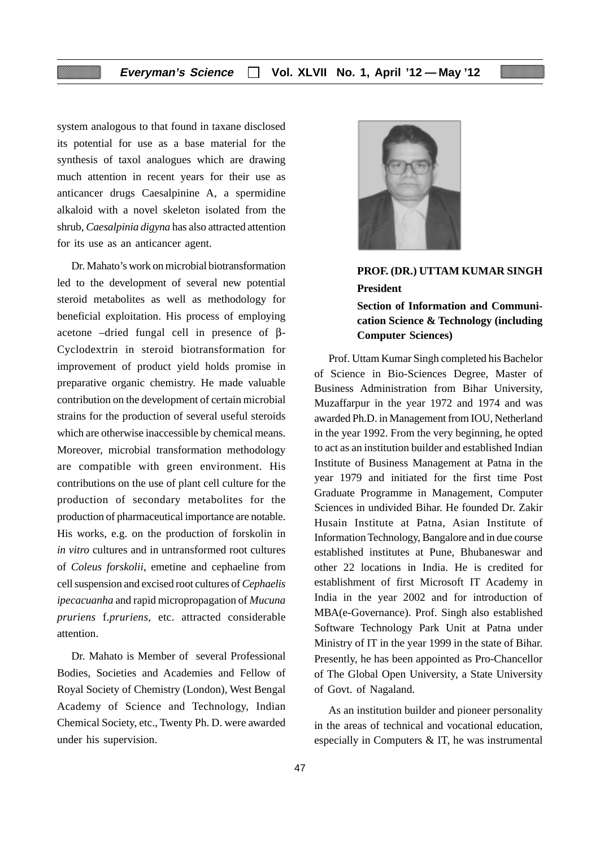system analogous to that found in taxane disclosed its potential for use as a base material for the synthesis of taxol analogues which are drawing much attention in recent years for their use as anticancer drugs Caesalpinine A, a spermidine alkaloid with a novel skeleton isolated from the shrub, *Caesalpinia digyna* has also attracted attention for its use as an anticancer agent.

Dr. Mahato's work on microbial biotransformation led to the development of several new potential steroid metabolites as well as methodology for beneficial exploitation. His process of employing acetone –dried fungal cell in presence of β-Cyclodextrin in steroid biotransformation for improvement of product yield holds promise in preparative organic chemistry. He made valuable contribution on the development of certain microbial strains for the production of several useful steroids which are otherwise inaccessible by chemical means. Moreover, microbial transformation methodology are compatible with green environment. His contributions on the use of plant cell culture for the production of secondary metabolites for the production of pharmaceutical importance are notable. His works, e.g. on the production of forskolin in *in vitro* cultures and in untransformed root cultures of *Coleus forskolii*, emetine and cephaeline from cell suspension and excised root cultures of *Cephaelis ipecacuanha* and rapid micropropagation of *Mucuna pruriens* f.*pruriens*, etc. attracted considerable attention.

Dr. Mahato is Member of several Professional Bodies, Societies and Academies and Fellow of Royal Society of Chemistry (London), West Bengal Academy of Science and Technology, Indian Chemical Society, etc., Twenty Ph. D. were awarded under his supervision.



# **PROF. (DR.) UTTAM KUMAR SINGH President**

**Section of Information and Communication Science & Technology (including Computer Sciences)**

Prof. Uttam Kumar Singh completed his Bachelor of Science in Bio-Sciences Degree, Master of Business Administration from Bihar University, Muzaffarpur in the year 1972 and 1974 and was awarded Ph.D. in Management from IOU, Netherland in the year 1992. From the very beginning, he opted to act as an institution builder and established Indian Institute of Business Management at Patna in the year 1979 and initiated for the first time Post Graduate Programme in Management, Computer Sciences in undivided Bihar. He founded Dr. Zakir Husain Institute at Patna, Asian Institute of Information Technology, Bangalore and in due course established institutes at Pune, Bhubaneswar and other 22 locations in India. He is credited for establishment of first Microsoft IT Academy in India in the year 2002 and for introduction of MBA(e-Governance). Prof. Singh also established Software Technology Park Unit at Patna under Ministry of IT in the year 1999 in the state of Bihar. Presently, he has been appointed as Pro-Chancellor of The Global Open University, a State University of Govt. of Nagaland.

As an institution builder and pioneer personality in the areas of technical and vocational education, especially in Computers & IT, he was instrumental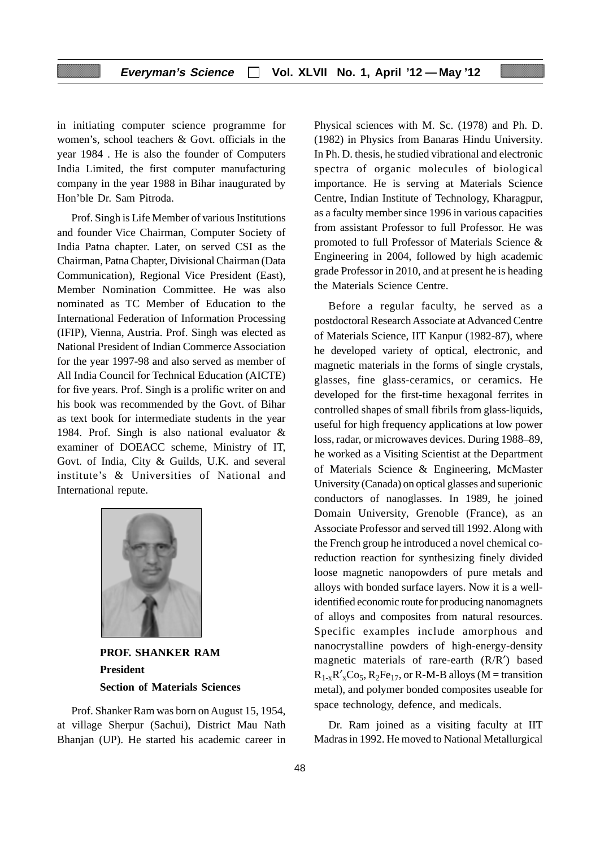in initiating computer science programme for women's, school teachers & Govt. officials in the year 1984 . He is also the founder of Computers India Limited, the first computer manufacturing company in the year 1988 in Bihar inaugurated by Hon'ble Dr. Sam Pitroda.

Prof. Singh is Life Member of various Institutions and founder Vice Chairman, Computer Society of India Patna chapter. Later, on served CSI as the Chairman, Patna Chapter, Divisional Chairman (Data Communication), Regional Vice President (East), Member Nomination Committee. He was also nominated as TC Member of Education to the International Federation of Information Processing (IFIP), Vienna, Austria. Prof. Singh was elected as National President of Indian Commerce Association for the year 1997-98 and also served as member of All India Council for Technical Education (AICTE) for five years. Prof. Singh is a prolific writer on and his book was recommended by the Govt. of Bihar as text book for intermediate students in the year 1984. Prof. Singh is also national evaluator & examiner of DOEACC scheme, Ministry of IT, Govt. of India, City & Guilds, U.K. and several institute's & Universities of National and International repute.



**PROF. SHANKER RAM President Section of Materials Sciences**

Prof. Shanker Ram was born on August 15, 1954, at village Sherpur (Sachui), District Mau Nath Bhanjan (UP). He started his academic career in Physical sciences with M. Sc. (1978) and Ph. D. (1982) in Physics from Banaras Hindu University. In Ph. D. thesis, he studied vibrational and electronic spectra of organic molecules of biological importance. He is serving at Materials Science Centre, Indian Institute of Technology, Kharagpur, as a faculty member since 1996 in various capacities from assistant Professor to full Professor. He was promoted to full Professor of Materials Science & Engineering in 2004, followed by high academic grade Professor in 2010, and at present he is heading the Materials Science Centre.

Before a regular faculty, he served as a postdoctoral Research Associate at Advanced Centre of Materials Science, IIT Kanpur (1982-87), where he developed variety of optical, electronic, and magnetic materials in the forms of single crystals, glasses, fine glass-ceramics, or ceramics. He developed for the first-time hexagonal ferrites in controlled shapes of small fibrils from glass-liquids, useful for high frequency applications at low power loss, radar, or microwaves devices. During 1988–89, he worked as a Visiting Scientist at the Department of Materials Science & Engineering, McMaster University (Canada) on optical glasses and superionic conductors of nanoglasses. In 1989, he joined Domain University, Grenoble (France), as an Associate Professor and served till 1992. Along with the French group he introduced a novel chemical coreduction reaction for synthesizing finely divided loose magnetic nanopowders of pure metals and alloys with bonded surface layers. Now it is a wellidentified economic route for producing nanomagnets of alloys and composites from natural resources. Specific examples include amorphous and nanocrystalline powders of high-energy-density magnetic materials of rare-earth (R/R′) based  $R_{1-x}R'_{x}Co_{5}$ ,  $R_{2}Fe_{17}$ , or R-M-B alloys (M = transition metal), and polymer bonded composites useable for space technology, defence, and medicals.

Dr. Ram joined as a visiting faculty at IIT Madras in 1992. He moved to National Metallurgical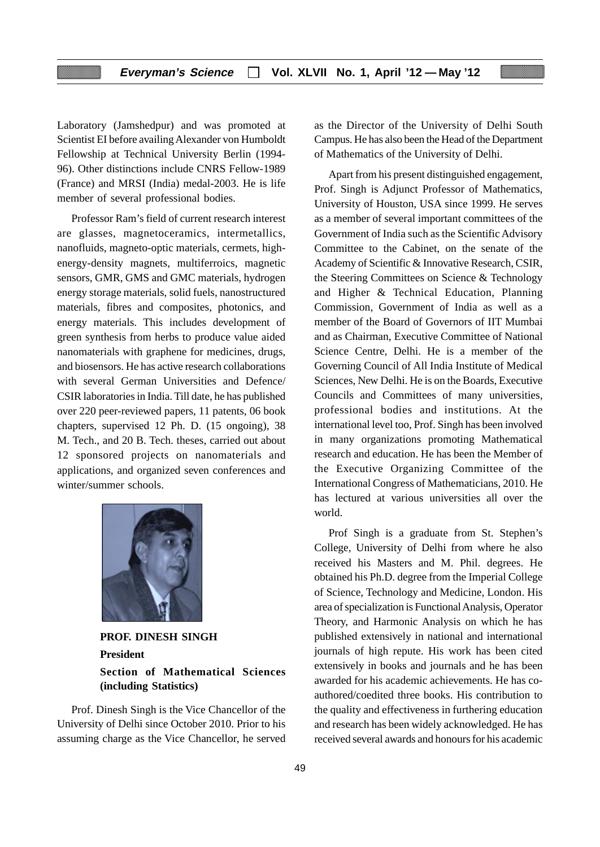Laboratory (Jamshedpur) and was promoted at Scientist EI before availing Alexander von Humboldt Fellowship at Technical University Berlin (1994- 96). Other distinctions include CNRS Fellow-1989 (France) and MRSI (India) medal-2003. He is life member of several professional bodies.

Professor Ram's field of current research interest are glasses, magnetoceramics, intermetallics, nanofluids, magneto-optic materials, cermets, highenergy-density magnets, multiferroics, magnetic sensors, GMR, GMS and GMC materials, hydrogen energy storage materials, solid fuels, nanostructured materials, fibres and composites, photonics, and energy materials. This includes development of green synthesis from herbs to produce value aided nanomaterials with graphene for medicines, drugs, and biosensors. He has active research collaborations with several German Universities and Defence/ CSIR laboratories in India. Till date, he has published over 220 peer-reviewed papers, 11 patents, 06 book chapters, supervised 12 Ph. D. (15 ongoing), 38 M. Tech., and 20 B. Tech. theses, carried out about 12 sponsored projects on nanomaterials and applications, and organized seven conferences and winter/summer schools.



**PROF. DINESH SINGH President Section of Mathematical Sciences (including Statistics)**

Prof. Dinesh Singh is the Vice Chancellor of the University of Delhi since October 2010. Prior to his assuming charge as the Vice Chancellor, he served

as the Director of the University of Delhi South Campus. He has also been the Head of the Department of Mathematics of the University of Delhi.

Apart from his present distinguished engagement, Prof. Singh is Adjunct Professor of Mathematics, University of Houston, USA since 1999. He serves as a member of several important committees of the Government of India such as the Scientific Advisory Committee to the Cabinet, on the senate of the Academy of Scientific & Innovative Research, CSIR, the Steering Committees on Science & Technology and Higher & Technical Education, Planning Commission, Government of India as well as a member of the Board of Governors of IIT Mumbai and as Chairman, Executive Committee of National Science Centre, Delhi. He is a member of the Governing Council of All India Institute of Medical Sciences, New Delhi. He is on the Boards, Executive Councils and Committees of many universities, professional bodies and institutions. At the international level too, Prof. Singh has been involved in many organizations promoting Mathematical research and education. He has been the Member of the Executive Organizing Committee of the International Congress of Mathematicians, 2010. He has lectured at various universities all over the world.

Prof Singh is a graduate from St. Stephen's College, University of Delhi from where he also received his Masters and M. Phil. degrees. He obtained his Ph.D. degree from the Imperial College of Science, Technology and Medicine, London. His area of specialization is Functional Analysis, Operator Theory, and Harmonic Analysis on which he has published extensively in national and international journals of high repute. His work has been cited extensively in books and journals and he has been awarded for his academic achievements. He has coauthored/coedited three books. His contribution to the quality and effectiveness in furthering education and research has been widely acknowledged. He has received several awards and honours for his academic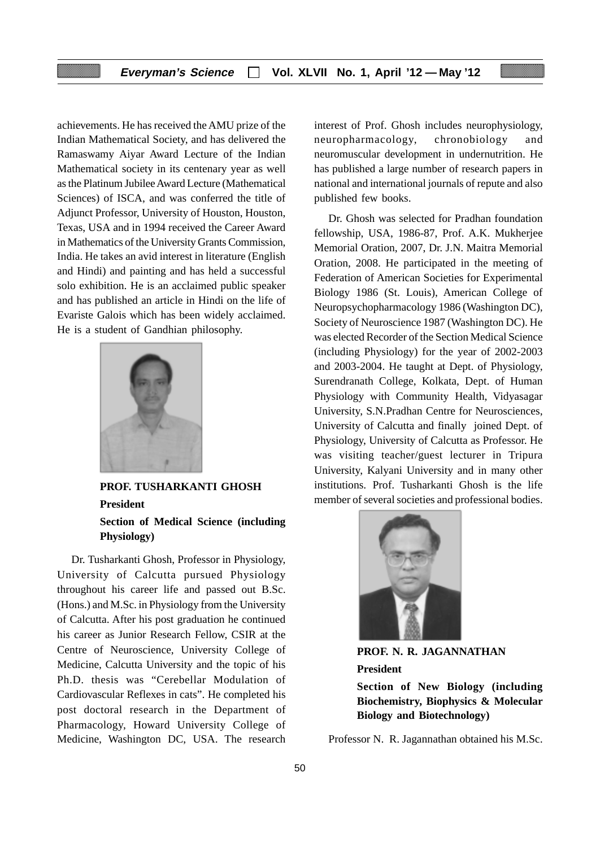achievements. He has received the AMU prize of the Indian Mathematical Society, and has delivered the Ramaswamy Aiyar Award Lecture of the Indian Mathematical society in its centenary year as well as the Platinum Jubilee Award Lecture (Mathematical Sciences) of ISCA, and was conferred the title of Adjunct Professor, University of Houston, Houston, Texas, USA and in 1994 received the Career Award in Mathematics of the University Grants Commission, India. He takes an avid interest in literature (English and Hindi) and painting and has held a successful solo exhibition. He is an acclaimed public speaker and has published an article in Hindi on the life of Evariste Galois which has been widely acclaimed. He is a student of Gandhian philosophy.



**PROF. TUSHARKANTI GHOSH President Section of Medical Science (including Physiology)**

Dr. Tusharkanti Ghosh, Professor in Physiology, University of Calcutta pursued Physiology throughout his career life and passed out B.Sc. (Hons.) and M.Sc. in Physiology from the University of Calcutta. After his post graduation he continued his career as Junior Research Fellow, CSIR at the Centre of Neuroscience, University College of Medicine, Calcutta University and the topic of his Ph.D. thesis was "Cerebellar Modulation of Cardiovascular Reflexes in cats". He completed his post doctoral research in the Department of Pharmacology, Howard University College of Medicine, Washington DC, USA. The research

interest of Prof. Ghosh includes neurophysiology, neuropharmacology, chronobiology and neuromuscular development in undernutrition. He has published a large number of research papers in national and international journals of repute and also published few books.

Dr. Ghosh was selected for Pradhan foundation fellowship, USA, 1986-87, Prof. A.K. Mukherjee Memorial Oration, 2007, Dr. J.N. Maitra Memorial Oration, 2008. He participated in the meeting of Federation of American Societies for Experimental Biology 1986 (St. Louis), American College of Neuropsychopharmacology 1986 (Washington DC), Society of Neuroscience 1987 (Washington DC). He was elected Recorder of the Section Medical Science (including Physiology) for the year of 2002-2003 and 2003-2004. He taught at Dept. of Physiology, Surendranath College, Kolkata, Dept. of Human Physiology with Community Health, Vidyasagar University, S.N.Pradhan Centre for Neurosciences, University of Calcutta and finally joined Dept. of Physiology, University of Calcutta as Professor. He was visiting teacher/guest lecturer in Tripura University, Kalyani University and in many other institutions. Prof. Tusharkanti Ghosh is the life member of several societies and professional bodies.



**PROF. N. R. JAGANNATHAN President Section of New Biology (including Biochemistry, Biophysics & Molecular Biology and Biotechnology)**

Professor N. R. Jagannathan obtained his M.Sc.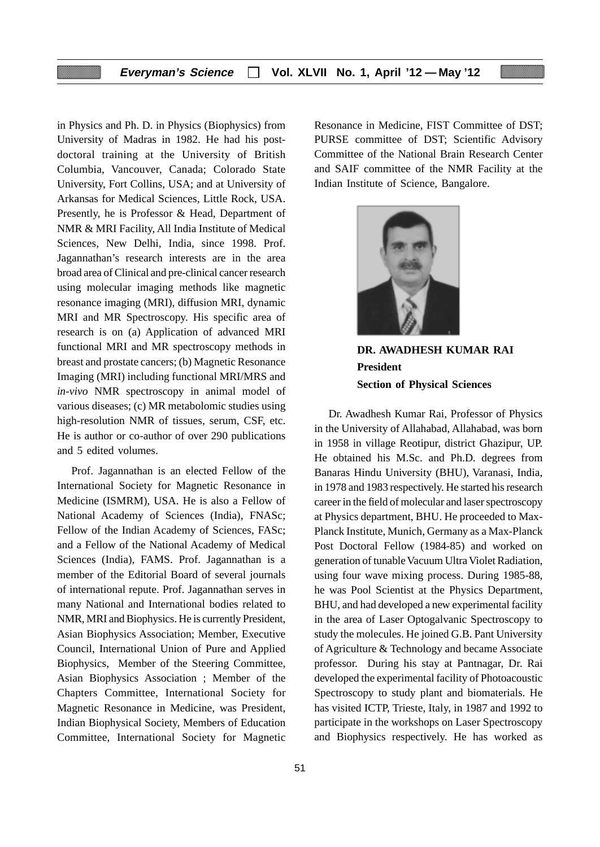in Physics and Ph. D. in Physics (Biophysics) from University of Madras in 1982. He had his postdoctoral training at the University of British Columbia, Vancouver, Canada; Colorado State University, Fort Collins, USA; and at University of Arkansas for Medical Sciences, Little Rock, USA. Presently, he is Professor & Head, Department of NMR & MRI Facility, All India Institute of Medical Sciences, New Delhi, India, since 1998. Prof. Jagannathan's research interests are in the area broad area of Clinical and pre-clinical cancer research using molecular imaging methods like magnetic resonance imaging (MRI), diffusion MRI, dynamic MRI and MR Spectroscopy. His specific area of research is on (a) Application of advanced MRI functional MRI and MR spectroscopy methods in breast and prostate cancers; (b) Magnetic Resonance Imaging (MRI) including functional MRI/MRS and *in-vivo* NMR spectroscopy in animal model of various diseases; (c) MR metabolomic studies using high-resolution NMR of tissues, serum, CSF, etc. He is author or co-author of over 290 publications and 5 edited volumes.

Prof. Jagannathan is an elected Fellow of the International Society for Magnetic Resonance in Medicine (ISMRM), USA. He is also a Fellow of National Academy of Sciences (India), FNASc; Fellow of the Indian Academy of Sciences, FASc; and a Fellow of the National Academy of Medical Sciences (India), FAMS. Prof. Jagannathan is a member of the Editorial Board of several journals of international repute. Prof. Jagannathan serves in many National and International bodies related to NMR, MRI and Biophysics. He is currently President, Asian Biophysics Association; Member, Executive Council, International Union of Pure and Applied Biophysics, Member of the Steering Committee, Asian Biophysics Association ; Member of the Chapters Committee, International Society for Magnetic Resonance in Medicine, was President, Indian Biophysical Society, Members of Education Committee, International Society for Magnetic Resonance in Medicine, FIST Committee of DST; PURSE committee of DST; Scientific Advisory Committee of the National Brain Research Center and SAIF committee of the NMR Facility at the Indian Institute of Science, Bangalore.



**DR. AWADHESH KUMAR RAI President Section of Physical Sciences**

Dr. Awadhesh Kumar Rai, Professor of Physics in the University of Allahabad, Allahabad, was born in 1958 in village Reotipur, district Ghazipur, UP. He obtained his M.Sc. and Ph.D. degrees from Banaras Hindu University (BHU), Varanasi, India, in 1978 and 1983 respectively. He started his research career in the field of molecular and laser spectroscopy at Physics department, BHU. He proceeded to Max-Planck Institute, Munich, Germany as a Max-Planck Post Doctoral Fellow (1984-85) and worked on generation of tunable Vacuum Ultra Violet Radiation, using four wave mixing process. During 1985-88, he was Pool Scientist at the Physics Department, BHU, and had developed a new experimental facility in the area of Laser Optogalvanic Spectroscopy to study the molecules. He joined G.B. Pant University of Agriculture & Technology and became Associate professor. During his stay at Pantnagar, Dr. Rai developed the experimental facility of Photoacoustic Spectroscopy to study plant and biomaterials. He has visited ICTP, Trieste, Italy, in 1987 and 1992 to participate in the workshops on Laser Spectroscopy and Biophysics respectively. He has worked as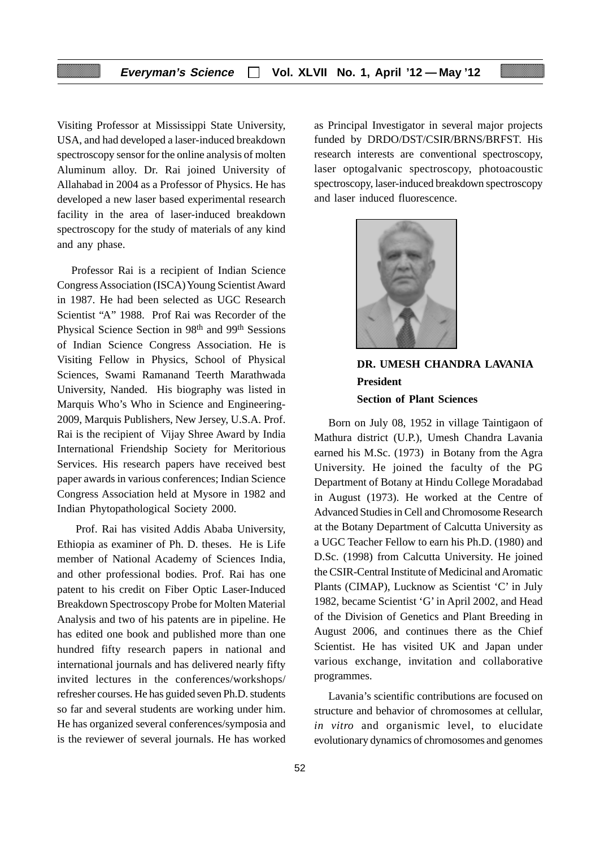Visiting Professor at Mississippi State University, USA, and had developed a laser-induced breakdown spectroscopy sensor for the online analysis of molten Aluminum alloy. Dr. Rai joined University of Allahabad in 2004 as a Professor of Physics. He has developed a new laser based experimental research facility in the area of laser-induced breakdown spectroscopy for the study of materials of any kind and any phase.

Professor Rai is a recipient of Indian Science Congress Association (ISCA) Young Scientist Award in 1987. He had been selected as UGC Research Scientist "A" 1988. Prof Rai was Recorder of the Physical Science Section in 98th and 99th Sessions of Indian Science Congress Association. He is Visiting Fellow in Physics, School of Physical Sciences, Swami Ramanand Teerth Marathwada University, Nanded. His biography was listed in Marquis Who's Who in Science and Engineering-2009, Marquis Publishers, New Jersey, U.S.A. Prof. Rai is the recipient of Vijay Shree Award by India International Friendship Society for Meritorious Services. His research papers have received best paper awards in various conferences; Indian Science Congress Association held at Mysore in 1982 and Indian Phytopathological Society 2000.

 Prof. Rai has visited Addis Ababa University, Ethiopia as examiner of Ph. D. theses. He is Life member of National Academy of Sciences India, and other professional bodies. Prof. Rai has one patent to his credit on Fiber Optic Laser-Induced Breakdown Spectroscopy Probe for Molten Material Analysis and two of his patents are in pipeline. He has edited one book and published more than one hundred fifty research papers in national and international journals and has delivered nearly fifty invited lectures in the conferences/workshops/ refresher courses. He has guided seven Ph.D. students so far and several students are working under him. He has organized several conferences/symposia and is the reviewer of several journals. He has worked as Principal Investigator in several major projects funded by DRDO/DST/CSIR/BRNS/BRFST. His research interests are conventional spectroscopy, laser optogalvanic spectroscopy, photoacoustic spectroscopy, laser-induced breakdown spectroscopy and laser induced fluorescence.



# **DR. UMESH CHANDRA LAVANIA President Section of Plant Sciences**

Born on July 08, 1952 in village Taintigaon of Mathura district (U.P.), Umesh Chandra Lavania earned his M.Sc. (1973) in Botany from the Agra University. He joined the faculty of the PG Department of Botany at Hindu College Moradabad in August (1973). He worked at the Centre of Advanced Studies in Cell and Chromosome Research at the Botany Department of Calcutta University as a UGC Teacher Fellow to earn his Ph.D. (1980) and D.Sc. (1998) from Calcutta University. He joined the CSIR-Central Institute of Medicinal and Aromatic Plants (CIMAP), Lucknow as Scientist 'C' in July 1982, became Scientist 'G' in April 2002, and Head of the Division of Genetics and Plant Breeding in August 2006, and continues there as the Chief Scientist. He has visited UK and Japan under various exchange, invitation and collaborative programmes.

Lavania's scientific contributions are focused on structure and behavior of chromosomes at cellular, *in vitro* and organismic level, to elucidate evolutionary dynamics of chromosomes and genomes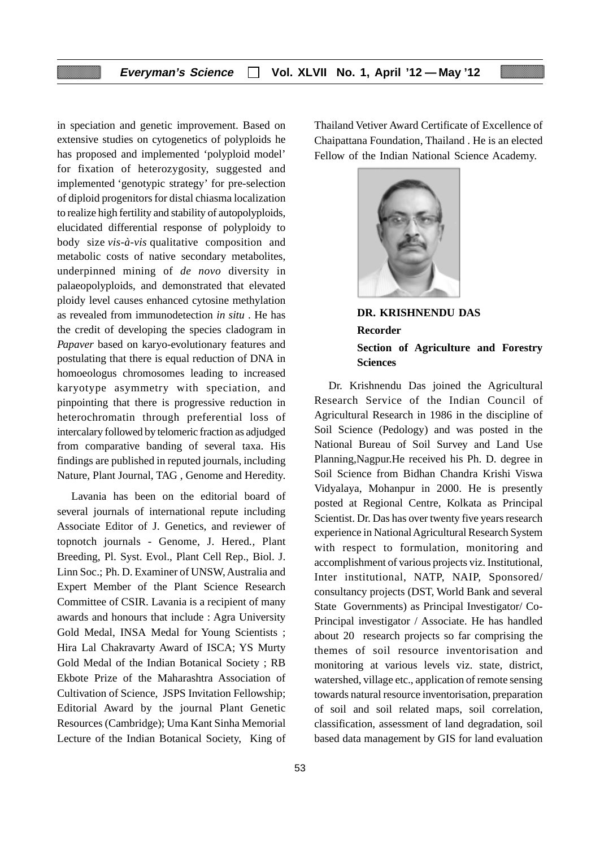in speciation and genetic improvement. Based on extensive studies on cytogenetics of polyploids he has proposed and implemented 'polyploid model' for fixation of heterozygosity, suggested and implemented 'genotypic strategy' for pre-selection of diploid progenitors for distal chiasma localization to realize high fertility and stability of autopolyploids, elucidated differential response of polyploidy to body size *vis-à-vis* qualitative composition and metabolic costs of native secondary metabolites, underpinned mining of *de novo* diversity in palaeopolyploids, and demonstrated that elevated ploidy level causes enhanced cytosine methylation as revealed from immunodetection *in situ* . He has the credit of developing the species cladogram in *Papaver* based on karyo-evolutionary features and postulating that there is equal reduction of DNA in homoeologus chromosomes leading to increased karyotype asymmetry with speciation, and pinpointing that there is progressive reduction in heterochromatin through preferential loss of intercalary followed by telomeric fraction as adjudged from comparative banding of several taxa. His findings are published in reputed journals, including Nature, Plant Journal, TAG , Genome and Heredity.

Lavania has been on the editorial board of several journals of international repute including Associate Editor of J. Genetics, and reviewer of topnotch journals - Genome, J. Hered*.,* Plant Breeding, Pl. Syst. Evol., Plant Cell Rep., Biol. J. Linn Soc.; Ph. D. Examiner of UNSW, Australia and Expert Member of the Plant Science Research Committee of CSIR. Lavania is a recipient of many awards and honours that include : Agra University Gold Medal, INSA Medal for Young Scientists ; Hira Lal Chakravarty Award of ISCA; YS Murty Gold Medal of the Indian Botanical Society ; RB Ekbote Prize of the Maharashtra Association of Cultivation of Science, JSPS Invitation Fellowship; Editorial Award by the journal Plant Genetic Resources (Cambridge); Uma Kant Sinha Memorial Lecture of the Indian Botanical Society, King of Thailand Vetiver Award Certificate of Excellence of Chaipattana Foundation, Thailand . He is an elected Fellow of the Indian National Science Academy.



**DR. KRISHNENDU DAS Recorder Section of Agriculture and Forestry Sciences**

Dr. Krishnendu Das joined the Agricultural Research Service of the Indian Council of Agricultural Research in 1986 in the discipline of Soil Science (Pedology) and was posted in the National Bureau of Soil Survey and Land Use Planning,Nagpur.He received his Ph. D. degree in Soil Science from Bidhan Chandra Krishi Viswa Vidyalaya, Mohanpur in 2000. He is presently posted at Regional Centre, Kolkata as Principal Scientist. Dr. Das has over twenty five years research experience in National Agricultural Research System with respect to formulation, monitoring and accomplishment of various projects viz. Institutional, Inter institutional, NATP, NAIP, Sponsored/ consultancy projects (DST, World Bank and several State Governments) as Principal Investigator/ Co-Principal investigator / Associate. He has handled about 20 research projects so far comprising the themes of soil resource inventorisation and monitoring at various levels viz. state, district, watershed, village etc., application of remote sensing towards natural resource inventorisation, preparation of soil and soil related maps, soil correlation, classification, assessment of land degradation, soil based data management by GIS for land evaluation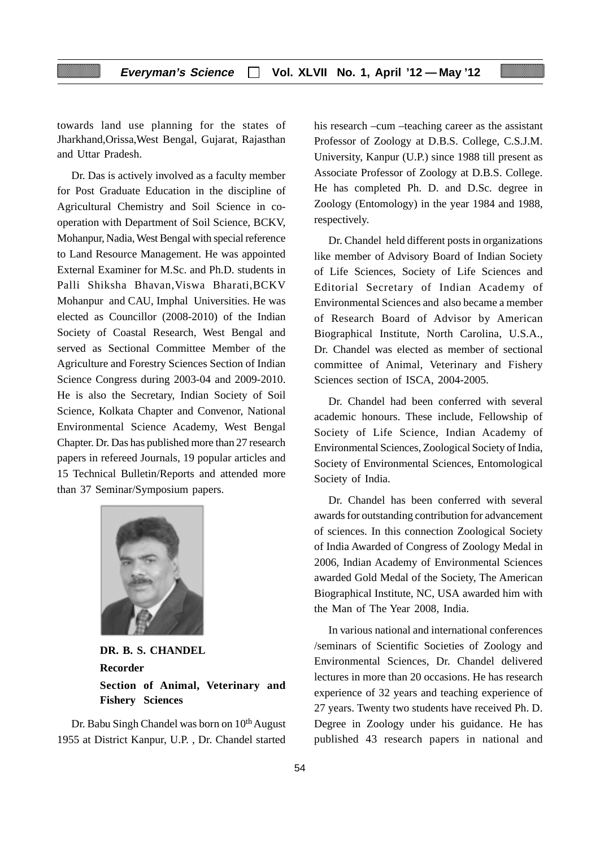towards land use planning for the states of Jharkhand,Orissa,West Bengal, Gujarat, Rajasthan and Uttar Pradesh.

Dr. Das is actively involved as a faculty member for Post Graduate Education in the discipline of Agricultural Chemistry and Soil Science in cooperation with Department of Soil Science, BCKV, Mohanpur, Nadia, West Bengal with special reference to Land Resource Management. He was appointed External Examiner for M.Sc. and Ph.D. students in Palli Shiksha Bhavan,Viswa Bharati,BCKV Mohanpur and CAU, Imphal Universities. He was elected as Councillor (2008-2010) of the Indian Society of Coastal Research, West Bengal and served as Sectional Committee Member of the Agriculture and Forestry Sciences Section of Indian Science Congress during 2003-04 and 2009-2010. He is also the Secretary, Indian Society of Soil Science, Kolkata Chapter and Convenor, National Environmental Science Academy, West Bengal Chapter. Dr. Das has published more than 27 research papers in refereed Journals, 19 popular articles and 15 Technical Bulletin/Reports and attended more than 37 Seminar/Symposium papers.



**DR. B. S. CHANDEL Recorder Section of Animal, Veterinary and Fishery Sciences**

Dr. Babu Singh Chandel was born on 10<sup>th</sup> August 1955 at District Kanpur, U.P. , Dr. Chandel started

his research –cum –teaching career as the assistant Professor of Zoology at D.B.S. College, C.S.J.M. University, Kanpur (U.P.) since 1988 till present as Associate Professor of Zoology at D.B.S. College. He has completed Ph. D. and D.Sc. degree in Zoology (Entomology) in the year 1984 and 1988, respectively.

Dr. Chandel held different posts in organizations like member of Advisory Board of Indian Society of Life Sciences, Society of Life Sciences and Editorial Secretary of Indian Academy of Environmental Sciences and also became a member of Research Board of Advisor by American Biographical Institute, North Carolina, U.S.A., Dr. Chandel was elected as member of sectional committee of Animal, Veterinary and Fishery Sciences section of ISCA, 2004-2005.

Dr. Chandel had been conferred with several academic honours. These include, Fellowship of Society of Life Science, Indian Academy of Environmental Sciences, Zoological Society of India, Society of Environmental Sciences, Entomological Society of India.

Dr. Chandel has been conferred with several awards for outstanding contribution for advancement of sciences. In this connection Zoological Society of India Awarded of Congress of Zoology Medal in 2006, Indian Academy of Environmental Sciences awarded Gold Medal of the Society, The American Biographical Institute, NC, USA awarded him with the Man of The Year 2008, India.

In various national and international conferences /seminars of Scientific Societies of Zoology and Environmental Sciences, Dr. Chandel delivered lectures in more than 20 occasions. He has research experience of 32 years and teaching experience of 27 years. Twenty two students have received Ph. D. Degree in Zoology under his guidance. He has published 43 research papers in national and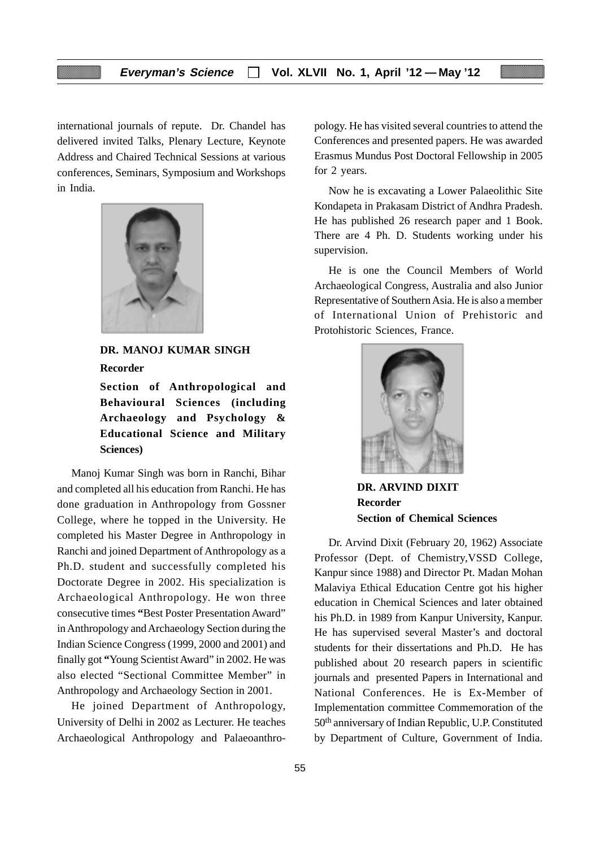international journals of repute. Dr. Chandel has delivered invited Talks, Plenary Lecture, Keynote Address and Chaired Technical Sessions at various conferences, Seminars, Symposium and Workshops in India.



**Sciences)**

**DR. MANOJ KUMAR SINGH Recorder Section of Anthropological and Behavioural Sciences (including Archaeology and Psychology & Educational Science and Military**

Manoj Kumar Singh was born in Ranchi, Bihar and completed all his education from Ranchi. He has done graduation in Anthropology from Gossner College, where he topped in the University. He completed his Master Degree in Anthropology in Ranchi and joined Department of Anthropology as a Ph.D. student and successfully completed his Doctorate Degree in 2002. His specialization is Archaeological Anthropology. He won three consecutive times **"**Best Poster Presentation Award" in Anthropology and Archaeology Section during the Indian Science Congress (1999, 2000 and 2001) and finally got **"**Young Scientist Award" in 2002. He was also elected "Sectional Committee Member" in Anthropology and Archaeology Section in 2001.

He joined Department of Anthropology, University of Delhi in 2002 as Lecturer. He teaches Archaeological Anthropology and Palaeoanthropology. He has visited several countries to attend the Conferences and presented papers. He was awarded Erasmus Mundus Post Doctoral Fellowship in 2005 for 2 years.

Now he is excavating a Lower Palaeolithic Site Kondapeta in Prakasam District of Andhra Pradesh. He has published 26 research paper and 1 Book. There are 4 Ph. D. Students working under his supervision.

He is one the Council Members of World Archaeological Congress, Australia and also Junior Representative of Southern Asia. He is also a member of International Union of Prehistoric and Protohistoric Sciences, France.



**DR. ARVIND DIXIT Recorder Section of Chemical Sciences**

Dr. Arvind Dixit (February 20, 1962) Associate Professor (Dept. of Chemistry,VSSD College, Kanpur since 1988) and Director Pt. Madan Mohan Malaviya Ethical Education Centre got his higher education in Chemical Sciences and later obtained his Ph.D. in 1989 from Kanpur University, Kanpur. He has supervised several Master's and doctoral students for their dissertations and Ph.D. He has published about 20 research papers in scientific journals and presented Papers in International and National Conferences. He is Ex-Member of Implementation committee Commemoration of the 50th anniversary of Indian Republic, U.P. Constituted by Department of Culture, Government of India.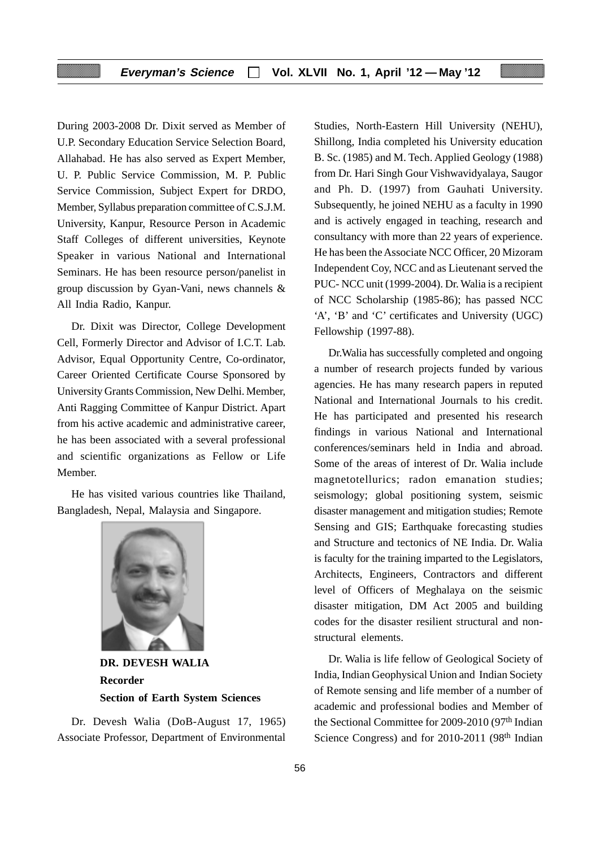During 2003-2008 Dr. Dixit served as Member of U.P. Secondary Education Service Selection Board, Allahabad. He has also served as Expert Member, U. P. Public Service Commission, M. P. Public Service Commission, Subject Expert for DRDO, Member, Syllabus preparation committee of C.S.J.M. University, Kanpur, Resource Person in Academic Staff Colleges of different universities, Keynote Speaker in various National and International Seminars. He has been resource person/panelist in group discussion by Gyan-Vani*,* news channels & All India Radio, Kanpur.

Dr. Dixit was Director, College Development Cell, Formerly Director and Advisor of I.C.T. Lab. Advisor, Equal Opportunity Centre, Co-ordinator, Career Oriented Certificate Course Sponsored by University Grants Commission, New Delhi. Member, Anti Ragging Committee of Kanpur District. Apart from his active academic and administrative career, he has been associated with a several professional and scientific organizations as Fellow or Life Member.

He has visited various countries like Thailand, Bangladesh, Nepal, Malaysia and Singapore.



**DR. DEVESH WALIA Recorder Section of Earth System Sciences**

Dr. Devesh Walia (DoB-August 17, 1965) Associate Professor, Department of Environmental

Studies, North-Eastern Hill University (NEHU), Shillong, India completed his University education B. Sc. (1985) and M. Tech. Applied Geology (1988) from Dr. Hari Singh Gour Vishwavidyalaya, Saugor and Ph. D. (1997) from Gauhati University. Subsequently, he joined NEHU as a faculty in 1990 and is actively engaged in teaching, research and consultancy with more than 22 years of experience. He has been the Associate NCC Officer, 20 Mizoram Independent Coy, NCC and as Lieutenant served the PUC- NCC unit (1999-2004). Dr. Walia is a recipient of NCC Scholarship (1985-86); has passed NCC 'A', 'B' and 'C' certificates and University (UGC) Fellowship (1997-88).

Dr.Walia has successfully completed and ongoing a number of research projects funded by various agencies. He has many research papers in reputed National and International Journals to his credit. He has participated and presented his research findings in various National and International conferences/seminars held in India and abroad. Some of the areas of interest of Dr. Walia include magnetotellurics; radon emanation studies; seismology; global positioning system, seismic disaster management and mitigation studies; Remote Sensing and GIS; Earthquake forecasting studies and Structure and tectonics of NE India. Dr. Walia is faculty for the training imparted to the Legislators, Architects, Engineers, Contractors and different level of Officers of Meghalaya on the seismic disaster mitigation, DM Act 2005 and building codes for the disaster resilient structural and nonstructural elements.

Dr. Walia is life fellow of Geological Society of India, Indian Geophysical Union and Indian Society of Remote sensing and life member of a number of academic and professional bodies and Member of the Sectional Committee for 2009-2010 (97<sup>th</sup> Indian Science Congress) and for 2010-2011 (98<sup>th</sup> Indian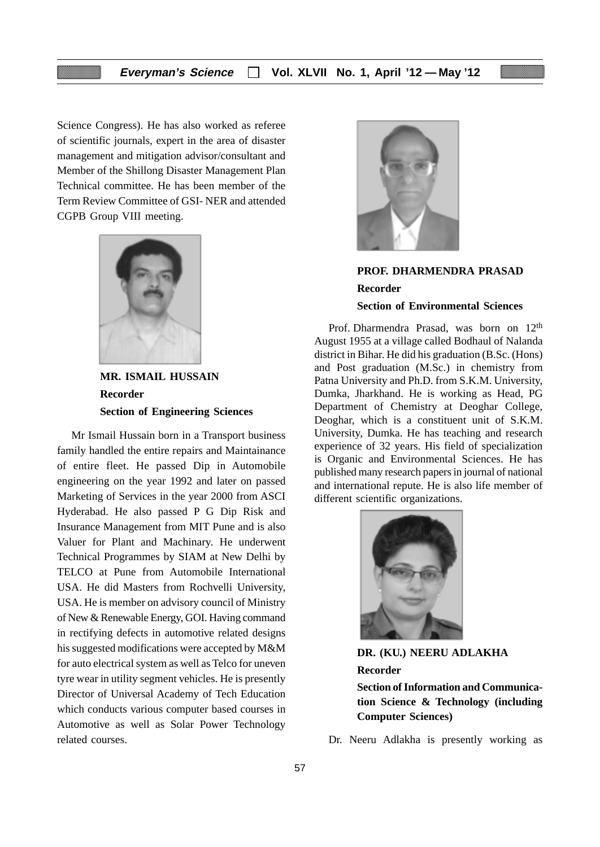Science Congress). He has also worked as referee of scientific journals, expert in the area of disaster management and mitigation advisor/consultant and Member of the Shillong Disaster Management Plan Technical committee. He has been member of the Term Review Committee of GSI- NER and attended CGPB Group VIII meeting.



**MR. ISMAIL HUSSAIN Recorder Section of Engineering Sciences**

Mr Ismail Hussain born in a Transport business family handled the entire repairs and Maintainance of entire fleet. He passed Dip in Automobile engineering on the year 1992 and later on passed Marketing of Services in the year 2000 from ASCI Hyderabad. He also passed P G Dip Risk and Insurance Management from MIT Pune and is also Valuer for Plant and Machinary. He underwent Technical Programmes by SIAM at New Delhi by TELCO at Pune from Automobile International USA. He did Masters from Rochvelli University, USA. He is member on advisory council of Ministry of New & Renewable Energy, GOI. Having command in rectifying defects in automotive related designs his suggested modifications were accepted by M&M for auto electrical system as well as Telco for uneven tyre wear in utility segment vehicles. He is presently Director of Universal Academy of Tech Education which conducts various computer based courses in Automotive as well as Solar Power Technology related courses.



# **PROF. DHARMENDRA PRASAD Recorder Section of Environmental Sciences**

Prof. Dharmendra Prasad, was born on 12<sup>th</sup> August 1955 at a village called Bodhaul of Nalanda district in Bihar. He did his graduation (B.Sc. (Hons) and Post graduation (M.Sc.) in chemistry from Patna University and Ph.D. from S.K.M. University, Dumka, Jharkhand. He is working as Head, PG Department of Chemistry at Deoghar College, Deoghar, which is a constituent unit of S.K.M. University, Dumka. He has teaching and research experience of 32 years. His field of specialization is Organic and Environmental Sciences. He has published many research papers in journal of national and international repute. He is also life member of different scientific organizations.



**DR. (KU.) NEERU ADLAKHA Recorder Section of Information and Communication Science & Technology (including Computer Sciences)**

Dr. Neeru Adlakha is presently working as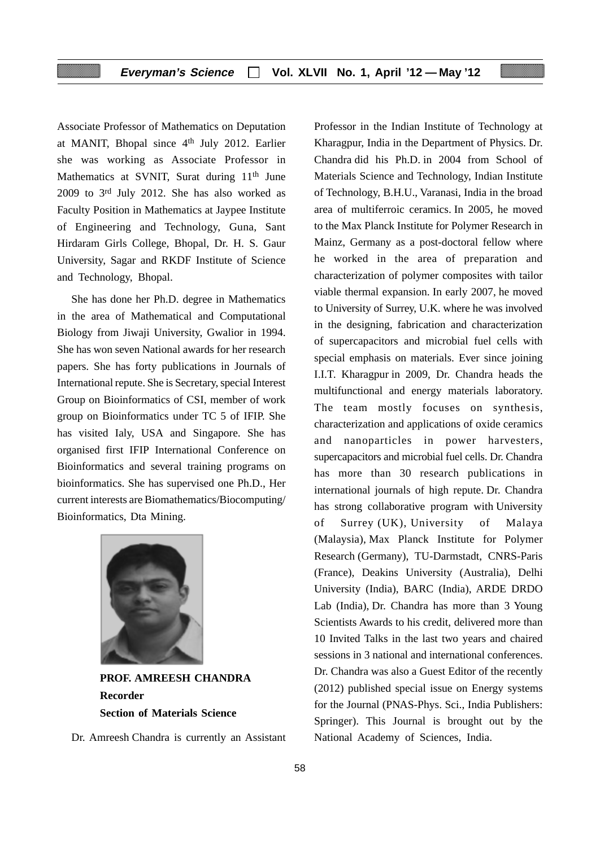Associate Professor of Mathematics on Deputation at MANIT, Bhopal since 4th July 2012. Earlier she was working as Associate Professor in Mathematics at SVNIT, Surat during 11<sup>th</sup> June 2009 to 3rd July 2012. She has also worked as Faculty Position in Mathematics at Jaypee Institute of Engineering and Technology, Guna, Sant Hirdaram Girls College, Bhopal, Dr. H. S. Gaur University, Sagar and RKDF Institute of Science and Technology, Bhopal.

She has done her Ph.D. degree in Mathematics in the area of Mathematical and Computational Biology from Jiwaji University, Gwalior in 1994. She has won seven National awards for her research papers. She has forty publications in Journals of International repute. She is Secretary, special Interest Group on Bioinformatics of CSI, member of work group on Bioinformatics under TC 5 of IFIP. She has visited Ialy, USA and Singapore. She has organised first IFIP International Conference on Bioinformatics and several training programs on bioinformatics. She has supervised one Ph.D., Her current interests are Biomathematics/Biocomputing/ Bioinformatics, Dta Mining.



**PROF. AMREESH CHANDRA Recorder Section of Materials Science**

Dr. Amreesh Chandra is currently an Assistant

Professor in the Indian Institute of Technology at Kharagpur, India in the Department of Physics. Dr. Chandra did his Ph.D. in 2004 from School of Materials Science and Technology, Indian Institute of Technology, B.H.U., Varanasi, India in the broad area of multiferroic ceramics. In 2005, he moved to the Max Planck Institute for Polymer Research in Mainz, Germany as a post-doctoral fellow where he worked in the area of preparation and characterization of polymer composites with tailor viable thermal expansion. In early 2007, he moved to University of Surrey, U.K. where he was involved in the designing, fabrication and characterization of supercapacitors and microbial fuel cells with special emphasis on materials. Ever since joining I.I.T. Kharagpur in 2009, Dr. Chandra heads the multifunctional and energy materials laboratory. The team mostly focuses on synthesis, characterization and applications of oxide ceramics and nanoparticles in power harvesters, supercapacitors and microbial fuel cells. Dr. Chandra has more than 30 research publications in international journals of high repute. Dr. Chandra has strong collaborative program with University of Surrey (UK), University of Malaya (Malaysia), Max Planck Institute for Polymer Research (Germany), TU-Darmstadt, CNRS-Paris (France), Deakins University (Australia), Delhi University (India), BARC (India), ARDE DRDO Lab (India), Dr. Chandra has more than 3 Young Scientists Awards to his credit, delivered more than 10 Invited Talks in the last two years and chaired sessions in 3 national and international conferences. Dr. Chandra was also a Guest Editor of the recently (2012) published special issue on Energy systems for the Journal (PNAS-Phys. Sci., India Publishers: Springer). This Journal is brought out by the National Academy of Sciences, India.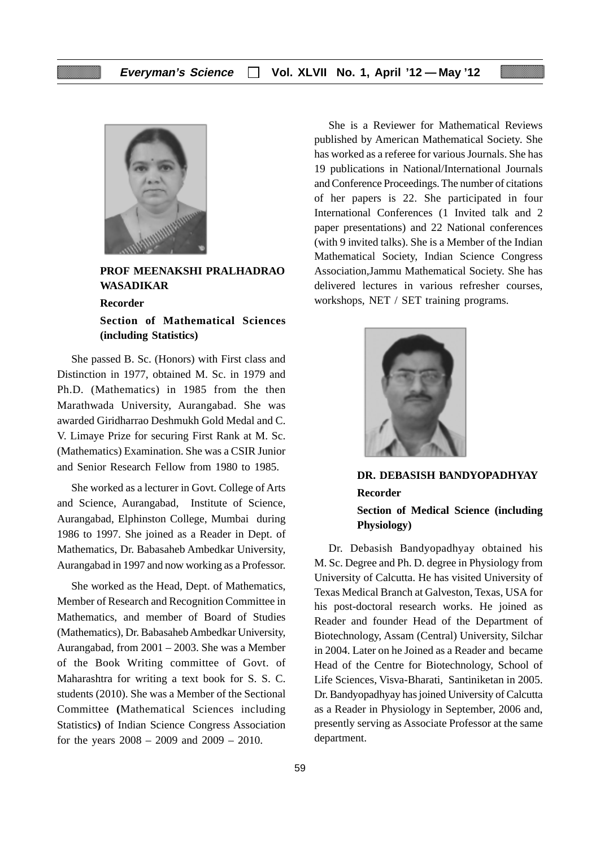

**PROF MEENAKSHI PRALHADRAO WASADIKAR**

#### **Recorder**

**Section of Mathematical Sciences (including Statistics)**

She passed B. Sc. (Honors) with First class and Distinction in 1977, obtained M. Sc. in 1979 and Ph.D. (Mathematics) in 1985 from the then Marathwada University, Aurangabad. She was awarded Giridharrao Deshmukh Gold Medal and C. V. Limaye Prize for securing First Rank at M. Sc. (Mathematics) Examination. She was a CSIR Junior and Senior Research Fellow from 1980 to 1985.

She worked as a lecturer in Govt. College of Arts and Science, Aurangabad, Institute of Science, Aurangabad, Elphinston College, Mumbai during 1986 to 1997. She joined as a Reader in Dept. of Mathematics, Dr. Babasaheb Ambedkar University, Aurangabad in 1997 and now working as a Professor.

She worked as the Head, Dept. of Mathematics, Member of Research and Recognition Committee in Mathematics, and member of Board of Studies (Mathematics), Dr. Babasaheb Ambedkar University, Aurangabad, from 2001 – 2003. She was a Member of the Book Writing committee of Govt. of Maharashtra for writing a text book for S. S. C. students (2010). She was a Member of the Sectional Committee **(**Mathematical Sciences including Statistics**)** of Indian Science Congress Association for the years 2008 – 2009 and 2009 – 2010.

She is a Reviewer for Mathematical Reviews published by American Mathematical Society. She has worked as a referee for various Journals. She has 19 publications in National/International Journals and Conference Proceedings. The number of citations of her papers is 22. She participated in four International Conferences (1 Invited talk and 2 paper presentations) and 22 National conferences (with 9 invited talks). She is a Member of the Indian Mathematical Society, Indian Science Congress Association,Jammu Mathematical Society. She has delivered lectures in various refresher courses, workshops, NET / SET training programs.



**DR. DEBASISH BANDYOPADHYAY Recorder Section of Medical Science (including Physiology)**

Dr. Debasish Bandyopadhyay obtained his M. Sc. Degree and Ph. D. degree in Physiology from University of Calcutta. He has visited University of Texas Medical Branch at Galveston, Texas, USA for his post-doctoral research works. He joined as Reader and founder Head of the Department of Biotechnology, Assam (Central) University, Silchar in 2004. Later on he Joined as a Reader and became Head of the Centre for Biotechnology, School of Life Sciences, Visva-Bharati, Santiniketan in 2005. Dr. Bandyopadhyay has joined University of Calcutta as a Reader in Physiology in September, 2006 and, presently serving as Associate Professor at the same department.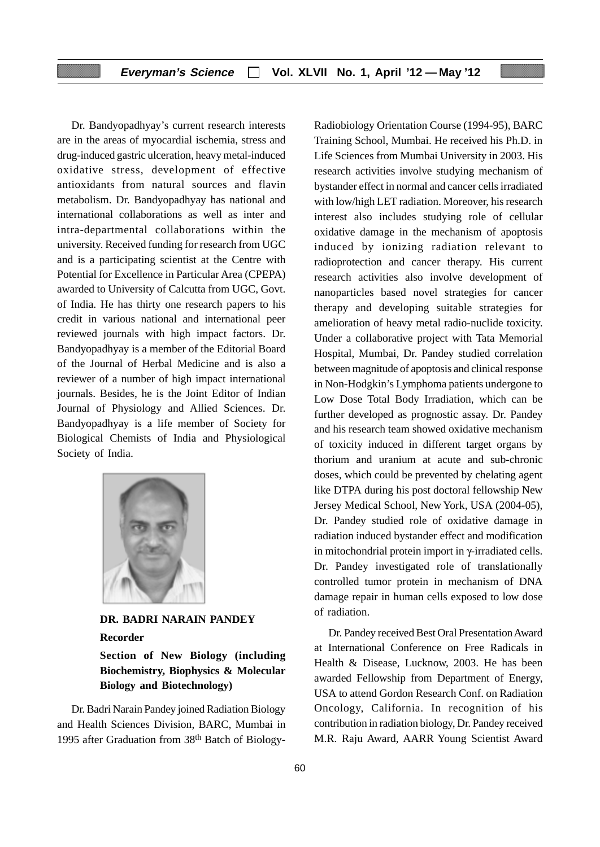Dr. Bandyopadhyay's current research interests are in the areas of myocardial ischemia, stress and drug-induced gastric ulceration, heavy metal-induced oxidative stress, development of effective antioxidants from natural sources and flavin metabolism. Dr. Bandyopadhyay has national and international collaborations as well as inter and intra-departmental collaborations within the university. Received funding for research from UGC and is a participating scientist at the Centre with Potential for Excellence in Particular Area (CPEPA) awarded to University of Calcutta from UGC, Govt. of India. He has thirty one research papers to his credit in various national and international peer reviewed journals with high impact factors. Dr. Bandyopadhyay is a member of the Editorial Board of the Journal of Herbal Medicine and is also a reviewer of a number of high impact international journals. Besides, he is the Joint Editor of Indian Journal of Physiology and Allied Sciences. Dr. Bandyopadhyay is a life member of Society for Biological Chemists of India and Physiological Society of India.



**DR. BADRI NARAIN PANDEY Recorder**

**Section of New Biology (including Biochemistry, Biophysics & Molecular Biology and Biotechnology)**

Dr. Badri Narain Pandey joined Radiation Biology and Health Sciences Division, BARC, Mumbai in 1995 after Graduation from 38th Batch of BiologyRadiobiology Orientation Course (1994-95), BARC Training School, Mumbai. He received his Ph.D. in Life Sciences from Mumbai University in 2003. His research activities involve studying mechanism of bystander effect in normal and cancer cells irradiated with low/high LET radiation. Moreover, his research interest also includes studying role of cellular oxidative damage in the mechanism of apoptosis induced by ionizing radiation relevant to radioprotection and cancer therapy. His current research activities also involve development of nanoparticles based novel strategies for cancer therapy and developing suitable strategies for amelioration of heavy metal radio-nuclide toxicity. Under a collaborative project with Tata Memorial Hospital, Mumbai, Dr. Pandey studied correlation between magnitude of apoptosis and clinical response in Non-Hodgkin's Lymphoma patients undergone to Low Dose Total Body Irradiation, which can be further developed as prognostic assay. Dr. Pandey and his research team showed oxidative mechanism of toxicity induced in different target organs by thorium and uranium at acute and sub-chronic doses, which could be prevented by chelating agent like DTPA during his post doctoral fellowship New Jersey Medical School, New York, USA (2004-05), Dr. Pandey studied role of oxidative damage in radiation induced bystander effect and modification in mitochondrial protein import in γ-irradiated cells. Dr. Pandey investigated role of translationally controlled tumor protein in mechanism of DNA damage repair in human cells exposed to low dose of radiation.

Dr. Pandey received Best Oral Presentation Award at International Conference on Free Radicals in Health & Disease, Lucknow, 2003. He has been awarded Fellowship from Department of Energy, USA to attend Gordon Research Conf. on Radiation Oncology, California. In recognition of his contribution in radiation biology, Dr. Pandey received M.R. Raju Award, AARR Young Scientist Award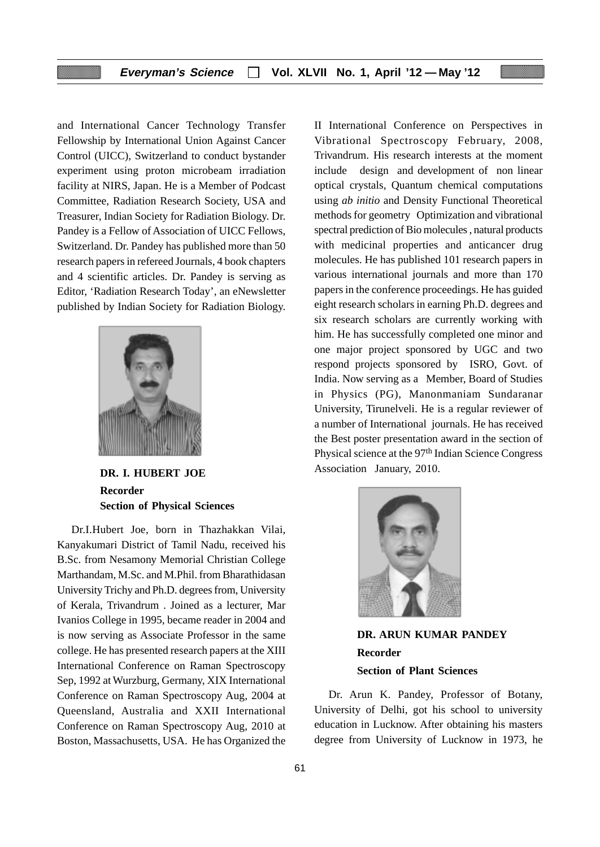and International Cancer Technology Transfer Fellowship by International Union Against Cancer Control (UICC), Switzerland to conduct bystander experiment using proton microbeam irradiation facility at NIRS, Japan. He is a Member of Podcast Committee, Radiation Research Society, USA and Treasurer, Indian Society for Radiation Biology. Dr. Pandey is a Fellow of Association of UICC Fellows, Switzerland. Dr. Pandey has published more than 50 research papers in refereed Journals, 4 book chapters and 4 scientific articles. Dr. Pandey is serving as Editor, 'Radiation Research Today', an eNewsletter published by Indian Society for Radiation Biology.



**DR. I. HUBERT JOE Recorder Section of Physical Sciences**

Dr.I.Hubert Joe, born in Thazhakkan Vilai, Kanyakumari District of Tamil Nadu, received his B.Sc. from Nesamony Memorial Christian College Marthandam, M.Sc. and M.Phil. from Bharathidasan University Trichy and Ph.D. degrees from, University of Kerala, Trivandrum . Joined as a lecturer, Mar Ivanios College in 1995, became reader in 2004 and is now serving as Associate Professor in the same college. He has presented research papers at the XIII International Conference on Raman Spectroscopy Sep, 1992 at Wurzburg, Germany, XIX International Conference on Raman Spectroscopy Aug, 2004 at Queensland, Australia and XXII International Conference on Raman Spectroscopy Aug, 2010 at Boston, Massachusetts, USA. He has Organized the

II International Conference on Perspectives in Vibrational Spectroscopy February, 2008, Trivandrum. His research interests at the moment include design and development of non linear optical crystals, Quantum chemical computations using *ab initio* and Density Functional Theoretical methods for geometry Optimization and vibrational spectral prediction of Bio molecules , natural products with medicinal properties and anticancer drug molecules. He has published 101 research papers in various international journals and more than 170 papers in the conference proceedings. He has guided eight research scholars in earning Ph.D. degrees and six research scholars are currently working with him. He has successfully completed one minor and one major project sponsored by UGC and two respond projects sponsored by ISRO, Govt. of India. Now serving as a Member, Board of Studies in Physics (PG), Manonmaniam Sundaranar University, Tirunelveli. He is a regular reviewer of a number of International journals. He has received the Best poster presentation award in the section of Physical science at the 97th Indian Science Congress Association January, 2010.



**DR. ARUN KUMAR PANDEY Recorder Section of Plant Sciences**

Dr. Arun K. Pandey, Professor of Botany, University of Delhi, got his school to university education in Lucknow. After obtaining his masters degree from University of Lucknow in 1973, he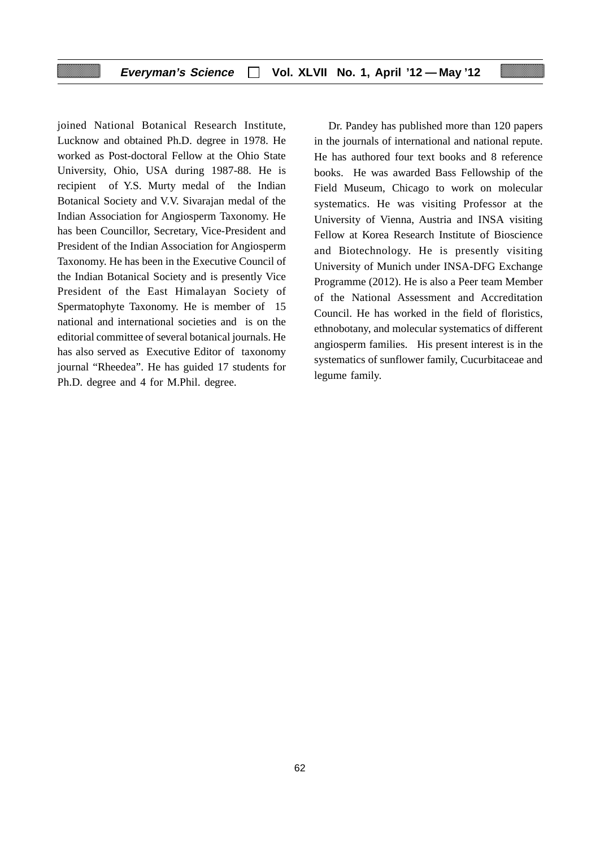joined National Botanical Research Institute, Lucknow and obtained Ph.D. degree in 1978. He worked as Post-doctoral Fellow at the Ohio State University, Ohio, USA during 1987-88. He is recipient of Y.S. Murty medal of the Indian Botanical Society and V.V. Sivarajan medal of the Indian Association for Angiosperm Taxonomy. He has been Councillor, Secretary, Vice-President and President of the Indian Association for Angiosperm Taxonomy. He has been in the Executive Council of the Indian Botanical Society and is presently Vice President of the East Himalayan Society of Spermatophyte Taxonomy. He is member of 15 national and international societies and is on the editorial committee of several botanical journals. He has also served as Executive Editor of taxonomy journal "Rheedea". He has guided 17 students for Ph.D. degree and 4 for M.Phil. degree.

Dr. Pandey has published more than 120 papers in the journals of international and national repute. He has authored four text books and 8 reference books. He was awarded Bass Fellowship of the Field Museum, Chicago to work on molecular systematics. He was visiting Professor at the University of Vienna, Austria and INSA visiting Fellow at Korea Research Institute of Bioscience and Biotechnology. He is presently visiting University of Munich under INSA-DFG Exchange Programme (2012). He is also a Peer team Member of the National Assessment and Accreditation Council. He has worked in the field of floristics, ethnobotany, and molecular systematics of different angiosperm families. His present interest is in the systematics of sunflower family, Cucurbitaceae and legume family.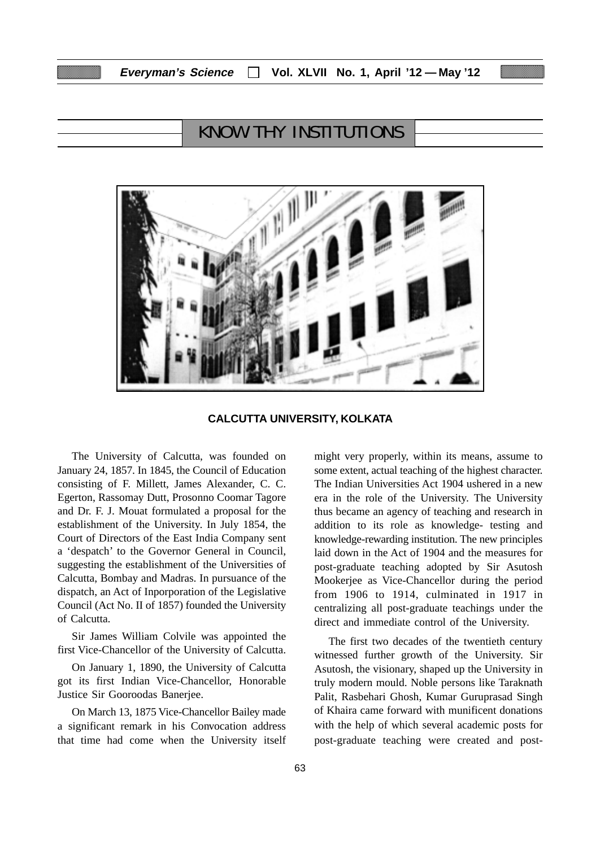# KNOW THY INSTITUTIONS



**CALCUTTA UNIVERSITY, KOLKATA**

The University of Calcutta, was founded on January 24, 1857. In 1845, the Council of Education consisting of F. Millett, James Alexander, C. C. Egerton, Rassomay Dutt, Prosonno Coomar Tagore and Dr. F. J. Mouat formulated a proposal for the establishment of the University. In July 1854, the Court of Directors of the East India Company sent a 'despatch' to the Governor General in Council, suggesting the establishment of the Universities of Calcutta, Bombay and Madras. In pursuance of the dispatch, an Act of Inporporation of the Legislative Council (Act No. II of 1857) founded the University of Calcutta.

Sir James William Colvile was appointed the first Vice-Chancellor of the University of Calcutta.

On January 1, 1890, the University of Calcutta got its first Indian Vice-Chancellor, Honorable Justice Sir Gooroodas Banerjee.

On March 13, 1875 Vice-Chancellor Bailey made a significant remark in his Convocation address that time had come when the University itself might very properly, within its means, assume to some extent, actual teaching of the highest character. The Indian Universities Act 1904 ushered in a new era in the role of the University. The University thus became an agency of teaching and research in addition to its role as knowledge- testing and knowledge-rewarding institution. The new principles laid down in the Act of 1904 and the measures for post-graduate teaching adopted by Sir Asutosh Mookerjee as Vice-Chancellor during the period from 1906 to 1914, culminated in 1917 in centralizing all post-graduate teachings under the direct and immediate control of the University.

The first two decades of the twentieth century witnessed further growth of the University. Sir Asutosh, the visionary, shaped up the University in truly modern mould. Noble persons like Taraknath Palit, Rasbehari Ghosh, Kumar Guruprasad Singh of Khaira came forward with munificent donations with the help of which several academic posts for post-graduate teaching were created and post-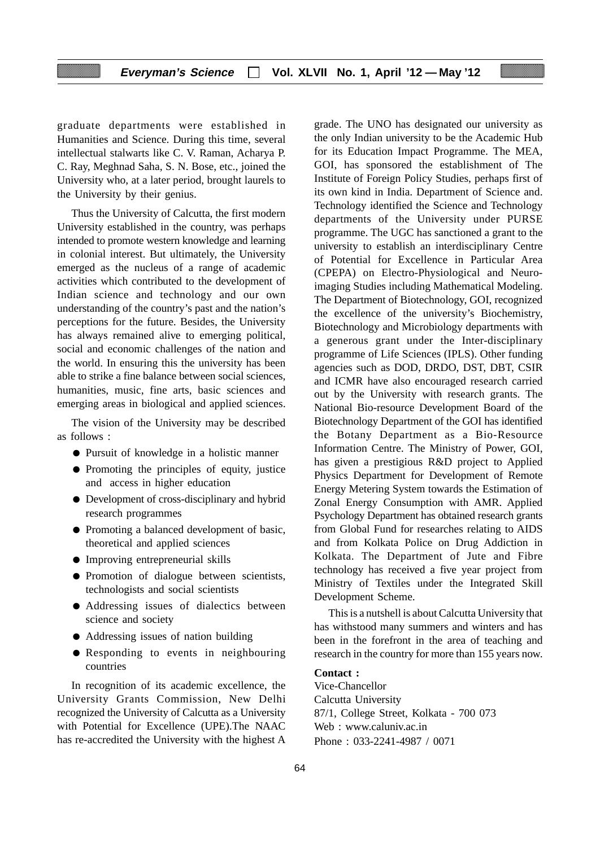graduate departments were established in Humanities and Science. During this time, several intellectual stalwarts like C. V. Raman, Acharya P. C. Ray, Meghnad Saha, S. N. Bose, etc., joined the University who, at a later period, brought laurels to the University by their genius.

Thus the University of Calcutta, the first modern University established in the country, was perhaps intended to promote western knowledge and learning in colonial interest. But ultimately, the University emerged as the nucleus of a range of academic activities which contributed to the development of Indian science and technology and our own understanding of the country's past and the nation's perceptions for the future. Besides, the University has always remained alive to emerging political, social and economic challenges of the nation and the world. In ensuring this the university has been able to strike a fine balance between social sciences, humanities, music, fine arts, basic sciences and emerging areas in biological and applied sciences.

The vision of the University may be described as follows :

- Pursuit of knowledge in a holistic manner
- Promoting the principles of equity, justice and access in higher education
- Development of cross-disciplinary and hybrid research programmes
- Promoting a balanced development of basic, theoretical and applied sciences
- Improving entrepreneurial skills
- Promotion of dialogue between scientists, technologists and social scientists
- Addressing issues of dialectics between science and society
- Addressing issues of nation building
- Responding to events in neighbouring countries

In recognition of its academic excellence, the University Grants Commission, New Delhi recognized the University of Calcutta as a University with Potential for Excellence (UPE).The NAAC has re-accredited the University with the highest A

grade. The UNO has designated our university as the only Indian university to be the Academic Hub for its Education Impact Programme. The MEA, GOI, has sponsored the establishment of The Institute of Foreign Policy Studies, perhaps first of its own kind in India. Department of Science and. Technology identified the Science and Technology departments of the University under PURSE programme. The UGC has sanctioned a grant to the university to establish an interdisciplinary Centre of Potential for Excellence in Particular Area (CPEPA) on Electro-Physiological and Neuroimaging Studies including Mathematical Modeling. The Department of Biotechnology, GOI, recognized the excellence of the university's Biochemistry, Biotechnology and Microbiology departments with a generous grant under the Inter-disciplinary programme of Life Sciences (IPLS). Other funding agencies such as DOD, DRDO, DST, DBT, CSIR and ICMR have also encouraged research carried out by the University with research grants. The National Bio-resource Development Board of the Biotechnology Department of the GOI has identified the Botany Department as a Bio-Resource Information Centre. The Ministry of Power, GOI, has given a prestigious R&D project to Applied Physics Department for Development of Remote Energy Metering System towards the Estimation of Zonal Energy Consumption with AMR. Applied Psychology Department has obtained research grants from Global Fund for researches relating to AIDS and from Kolkata Police on Drug Addiction in Kolkata. The Department of Jute and Fibre technology has received a five year project from Ministry of Textiles under the Integrated Skill Development Scheme.

This is a nutshell is about Calcutta University that has withstood many summers and winters and has been in the forefront in the area of teaching and research in the country for more than 155 years now.

#### **Contact :**

Vice-Chancellor Calcutta University 87/1, College Street, Kolkata - 700 073 Web : www.caluniv.ac.in Phone : 033-2241-4987 / 0071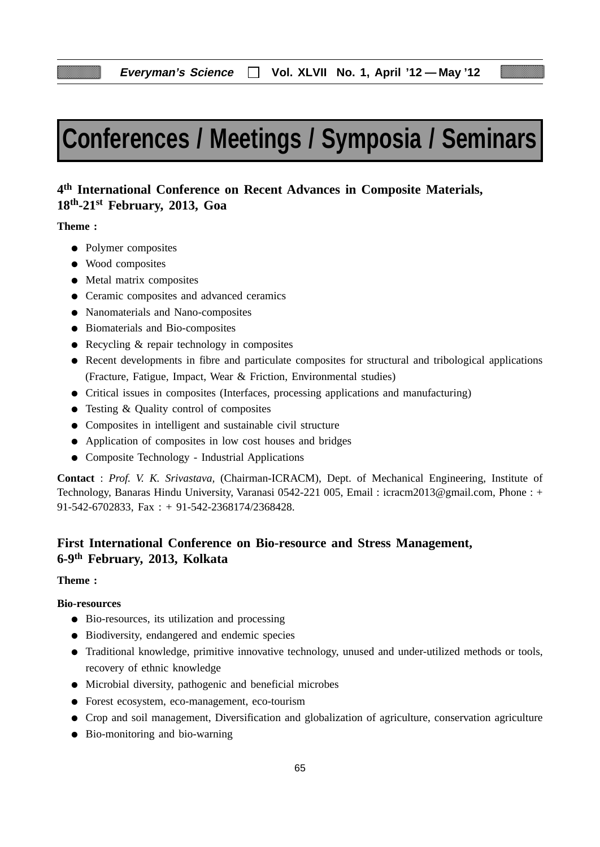# **Conferences / Meetings / Symposia / Seminars**

# **4th International Conference on Recent Advances in Composite Materials, 18th-21st February, 2013, Goa**

**Theme :**

- Polymer composites
- Wood composites
- Metal matrix composites
- Ceramic composites and advanced ceramics
- Nanomaterials and Nano-composites
- Biomaterials and Bio-composites
- Recycling & repair technology in composites
- Recent developments in fibre and particulate composites for structural and tribological applications (Fracture, Fatigue, Impact, Wear & Friction, Environmental studies)
- Critical issues in composites (Interfaces, processing applications and manufacturing)
- Testing & Quality control of composites
- Composites in intelligent and sustainable civil structure
- Application of composites in low cost houses and bridges
- Composite Technology Industrial Applications

**Contact** : *Prof. V. K. Srivastava,* (Chairman-ICRACM), Dept. of Mechanical Engineering, Institute of Technology, Banaras Hindu University, Varanasi 0542-221 005, Email : icracm2013@gmail.com, Phone : + 91-542-6702833, Fax : + 91-542-2368174/2368428.

# **First International Conference on Bio-resource and Stress Management, 6-9th February, 2013, Kolkata**

#### **Theme :**

#### **Bio-resources**

- Bio-resources, its utilization and processing
- Biodiversity, endangered and endemic species
- Traditional knowledge, primitive innovative technology, unused and under-utilized methods or tools, recovery of ethnic knowledge
- Microbial diversity, pathogenic and beneficial microbes
- Forest ecosystem, eco-management, eco-tourism
- Crop and soil management, Diversification and globalization of agriculture, conservation agriculture
- Bio-monitoring and bio-warning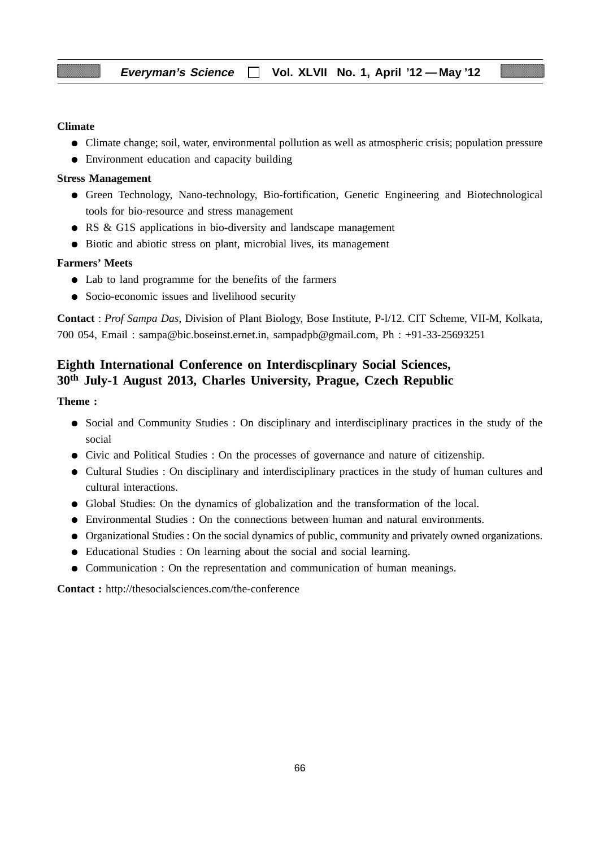#### **Climate**

- Climate change; soil, water, environmental pollution as well as atmospheric crisis; population pressure
- Environment education and capacity building

#### **Stress Management**

- Green Technology, Nano-technology, Bio-fortification, Genetic Engineering and Biotechnological tools for bio-resource and stress management
- RS & G1S applications in bio-diversity and landscape management
- Biotic and abiotic stress on plant, microbial lives, its management

#### **Farmers' Meets**

- Lab to land programme for the benefits of the farmers
- Socio-economic issues and livelihood security

**Contact** : *Prof Sampa Das*, Division of Plant Biology, Bose Institute, P-l/12. CIT Scheme, VII-M, Kolkata, 700 054, Email : sampa@bic.boseinst.ernet.in, sampadpb@gmail.com, Ph : +91-33-25693251

# **Eighth International Conference on Interdiscplinary Social Sciences, 30th July-1 August 2013, Charles University, Prague, Czech Republic**

**Theme :**

- Social and Community Studies : On disciplinary and interdisciplinary practices in the study of the social
- Civic and Political Studies : On the processes of governance and nature of citizenship.
- Cultural Studies : On disciplinary and interdisciplinary practices in the study of human cultures and cultural interactions.
- Global Studies: On the dynamics of globalization and the transformation of the local.
- Environmental Studies : On the connections between human and natural environments.
- Organizational Studies : On the social dynamics of public, community and privately owned organizations.
- Educational Studies : On learning about the social and social learning.
- Communication : On the representation and communication of human meanings.

**Contact :** http://thesocialsciences.com/the-conference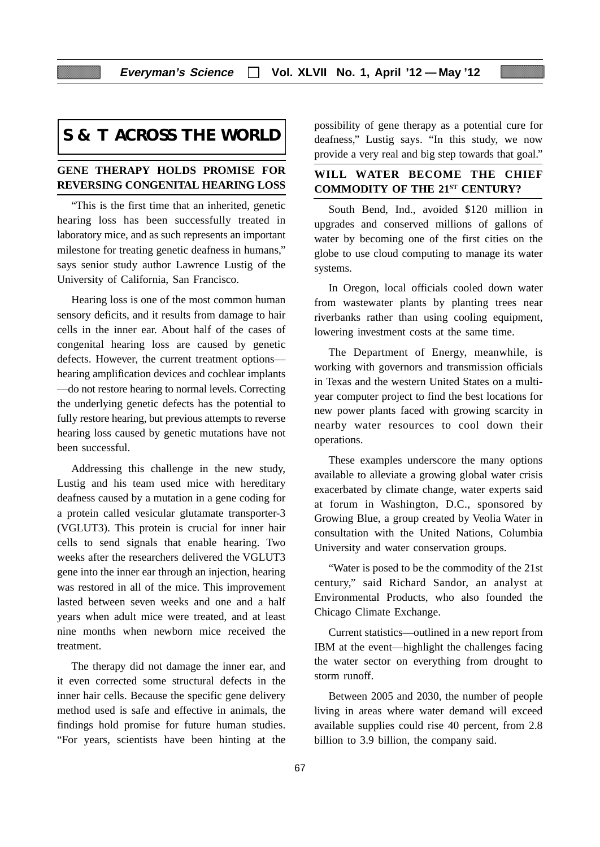# **S & T ACROSS THE WORLD**

#### **GENE THERAPY HOLDS PROMISE FOR REVERSING CONGENITAL HEARING LOSS**

"This is the first time that an inherited, genetic hearing loss has been successfully treated in laboratory mice, and as such represents an important milestone for treating genetic deafness in humans," says senior study author Lawrence Lustig of the University of California, San Francisco.

Hearing loss is one of the most common human sensory deficits, and it results from damage to hair cells in the inner ear. About half of the cases of congenital hearing loss are caused by genetic defects. However, the current treatment options hearing amplification devices and cochlear implants —do not restore hearing to normal levels. Correcting the underlying genetic defects has the potential to fully restore hearing, but previous attempts to reverse hearing loss caused by genetic mutations have not been successful.

Addressing this challenge in the new study, Lustig and his team used mice with hereditary deafness caused by a mutation in a gene coding for a protein called vesicular glutamate transporter-3 (VGLUT3). This protein is crucial for inner hair cells to send signals that enable hearing. Two weeks after the researchers delivered the VGLUT3 gene into the inner ear through an injection, hearing was restored in all of the mice. This improvement lasted between seven weeks and one and a half years when adult mice were treated, and at least nine months when newborn mice received the treatment.

The therapy did not damage the inner ear, and it even corrected some structural defects in the inner hair cells. Because the specific gene delivery method used is safe and effective in animals, the findings hold promise for future human studies. "For years, scientists have been hinting at the possibility of gene therapy as a potential cure for deafness," Lustig says. "In this study, we now provide a very real and big step towards that goal."

#### **WILL WATER BECOME THE CHIEF COMMODITY OF THE 21ST CENTURY?**

South Bend, Ind., avoided \$120 million in upgrades and conserved millions of gallons of water by becoming one of the first cities on the globe to use cloud computing to manage its water systems.

In Oregon, local officials cooled down water from wastewater plants by planting trees near riverbanks rather than using cooling equipment, lowering investment costs at the same time.

The Department of Energy, meanwhile, is working with governors and transmission officials in Texas and the western United States on a multiyear computer project to find the best locations for new power plants faced with growing scarcity in nearby water resources to cool down their operations.

These examples underscore the many options available to alleviate a growing global water crisis exacerbated by climate change, water experts said at forum in Washington, D.C., sponsored by Growing Blue, a group created by Veolia Water in consultation with the United Nations, Columbia University and water conservation groups.

"Water is posed to be the commodity of the 21st century," said Richard Sandor, an analyst at Environmental Products, who also founded the Chicago Climate Exchange.

Current statistics—outlined in a new report from IBM at the event—highlight the challenges facing the water sector on everything from drought to storm runoff.

Between 2005 and 2030, the number of people living in areas where water demand will exceed available supplies could rise 40 percent, from 2.8 billion to 3.9 billion, the company said.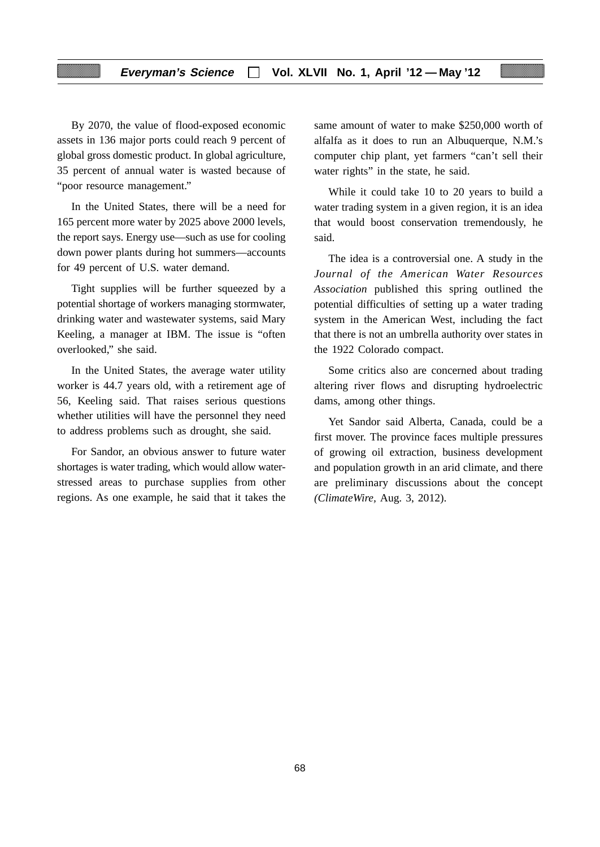By 2070, the value of flood-exposed economic assets in 136 major ports could reach 9 percent of global gross domestic product. In global agriculture, 35 percent of annual water is wasted because of "poor resource management."

In the United States, there will be a need for 165 percent more water by 2025 above 2000 levels, the report says. Energy use—such as use for cooling down power plants during hot summers—accounts for 49 percent of U.S. water demand.

Tight supplies will be further squeezed by a potential shortage of workers managing stormwater, drinking water and wastewater systems, said Mary Keeling, a manager at IBM. The issue is "often overlooked," she said.

In the United States, the average water utility worker is 44.7 years old, with a retirement age of 56, Keeling said. That raises serious questions whether utilities will have the personnel they need to address problems such as drought, she said.

For Sandor, an obvious answer to future water shortages is water trading, which would allow waterstressed areas to purchase supplies from other regions. As one example, he said that it takes the

same amount of water to make \$250,000 worth of alfalfa as it does to run an Albuquerque, N.M.'s computer chip plant, yet farmers "can't sell their water rights" in the state, he said.

While it could take 10 to 20 years to build a water trading system in a given region, it is an idea that would boost conservation tremendously, he said.

The idea is a controversial one. A study in the *Journal of the American Water Resources Association* published this spring outlined the potential difficulties of setting up a water trading system in the American West, including the fact that there is not an umbrella authority over states in the 1922 Colorado compact.

Some critics also are concerned about trading altering river flows and disrupting hydroelectric dams, among other things.

Yet Sandor said Alberta, Canada, could be a first mover. The province faces multiple pressures of growing oil extraction, business development and population growth in an arid climate, and there are preliminary discussions about the concept *(ClimateWire,* Aug. 3, 2012).